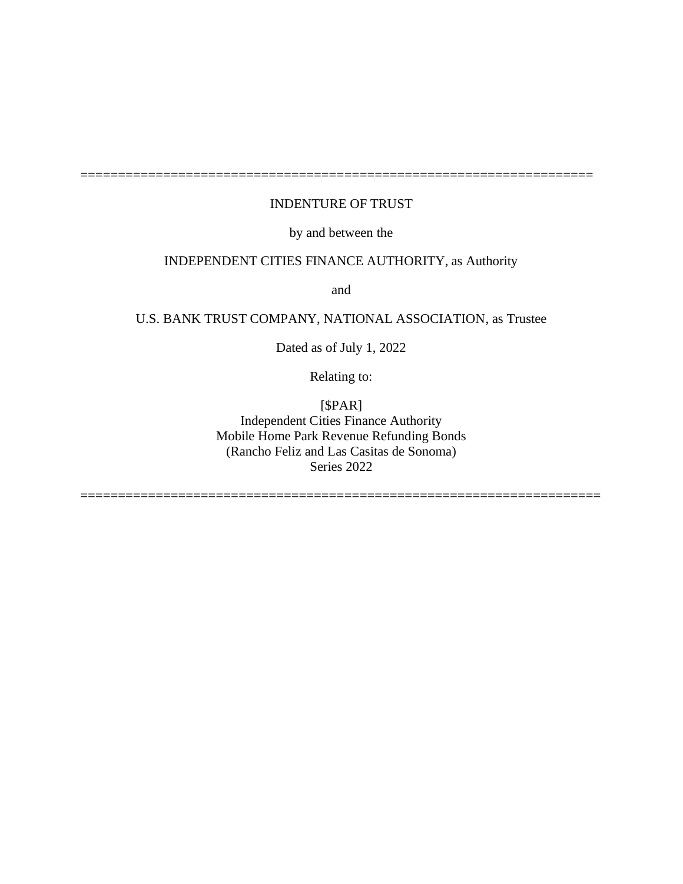## INDENTURE OF TRUST

====================================================================

# by and between the

# INDEPENDENT CITIES FINANCE AUTHORITY, as Authority

and

# U.S. BANK TRUST COMPANY, NATIONAL ASSOCIATION, as Trustee

Dated as of July 1, 2022

Relating to:

[\$PAR] Independent Cities Finance Authority Mobile Home Park Revenue Refunding Bonds (Rancho Feliz and Las Casitas de Sonoma) Series 2022

=====================================================================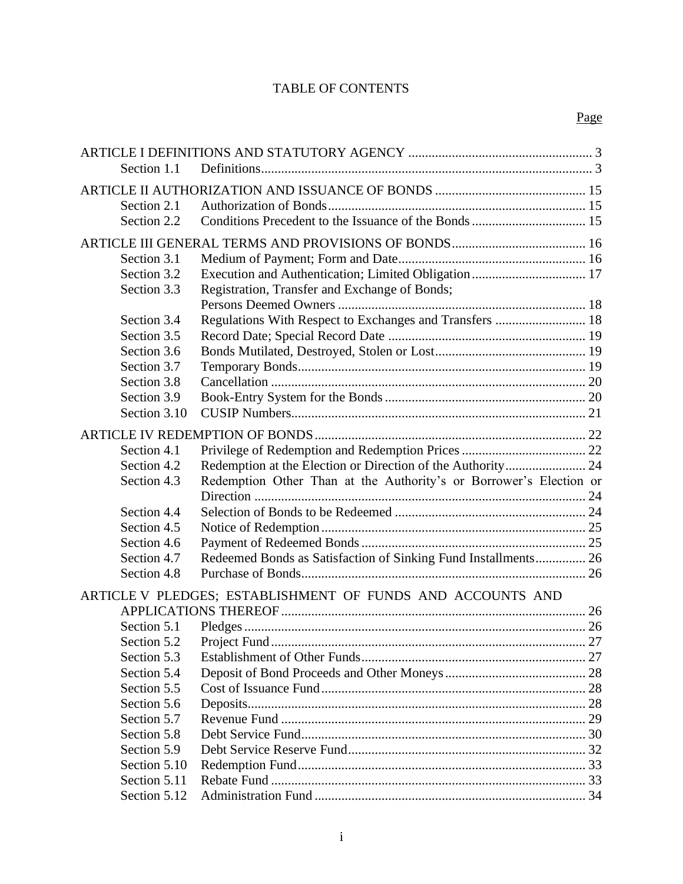# TABLE OF CONTENTS

| Section 1.1  |                                                                    |  |  |  |  |
|--------------|--------------------------------------------------------------------|--|--|--|--|
|              |                                                                    |  |  |  |  |
| Section 2.1  |                                                                    |  |  |  |  |
| Section 2.2  |                                                                    |  |  |  |  |
|              |                                                                    |  |  |  |  |
| Section 3.1  |                                                                    |  |  |  |  |
| Section 3.2  |                                                                    |  |  |  |  |
| Section 3.3  | Registration, Transfer and Exchange of Bonds;                      |  |  |  |  |
|              |                                                                    |  |  |  |  |
| Section 3.4  | Regulations With Respect to Exchanges and Transfers  18            |  |  |  |  |
| Section 3.5  |                                                                    |  |  |  |  |
| Section 3.6  |                                                                    |  |  |  |  |
| Section 3.7  |                                                                    |  |  |  |  |
| Section 3.8  |                                                                    |  |  |  |  |
| Section 3.9  |                                                                    |  |  |  |  |
| Section 3.10 |                                                                    |  |  |  |  |
|              |                                                                    |  |  |  |  |
|              |                                                                    |  |  |  |  |
| Section 4.1  |                                                                    |  |  |  |  |
| Section 4.2  |                                                                    |  |  |  |  |
| Section 4.3  | Redemption Other Than at the Authority's or Borrower's Election or |  |  |  |  |
| Section 4.4  |                                                                    |  |  |  |  |
| Section 4.5  |                                                                    |  |  |  |  |
| Section 4.6  |                                                                    |  |  |  |  |
| Section 4.7  |                                                                    |  |  |  |  |
| Section 4.8  | Redeemed Bonds as Satisfaction of Sinking Fund Installments 26     |  |  |  |  |
|              |                                                                    |  |  |  |  |
|              | ARTICLE V PLEDGES; ESTABLISHMENT OF FUNDS AND ACCOUNTS AND         |  |  |  |  |
|              |                                                                    |  |  |  |  |
| Section 5.1  |                                                                    |  |  |  |  |
| Section 5.2  |                                                                    |  |  |  |  |
| Section 5.3  |                                                                    |  |  |  |  |
| Section 5.4  |                                                                    |  |  |  |  |
| Section 5.5  |                                                                    |  |  |  |  |
| Section 5.6  |                                                                    |  |  |  |  |
| Section 5.7  |                                                                    |  |  |  |  |
| Section 5.8  |                                                                    |  |  |  |  |
| Section 5.9  |                                                                    |  |  |  |  |
| Section 5.10 |                                                                    |  |  |  |  |
| Section 5.11 |                                                                    |  |  |  |  |
| Section 5.12 |                                                                    |  |  |  |  |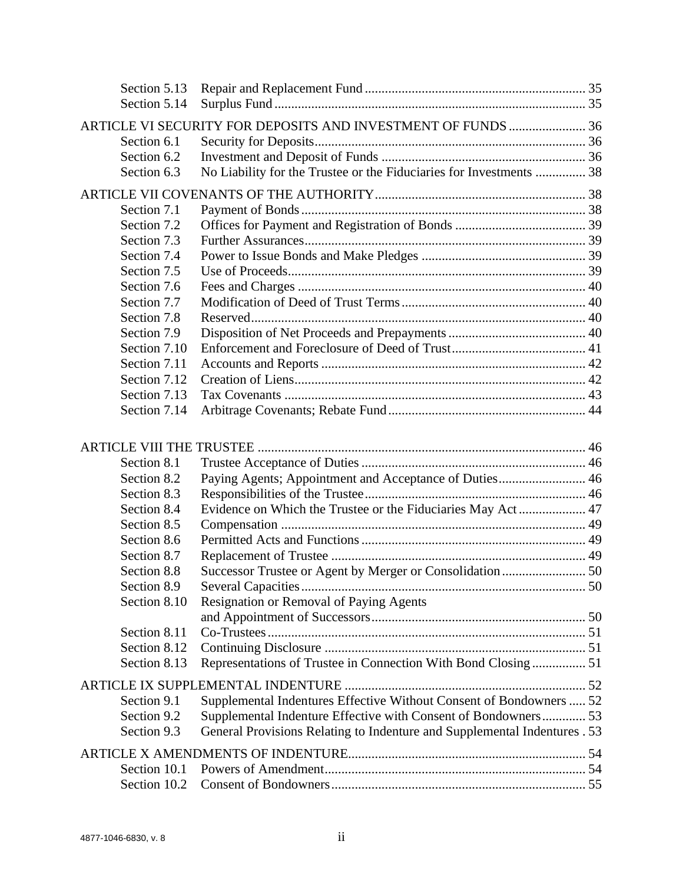| Section 5.13 |                                                                           |  |
|--------------|---------------------------------------------------------------------------|--|
| Section 5.14 |                                                                           |  |
|              | ARTICLE VI SECURITY FOR DEPOSITS AND INVESTMENT OF FUNDS  36              |  |
| Section 6.1  |                                                                           |  |
| Section 6.2  |                                                                           |  |
| Section 6.3  | No Liability for the Trustee or the Fiduciaries for Investments  38       |  |
|              |                                                                           |  |
| Section 7.1  |                                                                           |  |
| Section 7.2  |                                                                           |  |
| Section 7.3  |                                                                           |  |
| Section 7.4  |                                                                           |  |
| Section 7.5  |                                                                           |  |
| Section 7.6  |                                                                           |  |
| Section 7.7  |                                                                           |  |
| Section 7.8  |                                                                           |  |
| Section 7.9  |                                                                           |  |
| Section 7.10 |                                                                           |  |
| Section 7.11 |                                                                           |  |
| Section 7.12 |                                                                           |  |
| Section 7.13 |                                                                           |  |
| Section 7.14 |                                                                           |  |
|              |                                                                           |  |
|              |                                                                           |  |
| Section 8.1  |                                                                           |  |
| Section 8.2  | Paying Agents; Appointment and Acceptance of Duties 46                    |  |
| Section 8.3  |                                                                           |  |
| Section 8.4  | Evidence on Which the Trustee or the Fiduciaries May Act 47               |  |
| Section 8.5  |                                                                           |  |
| Section 8.6  |                                                                           |  |
| Section 8.7  |                                                                           |  |
| Section 8.8  |                                                                           |  |
| Section 8.9  |                                                                           |  |
| Section 8.10 | Resignation or Removal of Paying Agents                                   |  |
|              |                                                                           |  |
| Section 8.11 |                                                                           |  |
| Section 8.12 |                                                                           |  |
| Section 8.13 | Representations of Trustee in Connection With Bond Closing 51             |  |
|              |                                                                           |  |
| Section 9.1  | Supplemental Indentures Effective Without Consent of Bondowners  52       |  |
| Section 9.2  | Supplemental Indenture Effective with Consent of Bondowners 53            |  |
| Section 9.3  | General Provisions Relating to Indenture and Supplemental Indentures . 53 |  |
|              |                                                                           |  |
| Section 10.1 |                                                                           |  |
| Section 10.2 |                                                                           |  |
|              |                                                                           |  |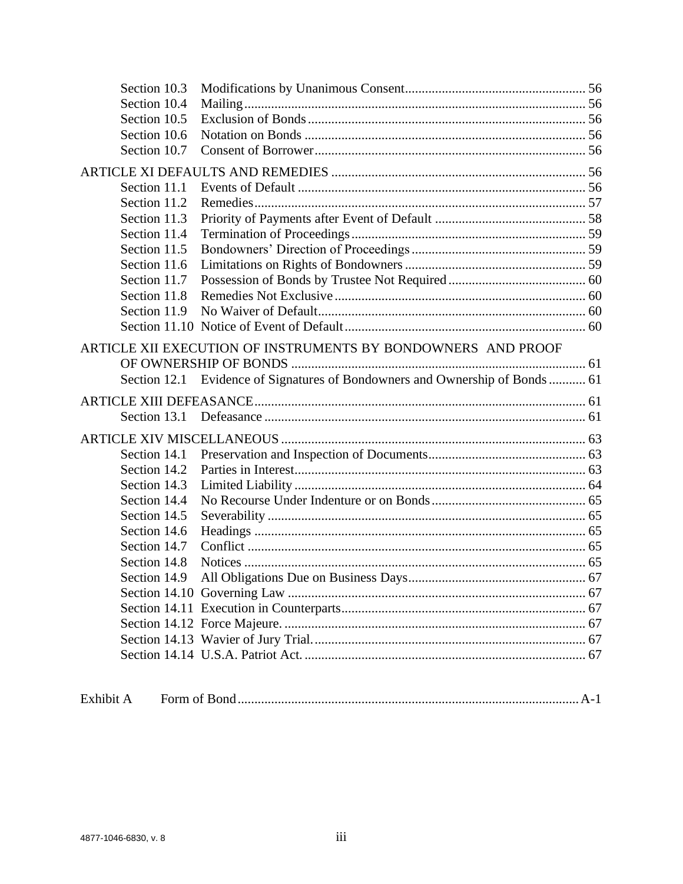| Section 10.3 |                                                                              |  |
|--------------|------------------------------------------------------------------------------|--|
| Section 10.4 |                                                                              |  |
| Section 10.5 |                                                                              |  |
| Section 10.6 |                                                                              |  |
| Section 10.7 |                                                                              |  |
|              |                                                                              |  |
| Section 11.1 |                                                                              |  |
| Section 11.2 |                                                                              |  |
| Section 11.3 |                                                                              |  |
| Section 11.4 |                                                                              |  |
| Section 11.5 |                                                                              |  |
| Section 11.6 |                                                                              |  |
| Section 11.7 |                                                                              |  |
| Section 11.8 |                                                                              |  |
| Section 11.9 |                                                                              |  |
|              |                                                                              |  |
|              | ARTICLE XII EXECUTION OF INSTRUMENTS BY BONDOWNERS AND PROOF                 |  |
|              |                                                                              |  |
|              | Section 12.1 Evidence of Signatures of Bondowners and Ownership of Bonds  61 |  |
|              |                                                                              |  |
|              |                                                                              |  |
| Section 13.1 |                                                                              |  |
|              |                                                                              |  |
| Section 14.1 |                                                                              |  |
| Section 14.2 |                                                                              |  |
| Section 14.3 |                                                                              |  |
| Section 14.4 |                                                                              |  |
| Section 14.5 |                                                                              |  |
| Section 14.6 |                                                                              |  |
| Section 14.7 |                                                                              |  |
| Section 14.8 |                                                                              |  |
| Section 14.9 |                                                                              |  |
|              |                                                                              |  |
|              |                                                                              |  |
|              |                                                                              |  |
|              |                                                                              |  |
|              |                                                                              |  |
|              |                                                                              |  |
|              |                                                                              |  |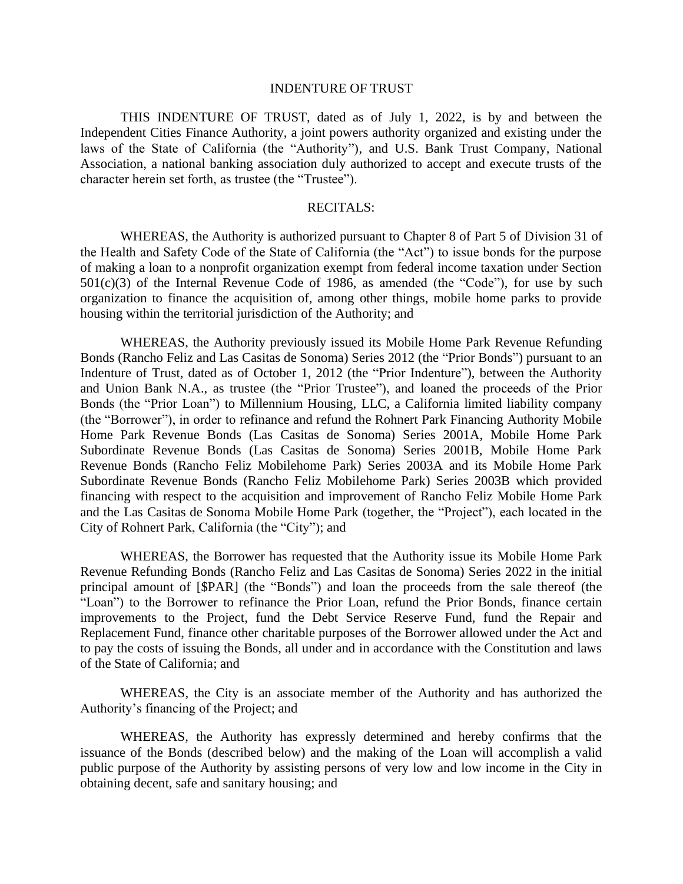#### INDENTURE OF TRUST

THIS INDENTURE OF TRUST, dated as of July 1, 2022, is by and between the Independent Cities Finance Authority, a joint powers authority organized and existing under the laws of the State of California (the "Authority"), and U.S. Bank Trust Company, National Association, a national banking association duly authorized to accept and execute trusts of the character herein set forth, as trustee (the "Trustee").

#### RECITALS:

WHEREAS, the Authority is authorized pursuant to Chapter 8 of Part 5 of Division 31 of the Health and Safety Code of the State of California (the "Act") to issue bonds for the purpose of making a loan to a nonprofit organization exempt from federal income taxation under Section  $501(c)(3)$  of the Internal Revenue Code of 1986, as amended (the "Code"), for use by such organization to finance the acquisition of, among other things, mobile home parks to provide housing within the territorial jurisdiction of the Authority; and

WHEREAS, the Authority previously issued its Mobile Home Park Revenue Refunding Bonds (Rancho Feliz and Las Casitas de Sonoma) Series 2012 (the "Prior Bonds") pursuant to an Indenture of Trust, dated as of October 1, 2012 (the "Prior Indenture"), between the Authority and Union Bank N.A., as trustee (the "Prior Trustee"), and loaned the proceeds of the Prior Bonds (the "Prior Loan") to Millennium Housing, LLC, a California limited liability company (the "Borrower"), in order to refinance and refund the Rohnert Park Financing Authority Mobile Home Park Revenue Bonds (Las Casitas de Sonoma) Series 2001A, Mobile Home Park Subordinate Revenue Bonds (Las Casitas de Sonoma) Series 2001B, Mobile Home Park Revenue Bonds (Rancho Feliz Mobilehome Park) Series 2003A and its Mobile Home Park Subordinate Revenue Bonds (Rancho Feliz Mobilehome Park) Series 2003B which provided financing with respect to the acquisition and improvement of Rancho Feliz Mobile Home Park and the Las Casitas de Sonoma Mobile Home Park (together, the "Project"), each located in the City of Rohnert Park, California (the "City"); and

WHEREAS, the Borrower has requested that the Authority issue its Mobile Home Park Revenue Refunding Bonds (Rancho Feliz and Las Casitas de Sonoma) Series 2022 in the initial principal amount of [\$PAR] (the "Bonds") and loan the proceeds from the sale thereof (the "Loan") to the Borrower to refinance the Prior Loan, refund the Prior Bonds, finance certain improvements to the Project, fund the Debt Service Reserve Fund, fund the Repair and Replacement Fund, finance other charitable purposes of the Borrower allowed under the Act and to pay the costs of issuing the Bonds, all under and in accordance with the Constitution and laws of the State of California; and

WHEREAS, the City is an associate member of the Authority and has authorized the Authority's financing of the Project; and

WHEREAS, the Authority has expressly determined and hereby confirms that the issuance of the Bonds (described below) and the making of the Loan will accomplish a valid public purpose of the Authority by assisting persons of very low and low income in the City in obtaining decent, safe and sanitary housing; and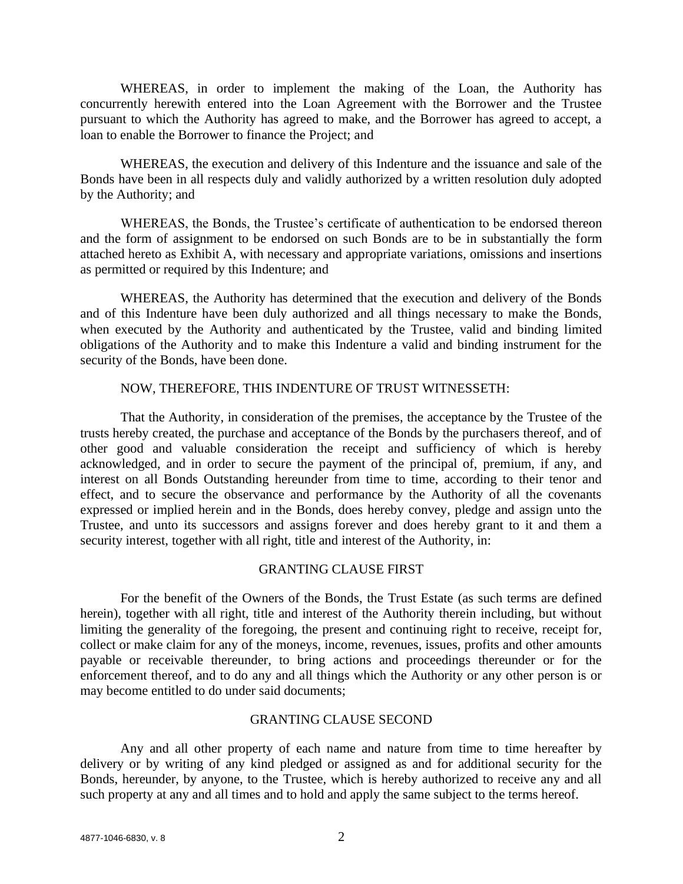WHEREAS, in order to implement the making of the Loan, the Authority has concurrently herewith entered into the Loan Agreement with the Borrower and the Trustee pursuant to which the Authority has agreed to make, and the Borrower has agreed to accept, a loan to enable the Borrower to finance the Project; and

WHEREAS, the execution and delivery of this Indenture and the issuance and sale of the Bonds have been in all respects duly and validly authorized by a written resolution duly adopted by the Authority; and

WHEREAS, the Bonds, the Trustee's certificate of authentication to be endorsed thereon and the form of assignment to be endorsed on such Bonds are to be in substantially the form attached hereto as Exhibit A, with necessary and appropriate variations, omissions and insertions as permitted or required by this Indenture; and

WHEREAS, the Authority has determined that the execution and delivery of the Bonds and of this Indenture have been duly authorized and all things necessary to make the Bonds, when executed by the Authority and authenticated by the Trustee, valid and binding limited obligations of the Authority and to make this Indenture a valid and binding instrument for the security of the Bonds, have been done.

### NOW, THEREFORE, THIS INDENTURE OF TRUST WITNESSETH:

That the Authority, in consideration of the premises, the acceptance by the Trustee of the trusts hereby created, the purchase and acceptance of the Bonds by the purchasers thereof, and of other good and valuable consideration the receipt and sufficiency of which is hereby acknowledged, and in order to secure the payment of the principal of, premium, if any, and interest on all Bonds Outstanding hereunder from time to time, according to their tenor and effect, and to secure the observance and performance by the Authority of all the covenants expressed or implied herein and in the Bonds, does hereby convey, pledge and assign unto the Trustee, and unto its successors and assigns forever and does hereby grant to it and them a security interest, together with all right, title and interest of the Authority, in:

### GRANTING CLAUSE FIRST

For the benefit of the Owners of the Bonds, the Trust Estate (as such terms are defined herein), together with all right, title and interest of the Authority therein including, but without limiting the generality of the foregoing, the present and continuing right to receive, receipt for, collect or make claim for any of the moneys, income, revenues, issues, profits and other amounts payable or receivable thereunder, to bring actions and proceedings thereunder or for the enforcement thereof, and to do any and all things which the Authority or any other person is or may become entitled to do under said documents;

### GRANTING CLAUSE SECOND

Any and all other property of each name and nature from time to time hereafter by delivery or by writing of any kind pledged or assigned as and for additional security for the Bonds, hereunder, by anyone, to the Trustee, which is hereby authorized to receive any and all such property at any and all times and to hold and apply the same subject to the terms hereof.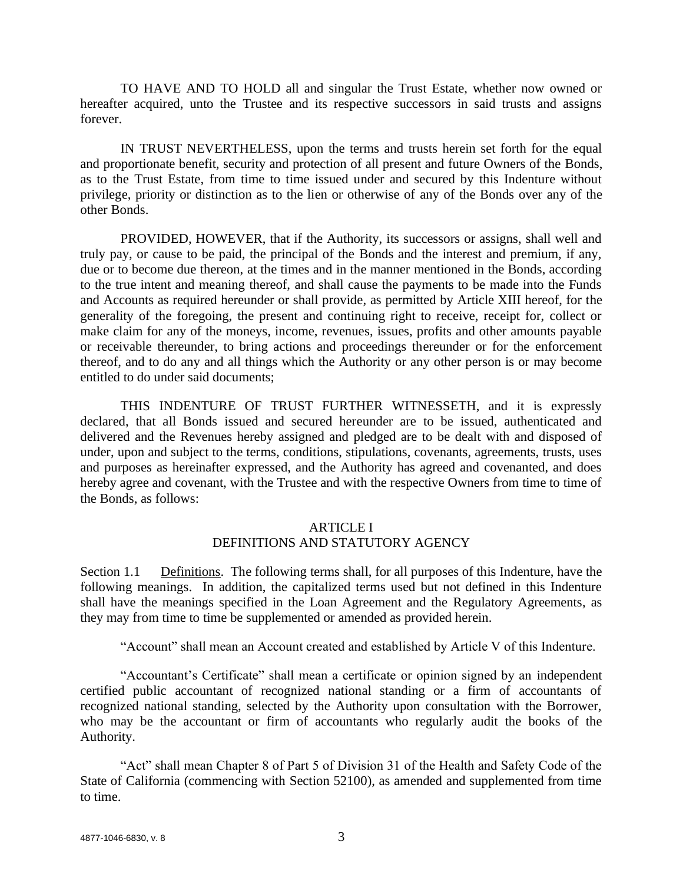TO HAVE AND TO HOLD all and singular the Trust Estate, whether now owned or hereafter acquired, unto the Trustee and its respective successors in said trusts and assigns forever.

IN TRUST NEVERTHELESS, upon the terms and trusts herein set forth for the equal and proportionate benefit, security and protection of all present and future Owners of the Bonds, as to the Trust Estate, from time to time issued under and secured by this Indenture without privilege, priority or distinction as to the lien or otherwise of any of the Bonds over any of the other Bonds.

PROVIDED, HOWEVER, that if the Authority, its successors or assigns, shall well and truly pay, or cause to be paid, the principal of the Bonds and the interest and premium, if any, due or to become due thereon, at the times and in the manner mentioned in the Bonds, according to the true intent and meaning thereof, and shall cause the payments to be made into the Funds and Accounts as required hereunder or shall provide, as permitted by Article XIII hereof, for the generality of the foregoing, the present and continuing right to receive, receipt for, collect or make claim for any of the moneys, income, revenues, issues, profits and other amounts payable or receivable thereunder, to bring actions and proceedings thereunder or for the enforcement thereof, and to do any and all things which the Authority or any other person is or may become entitled to do under said documents;

THIS INDENTURE OF TRUST FURTHER WITNESSETH, and it is expressly declared, that all Bonds issued and secured hereunder are to be issued, authenticated and delivered and the Revenues hereby assigned and pledged are to be dealt with and disposed of under, upon and subject to the terms, conditions, stipulations, covenants, agreements, trusts, uses and purposes as hereinafter expressed, and the Authority has agreed and covenanted, and does hereby agree and covenant, with the Trustee and with the respective Owners from time to time of the Bonds, as follows:

#### ARTICLE I

### DEFINITIONS AND STATUTORY AGENCY

Section 1.1 Definitions. The following terms shall, for all purposes of this Indenture, have the following meanings. In addition, the capitalized terms used but not defined in this Indenture shall have the meanings specified in the Loan Agreement and the Regulatory Agreements, as they may from time to time be supplemented or amended as provided herein.

"Account" shall mean an Account created and established by Article V of this Indenture.

"Accountant's Certificate" shall mean a certificate or opinion signed by an independent certified public accountant of recognized national standing or a firm of accountants of recognized national standing, selected by the Authority upon consultation with the Borrower, who may be the accountant or firm of accountants who regularly audit the books of the Authority.

"Act" shall mean Chapter 8 of Part 5 of Division 31 of the Health and Safety Code of the State of California (commencing with Section 52100), as amended and supplemented from time to time.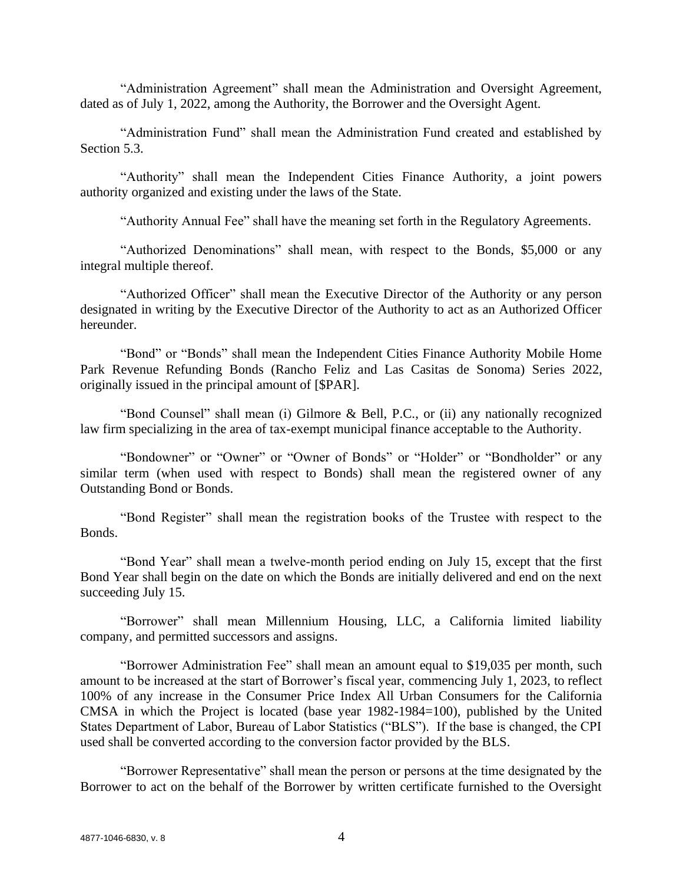"Administration Agreement" shall mean the Administration and Oversight Agreement, dated as of July 1, 2022, among the Authority, the Borrower and the Oversight Agent.

"Administration Fund" shall mean the Administration Fund created and established by Section 5.3.

"Authority" shall mean the Independent Cities Finance Authority, a joint powers authority organized and existing under the laws of the State.

"Authority Annual Fee" shall have the meaning set forth in the Regulatory Agreements.

"Authorized Denominations" shall mean, with respect to the Bonds, \$5,000 or any integral multiple thereof.

"Authorized Officer" shall mean the Executive Director of the Authority or any person designated in writing by the Executive Director of the Authority to act as an Authorized Officer hereunder.

"Bond" or "Bonds" shall mean the Independent Cities Finance Authority Mobile Home Park Revenue Refunding Bonds (Rancho Feliz and Las Casitas de Sonoma) Series 2022, originally issued in the principal amount of [\$PAR].

"Bond Counsel" shall mean (i) Gilmore & Bell, P.C., or (ii) any nationally recognized law firm specializing in the area of tax-exempt municipal finance acceptable to the Authority.

"Bondowner" or "Owner" or "Owner of Bonds" or "Holder" or "Bondholder" or any similar term (when used with respect to Bonds) shall mean the registered owner of any Outstanding Bond or Bonds.

"Bond Register" shall mean the registration books of the Trustee with respect to the Bonds.

"Bond Year" shall mean a twelve-month period ending on July 15, except that the first Bond Year shall begin on the date on which the Bonds are initially delivered and end on the next succeeding July 15.

"Borrower" shall mean Millennium Housing, LLC, a California limited liability company, and permitted successors and assigns.

"Borrower Administration Fee" shall mean an amount equal to \$19,035 per month, such amount to be increased at the start of Borrower's fiscal year, commencing July 1, 2023, to reflect 100% of any increase in the Consumer Price Index All Urban Consumers for the California CMSA in which the Project is located (base year 1982-1984=100), published by the United States Department of Labor, Bureau of Labor Statistics ("BLS"). If the base is changed, the CPI used shall be converted according to the conversion factor provided by the BLS.

"Borrower Representative" shall mean the person or persons at the time designated by the Borrower to act on the behalf of the Borrower by written certificate furnished to the Oversight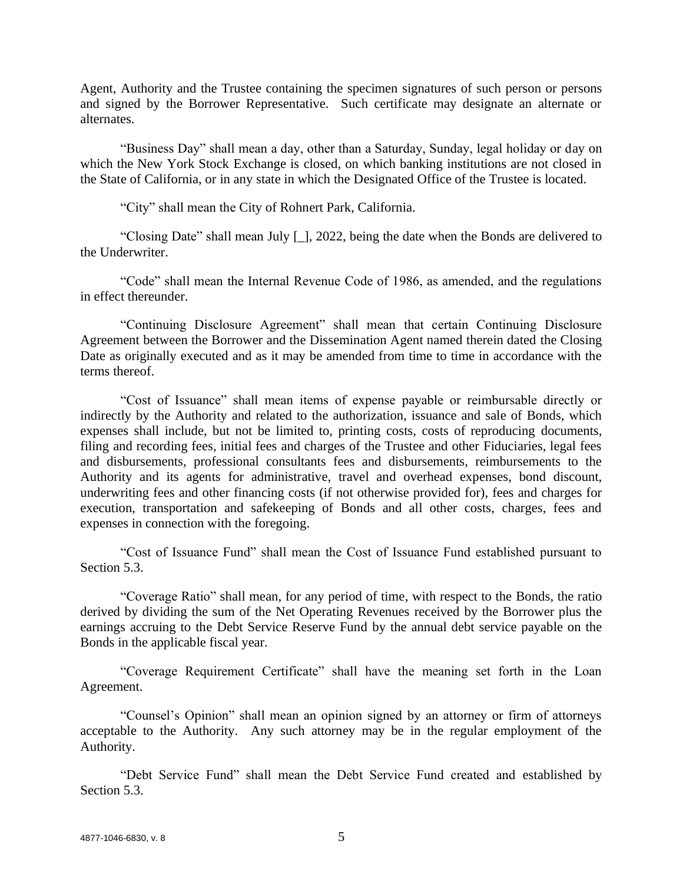Agent, Authority and the Trustee containing the specimen signatures of such person or persons and signed by the Borrower Representative. Such certificate may designate an alternate or alternates.

"Business Day" shall mean a day, other than a Saturday, Sunday, legal holiday or day on which the New York Stock Exchange is closed, on which banking institutions are not closed in the State of California, or in any state in which the Designated Office of the Trustee is located.

"City" shall mean the City of Rohnert Park, California.

"Closing Date" shall mean July [\_], 2022, being the date when the Bonds are delivered to the Underwriter.

"Code" shall mean the Internal Revenue Code of 1986, as amended, and the regulations in effect thereunder.

"Continuing Disclosure Agreement" shall mean that certain Continuing Disclosure Agreement between the Borrower and the Dissemination Agent named therein dated the Closing Date as originally executed and as it may be amended from time to time in accordance with the terms thereof.

"Cost of Issuance" shall mean items of expense payable or reimbursable directly or indirectly by the Authority and related to the authorization, issuance and sale of Bonds, which expenses shall include, but not be limited to, printing costs, costs of reproducing documents, filing and recording fees, initial fees and charges of the Trustee and other Fiduciaries, legal fees and disbursements, professional consultants fees and disbursements, reimbursements to the Authority and its agents for administrative, travel and overhead expenses, bond discount, underwriting fees and other financing costs (if not otherwise provided for), fees and charges for execution, transportation and safekeeping of Bonds and all other costs, charges, fees and expenses in connection with the foregoing.

"Cost of Issuance Fund" shall mean the Cost of Issuance Fund established pursuant to Section 5.3.

"Coverage Ratio" shall mean, for any period of time, with respect to the Bonds, the ratio derived by dividing the sum of the Net Operating Revenues received by the Borrower plus the earnings accruing to the Debt Service Reserve Fund by the annual debt service payable on the Bonds in the applicable fiscal year.

"Coverage Requirement Certificate" shall have the meaning set forth in the Loan Agreement.

"Counsel's Opinion" shall mean an opinion signed by an attorney or firm of attorneys acceptable to the Authority. Any such attorney may be in the regular employment of the Authority.

"Debt Service Fund" shall mean the Debt Service Fund created and established by Section 5.3.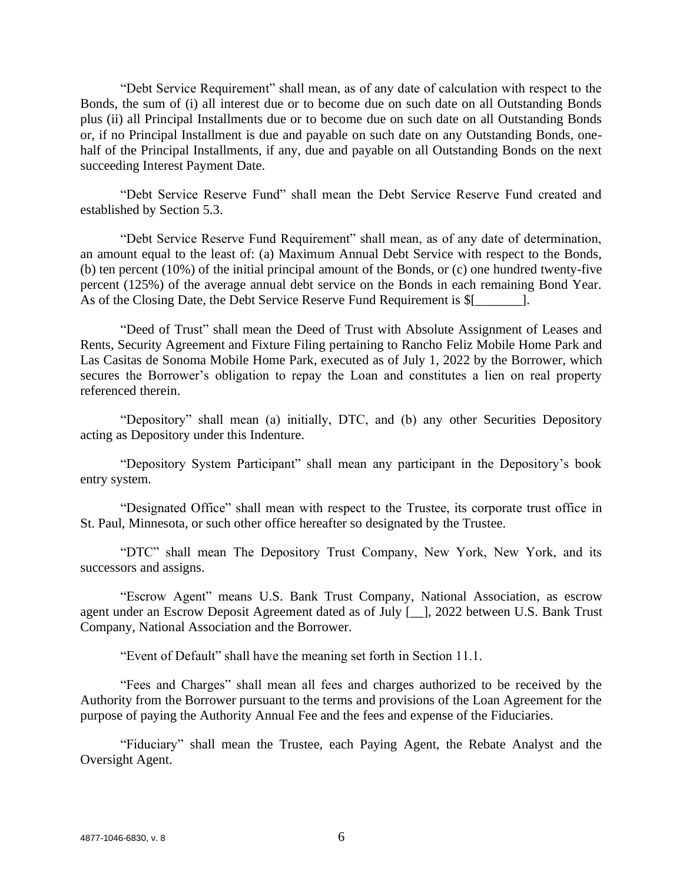"Debt Service Requirement" shall mean, as of any date of calculation with respect to the Bonds, the sum of (i) all interest due or to become due on such date on all Outstanding Bonds plus (ii) all Principal Installments due or to become due on such date on all Outstanding Bonds or, if no Principal Installment is due and payable on such date on any Outstanding Bonds, onehalf of the Principal Installments, if any, due and payable on all Outstanding Bonds on the next succeeding Interest Payment Date.

"Debt Service Reserve Fund" shall mean the Debt Service Reserve Fund created and established by Section 5.3.

"Debt Service Reserve Fund Requirement" shall mean, as of any date of determination, an amount equal to the least of: (a) Maximum Annual Debt Service with respect to the Bonds, (b) ten percent (10%) of the initial principal amount of the Bonds, or (c) one hundred twenty-five percent (125%) of the average annual debt service on the Bonds in each remaining Bond Year. As of the Closing Date, the Debt Service Reserve Fund Requirement is  $$$ [...].

"Deed of Trust" shall mean the Deed of Trust with Absolute Assignment of Leases and Rents, Security Agreement and Fixture Filing pertaining to Rancho Feliz Mobile Home Park and Las Casitas de Sonoma Mobile Home Park, executed as of July 1, 2022 by the Borrower, which secures the Borrower's obligation to repay the Loan and constitutes a lien on real property referenced therein.

"Depository" shall mean (a) initially, DTC, and (b) any other Securities Depository acting as Depository under this Indenture.

"Depository System Participant" shall mean any participant in the Depository's book entry system.

"Designated Office" shall mean with respect to the Trustee, its corporate trust office in St. Paul, Minnesota, or such other office hereafter so designated by the Trustee.

"DTC" shall mean The Depository Trust Company, New York, New York, and its successors and assigns.

"Escrow Agent" means U.S. Bank Trust Company, National Association, as escrow agent under an Escrow Deposit Agreement dated as of July [\_\_], 2022 between U.S. Bank Trust Company, National Association and the Borrower.

"Event of Default" shall have the meaning set forth in Section 11.1.

"Fees and Charges" shall mean all fees and charges authorized to be received by the Authority from the Borrower pursuant to the terms and provisions of the Loan Agreement for the purpose of paying the Authority Annual Fee and the fees and expense of the Fiduciaries.

"Fiduciary" shall mean the Trustee, each Paying Agent, the Rebate Analyst and the Oversight Agent.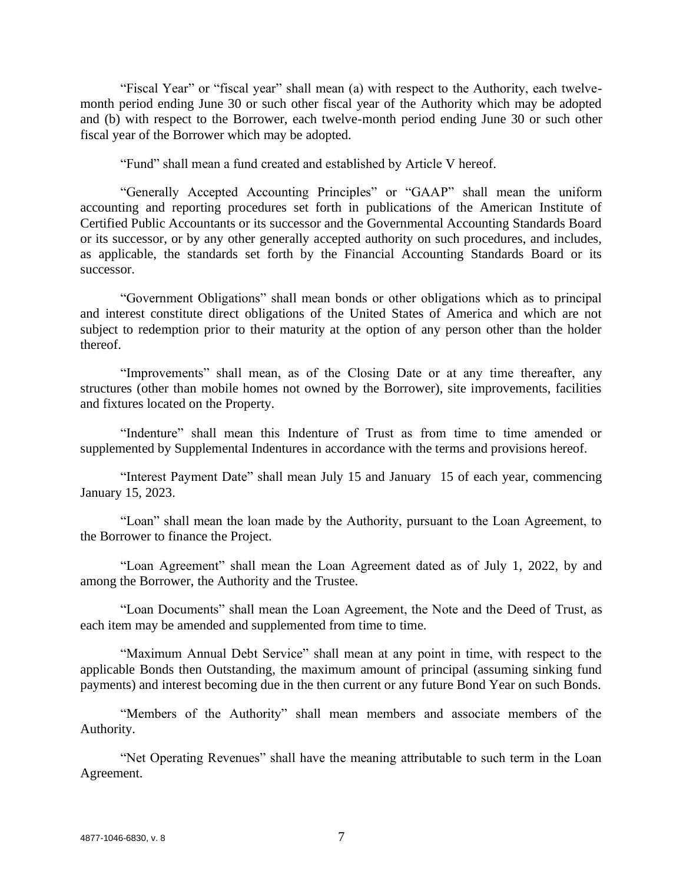"Fiscal Year" or "fiscal year" shall mean (a) with respect to the Authority, each twelvemonth period ending June 30 or such other fiscal year of the Authority which may be adopted and (b) with respect to the Borrower, each twelve-month period ending June 30 or such other fiscal year of the Borrower which may be adopted.

"Fund" shall mean a fund created and established by Article V hereof.

"Generally Accepted Accounting Principles" or "GAAP" shall mean the uniform accounting and reporting procedures set forth in publications of the American Institute of Certified Public Accountants or its successor and the Governmental Accounting Standards Board or its successor, or by any other generally accepted authority on such procedures, and includes, as applicable, the standards set forth by the Financial Accounting Standards Board or its successor.

"Government Obligations" shall mean bonds or other obligations which as to principal and interest constitute direct obligations of the United States of America and which are not subject to redemption prior to their maturity at the option of any person other than the holder thereof.

"Improvements" shall mean, as of the Closing Date or at any time thereafter, any structures (other than mobile homes not owned by the Borrower), site improvements, facilities and fixtures located on the Property.

"Indenture" shall mean this Indenture of Trust as from time to time amended or supplemented by Supplemental Indentures in accordance with the terms and provisions hereof.

"Interest Payment Date" shall mean July 15 and January 15 of each year, commencing January 15, 2023.

"Loan" shall mean the loan made by the Authority, pursuant to the Loan Agreement, to the Borrower to finance the Project.

"Loan Agreement" shall mean the Loan Agreement dated as of July 1, 2022, by and among the Borrower, the Authority and the Trustee.

"Loan Documents" shall mean the Loan Agreement, the Note and the Deed of Trust, as each item may be amended and supplemented from time to time.

"Maximum Annual Debt Service" shall mean at any point in time, with respect to the applicable Bonds then Outstanding, the maximum amount of principal (assuming sinking fund payments) and interest becoming due in the then current or any future Bond Year on such Bonds.

"Members of the Authority" shall mean members and associate members of the Authority.

"Net Operating Revenues" shall have the meaning attributable to such term in the Loan Agreement.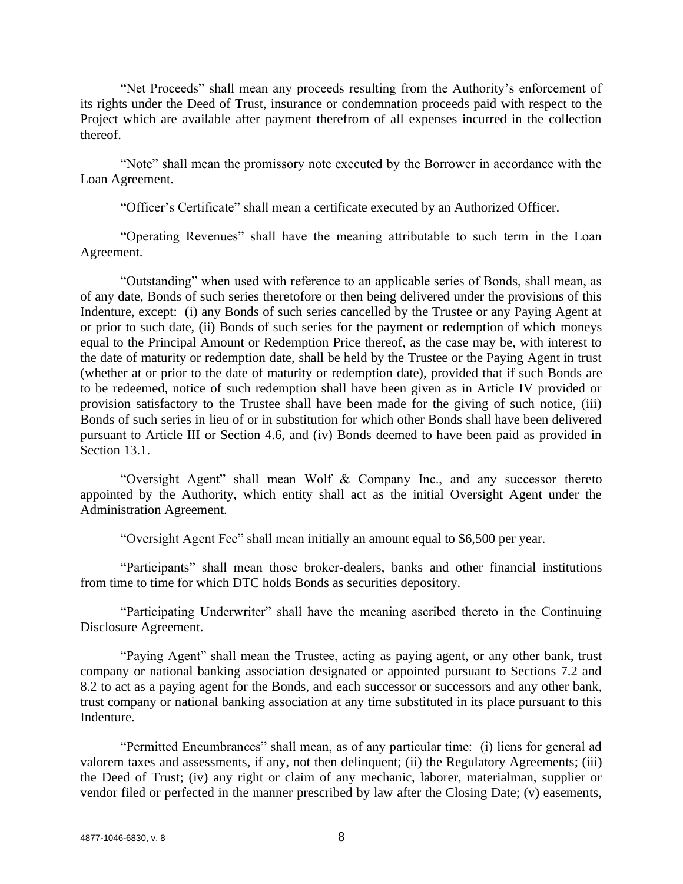"Net Proceeds" shall mean any proceeds resulting from the Authority's enforcement of its rights under the Deed of Trust, insurance or condemnation proceeds paid with respect to the Project which are available after payment therefrom of all expenses incurred in the collection thereof.

"Note" shall mean the promissory note executed by the Borrower in accordance with the Loan Agreement.

"Officer's Certificate" shall mean a certificate executed by an Authorized Officer.

"Operating Revenues" shall have the meaning attributable to such term in the Loan Agreement.

"Outstanding" when used with reference to an applicable series of Bonds, shall mean, as of any date, Bonds of such series theretofore or then being delivered under the provisions of this Indenture, except: (i) any Bonds of such series cancelled by the Trustee or any Paying Agent at or prior to such date, (ii) Bonds of such series for the payment or redemption of which moneys equal to the Principal Amount or Redemption Price thereof, as the case may be, with interest to the date of maturity or redemption date, shall be held by the Trustee or the Paying Agent in trust (whether at or prior to the date of maturity or redemption date), provided that if such Bonds are to be redeemed, notice of such redemption shall have been given as in Article IV provided or provision satisfactory to the Trustee shall have been made for the giving of such notice, (iii) Bonds of such series in lieu of or in substitution for which other Bonds shall have been delivered pursuant to Article III or Section 4.6, and (iv) Bonds deemed to have been paid as provided in Section 13.1.

"Oversight Agent" shall mean Wolf & Company Inc., and any successor thereto appointed by the Authority, which entity shall act as the initial Oversight Agent under the Administration Agreement.

"Oversight Agent Fee" shall mean initially an amount equal to \$6,500 per year.

"Participants" shall mean those broker-dealers, banks and other financial institutions from time to time for which DTC holds Bonds as securities depository.

"Participating Underwriter" shall have the meaning ascribed thereto in the Continuing Disclosure Agreement.

"Paying Agent" shall mean the Trustee, acting as paying agent, or any other bank, trust company or national banking association designated or appointed pursuant to Sections 7.2 and 8.2 to act as a paying agent for the Bonds, and each successor or successors and any other bank, trust company or national banking association at any time substituted in its place pursuant to this Indenture.

"Permitted Encumbrances" shall mean, as of any particular time: (i) liens for general ad valorem taxes and assessments, if any, not then delinquent; (ii) the Regulatory Agreements; (iii) the Deed of Trust; (iv) any right or claim of any mechanic, laborer, materialman, supplier or vendor filed or perfected in the manner prescribed by law after the Closing Date; (v) easements,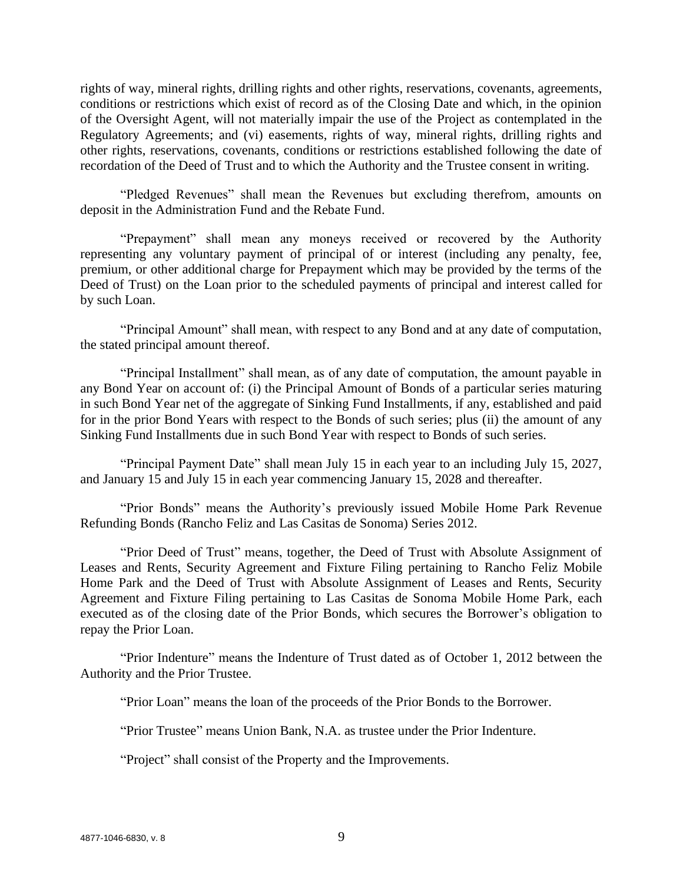rights of way, mineral rights, drilling rights and other rights, reservations, covenants, agreements, conditions or restrictions which exist of record as of the Closing Date and which, in the opinion of the Oversight Agent, will not materially impair the use of the Project as contemplated in the Regulatory Agreements; and (vi) easements, rights of way, mineral rights, drilling rights and other rights, reservations, covenants, conditions or restrictions established following the date of recordation of the Deed of Trust and to which the Authority and the Trustee consent in writing.

"Pledged Revenues" shall mean the Revenues but excluding therefrom, amounts on deposit in the Administration Fund and the Rebate Fund.

"Prepayment" shall mean any moneys received or recovered by the Authority representing any voluntary payment of principal of or interest (including any penalty, fee, premium, or other additional charge for Prepayment which may be provided by the terms of the Deed of Trust) on the Loan prior to the scheduled payments of principal and interest called for by such Loan.

"Principal Amount" shall mean, with respect to any Bond and at any date of computation, the stated principal amount thereof.

"Principal Installment" shall mean, as of any date of computation, the amount payable in any Bond Year on account of: (i) the Principal Amount of Bonds of a particular series maturing in such Bond Year net of the aggregate of Sinking Fund Installments, if any, established and paid for in the prior Bond Years with respect to the Bonds of such series; plus (ii) the amount of any Sinking Fund Installments due in such Bond Year with respect to Bonds of such series.

"Principal Payment Date" shall mean July 15 in each year to an including July 15, 2027, and January 15 and July 15 in each year commencing January 15, 2028 and thereafter.

"Prior Bonds" means the Authority's previously issued Mobile Home Park Revenue Refunding Bonds (Rancho Feliz and Las Casitas de Sonoma) Series 2012.

"Prior Deed of Trust" means, together, the Deed of Trust with Absolute Assignment of Leases and Rents, Security Agreement and Fixture Filing pertaining to Rancho Feliz Mobile Home Park and the Deed of Trust with Absolute Assignment of Leases and Rents, Security Agreement and Fixture Filing pertaining to Las Casitas de Sonoma Mobile Home Park, each executed as of the closing date of the Prior Bonds, which secures the Borrower's obligation to repay the Prior Loan.

"Prior Indenture" means the Indenture of Trust dated as of October 1, 2012 between the Authority and the Prior Trustee.

"Prior Loan" means the loan of the proceeds of the Prior Bonds to the Borrower.

"Prior Trustee" means Union Bank, N.A. as trustee under the Prior Indenture.

"Project" shall consist of the Property and the Improvements.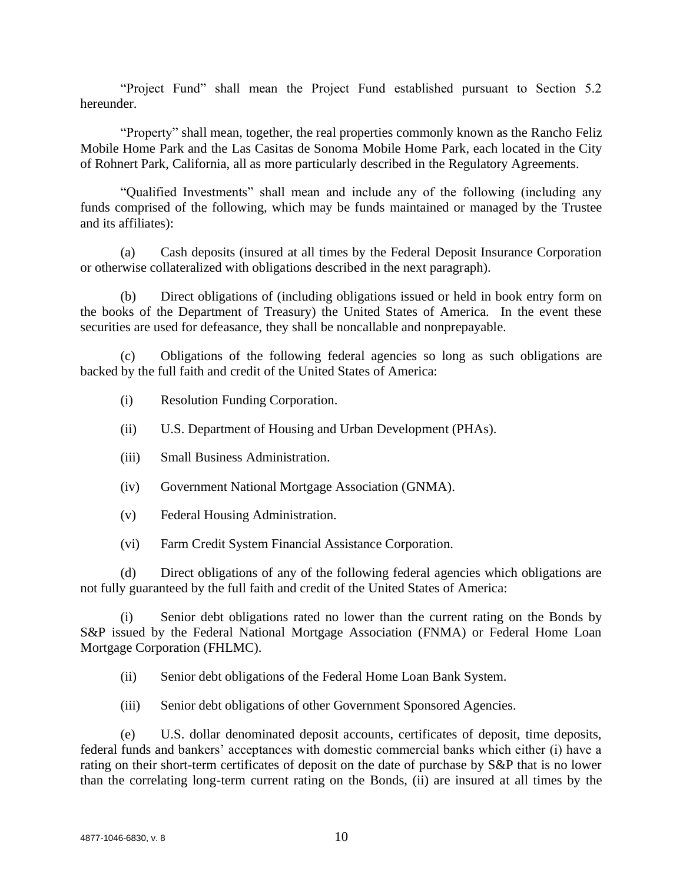"Project Fund" shall mean the Project Fund established pursuant to Section 5.2 hereunder.

"Property" shall mean, together, the real properties commonly known as the Rancho Feliz Mobile Home Park and the Las Casitas de Sonoma Mobile Home Park, each located in the City of Rohnert Park, California, all as more particularly described in the Regulatory Agreements.

"Qualified Investments" shall mean and include any of the following (including any funds comprised of the following, which may be funds maintained or managed by the Trustee and its affiliates):

(a) Cash deposits (insured at all times by the Federal Deposit Insurance Corporation or otherwise collateralized with obligations described in the next paragraph).

(b) Direct obligations of (including obligations issued or held in book entry form on the books of the Department of Treasury) the United States of America. In the event these securities are used for defeasance, they shall be noncallable and nonprepayable.

(c) Obligations of the following federal agencies so long as such obligations are backed by the full faith and credit of the United States of America:

(i) Resolution Funding Corporation.

(ii) U.S. Department of Housing and Urban Development (PHAs).

- (iii) Small Business Administration.
- (iv) Government National Mortgage Association (GNMA).
- (v) Federal Housing Administration.
- (vi) Farm Credit System Financial Assistance Corporation.

(d) Direct obligations of any of the following federal agencies which obligations are not fully guaranteed by the full faith and credit of the United States of America:

(i) Senior debt obligations rated no lower than the current rating on the Bonds by S&P issued by the Federal National Mortgage Association (FNMA) or Federal Home Loan Mortgage Corporation (FHLMC).

(ii) Senior debt obligations of the Federal Home Loan Bank System.

(iii) Senior debt obligations of other Government Sponsored Agencies.

(e) U.S. dollar denominated deposit accounts, certificates of deposit, time deposits, federal funds and bankers' acceptances with domestic commercial banks which either (i) have a rating on their short-term certificates of deposit on the date of purchase by S&P that is no lower than the correlating long-term current rating on the Bonds, (ii) are insured at all times by the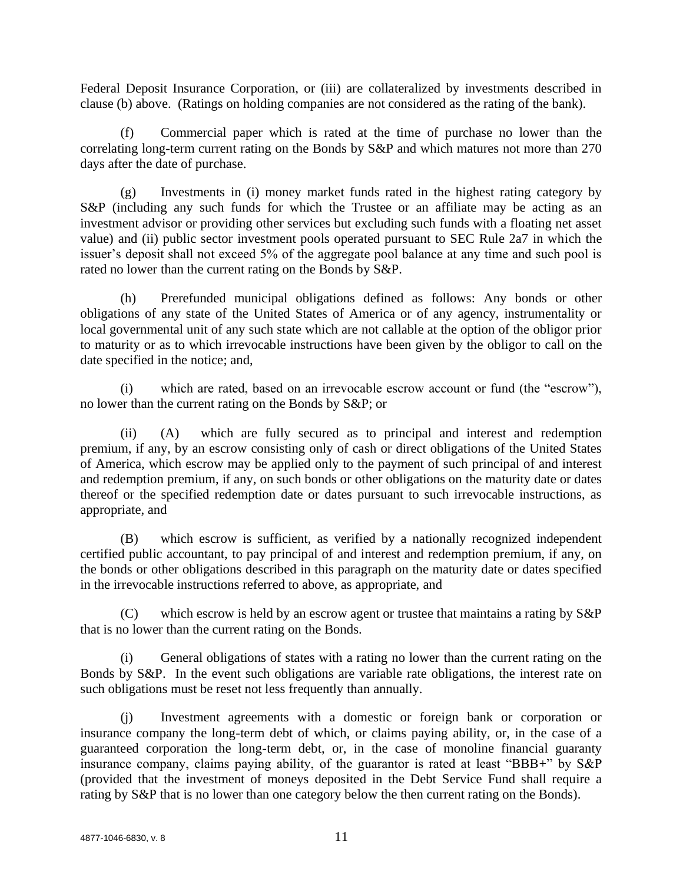Federal Deposit Insurance Corporation, or (iii) are collateralized by investments described in clause (b) above. (Ratings on holding companies are not considered as the rating of the bank).

(f) Commercial paper which is rated at the time of purchase no lower than the correlating long-term current rating on the Bonds by S&P and which matures not more than 270 days after the date of purchase.

(g) Investments in (i) money market funds rated in the highest rating category by S&P (including any such funds for which the Trustee or an affiliate may be acting as an investment advisor or providing other services but excluding such funds with a floating net asset value) and (ii) public sector investment pools operated pursuant to SEC Rule 2a7 in which the issuer's deposit shall not exceed 5% of the aggregate pool balance at any time and such pool is rated no lower than the current rating on the Bonds by S&P.

(h) Prerefunded municipal obligations defined as follows: Any bonds or other obligations of any state of the United States of America or of any agency, instrumentality or local governmental unit of any such state which are not callable at the option of the obligor prior to maturity or as to which irrevocable instructions have been given by the obligor to call on the date specified in the notice; and,

(i) which are rated, based on an irrevocable escrow account or fund (the "escrow"), no lower than the current rating on the Bonds by S&P; or

(ii) (A) which are fully secured as to principal and interest and redemption premium, if any, by an escrow consisting only of cash or direct obligations of the United States of America, which escrow may be applied only to the payment of such principal of and interest and redemption premium, if any, on such bonds or other obligations on the maturity date or dates thereof or the specified redemption date or dates pursuant to such irrevocable instructions, as appropriate, and

(B) which escrow is sufficient, as verified by a nationally recognized independent certified public accountant, to pay principal of and interest and redemption premium, if any, on the bonds or other obligations described in this paragraph on the maturity date or dates specified in the irrevocable instructions referred to above, as appropriate, and

(C) which escrow is held by an escrow agent or trustee that maintains a rating by S&P that is no lower than the current rating on the Bonds.

(i) General obligations of states with a rating no lower than the current rating on the Bonds by S&P. In the event such obligations are variable rate obligations, the interest rate on such obligations must be reset not less frequently than annually.

(j) Investment agreements with a domestic or foreign bank or corporation or insurance company the long-term debt of which, or claims paying ability, or, in the case of a guaranteed corporation the long-term debt, or, in the case of monoline financial guaranty insurance company, claims paying ability, of the guarantor is rated at least "BBB+" by S&P (provided that the investment of moneys deposited in the Debt Service Fund shall require a rating by S&P that is no lower than one category below the then current rating on the Bonds).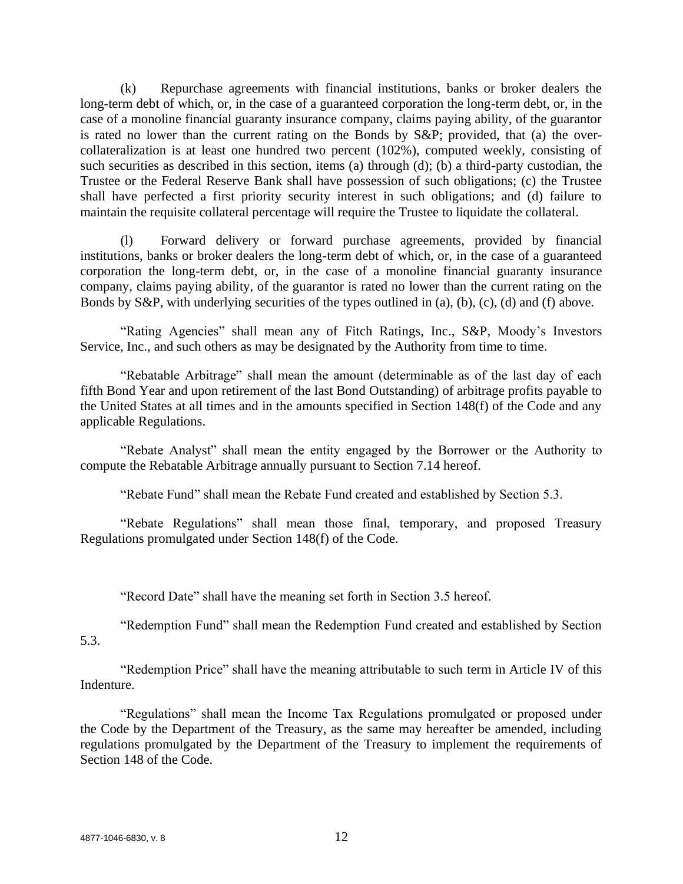(k) Repurchase agreements with financial institutions, banks or broker dealers the long-term debt of which, or, in the case of a guaranteed corporation the long-term debt, or, in the case of a monoline financial guaranty insurance company, claims paying ability, of the guarantor is rated no lower than the current rating on the Bonds by S&P; provided, that (a) the overcollateralization is at least one hundred two percent (102%), computed weekly, consisting of such securities as described in this section, items (a) through (d); (b) a third-party custodian, the Trustee or the Federal Reserve Bank shall have possession of such obligations; (c) the Trustee shall have perfected a first priority security interest in such obligations; and (d) failure to maintain the requisite collateral percentage will require the Trustee to liquidate the collateral.

(l) Forward delivery or forward purchase agreements, provided by financial institutions, banks or broker dealers the long-term debt of which, or, in the case of a guaranteed corporation the long-term debt, or, in the case of a monoline financial guaranty insurance company, claims paying ability, of the guarantor is rated no lower than the current rating on the Bonds by S&P, with underlying securities of the types outlined in (a), (b), (c), (d) and (f) above.

"Rating Agencies" shall mean any of Fitch Ratings, Inc., S&P, Moody's Investors Service, Inc., and such others as may be designated by the Authority from time to time.

"Rebatable Arbitrage" shall mean the amount (determinable as of the last day of each fifth Bond Year and upon retirement of the last Bond Outstanding) of arbitrage profits payable to the United States at all times and in the amounts specified in Section 148(f) of the Code and any applicable Regulations.

"Rebate Analyst" shall mean the entity engaged by the Borrower or the Authority to compute the Rebatable Arbitrage annually pursuant to Section 7.14 hereof.

"Rebate Fund" shall mean the Rebate Fund created and established by Section 5.3.

"Rebate Regulations" shall mean those final, temporary, and proposed Treasury Regulations promulgated under Section 148(f) of the Code.

"Record Date" shall have the meaning set forth in Section 3.5 hereof.

"Redemption Fund" shall mean the Redemption Fund created and established by Section 5.3.

"Redemption Price" shall have the meaning attributable to such term in Article IV of this Indenture.

"Regulations" shall mean the Income Tax Regulations promulgated or proposed under the Code by the Department of the Treasury, as the same may hereafter be amended, including regulations promulgated by the Department of the Treasury to implement the requirements of Section 148 of the Code.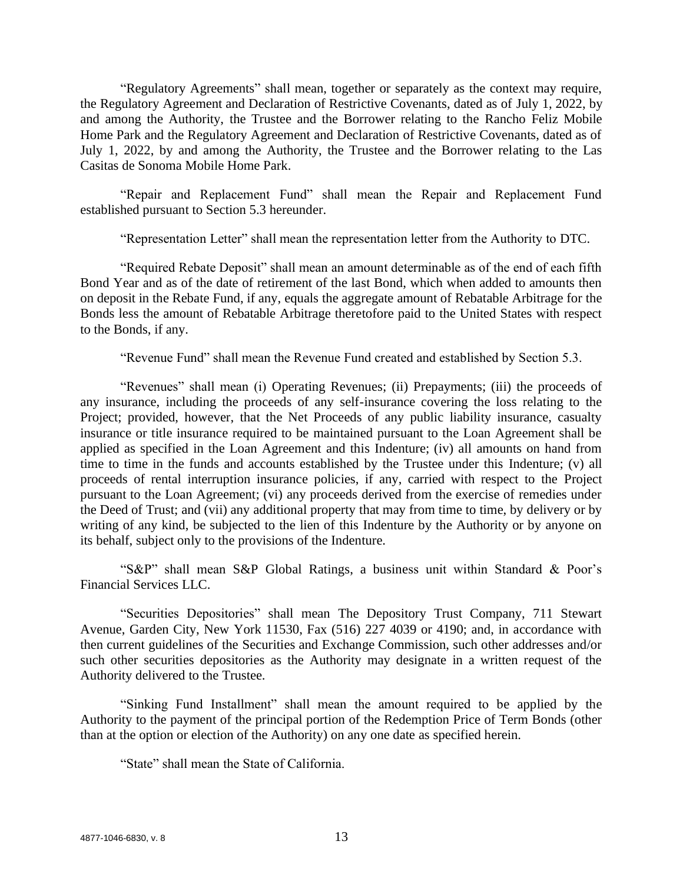"Regulatory Agreements" shall mean, together or separately as the context may require, the Regulatory Agreement and Declaration of Restrictive Covenants, dated as of July 1, 2022, by and among the Authority, the Trustee and the Borrower relating to the Rancho Feliz Mobile Home Park and the Regulatory Agreement and Declaration of Restrictive Covenants, dated as of July 1, 2022, by and among the Authority, the Trustee and the Borrower relating to the Las Casitas de Sonoma Mobile Home Park.

"Repair and Replacement Fund" shall mean the Repair and Replacement Fund established pursuant to Section 5.3 hereunder.

"Representation Letter" shall mean the representation letter from the Authority to DTC.

"Required Rebate Deposit" shall mean an amount determinable as of the end of each fifth Bond Year and as of the date of retirement of the last Bond, which when added to amounts then on deposit in the Rebate Fund, if any, equals the aggregate amount of Rebatable Arbitrage for the Bonds less the amount of Rebatable Arbitrage theretofore paid to the United States with respect to the Bonds, if any.

"Revenue Fund" shall mean the Revenue Fund created and established by Section 5.3.

"Revenues" shall mean (i) Operating Revenues; (ii) Prepayments; (iii) the proceeds of any insurance, including the proceeds of any self-insurance covering the loss relating to the Project; provided, however, that the Net Proceeds of any public liability insurance, casualty insurance or title insurance required to be maintained pursuant to the Loan Agreement shall be applied as specified in the Loan Agreement and this Indenture; (iv) all amounts on hand from time to time in the funds and accounts established by the Trustee under this Indenture; (v) all proceeds of rental interruption insurance policies, if any, carried with respect to the Project pursuant to the Loan Agreement; (vi) any proceeds derived from the exercise of remedies under the Deed of Trust; and (vii) any additional property that may from time to time, by delivery or by writing of any kind, be subjected to the lien of this Indenture by the Authority or by anyone on its behalf, subject only to the provisions of the Indenture.

"S&P" shall mean S&P Global Ratings, a business unit within Standard & Poor's Financial Services LLC.

"Securities Depositories" shall mean The Depository Trust Company, 711 Stewart Avenue, Garden City, New York 11530, Fax (516) 227 4039 or 4190; and, in accordance with then current guidelines of the Securities and Exchange Commission, such other addresses and/or such other securities depositories as the Authority may designate in a written request of the Authority delivered to the Trustee.

"Sinking Fund Installment" shall mean the amount required to be applied by the Authority to the payment of the principal portion of the Redemption Price of Term Bonds (other than at the option or election of the Authority) on any one date as specified herein.

"State" shall mean the State of California.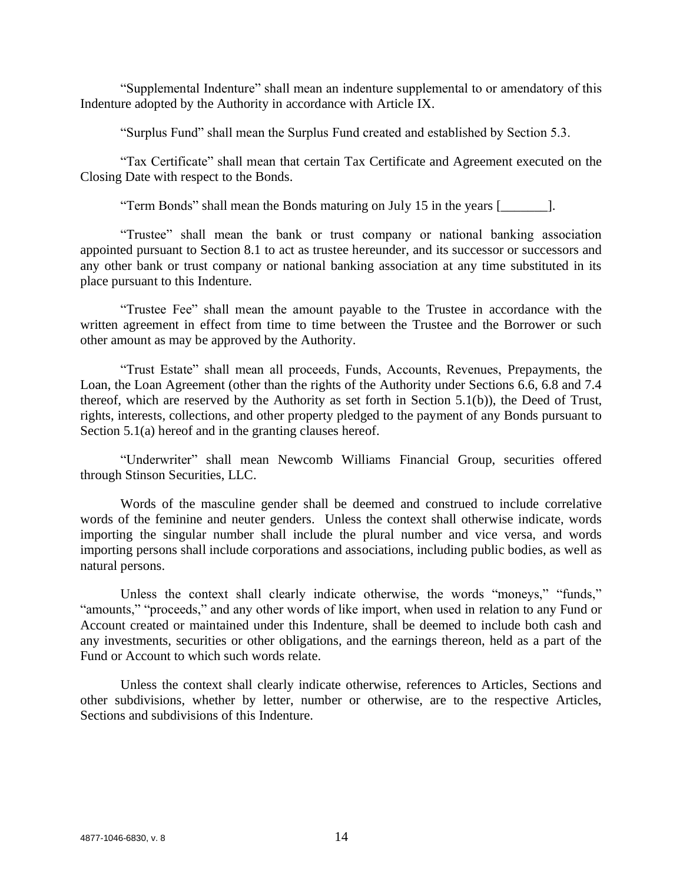"Supplemental Indenture" shall mean an indenture supplemental to or amendatory of this Indenture adopted by the Authority in accordance with Article IX.

"Surplus Fund" shall mean the Surplus Fund created and established by Section 5.3.

"Tax Certificate" shall mean that certain Tax Certificate and Agreement executed on the Closing Date with respect to the Bonds.

"Term Bonds" shall mean the Bonds maturing on July 15 in the years [\_\_\_\_\_\_\_].

"Trustee" shall mean the bank or trust company or national banking association appointed pursuant to Section 8.1 to act as trustee hereunder, and its successor or successors and any other bank or trust company or national banking association at any time substituted in its place pursuant to this Indenture.

"Trustee Fee" shall mean the amount payable to the Trustee in accordance with the written agreement in effect from time to time between the Trustee and the Borrower or such other amount as may be approved by the Authority.

"Trust Estate" shall mean all proceeds, Funds, Accounts, Revenues, Prepayments, the Loan, the Loan Agreement (other than the rights of the Authority under Sections 6.6, 6.8 and 7.4 thereof, which are reserved by the Authority as set forth in Section 5.1(b)), the Deed of Trust, rights, interests, collections, and other property pledged to the payment of any Bonds pursuant to Section 5.1(a) hereof and in the granting clauses hereof.

"Underwriter" shall mean Newcomb Williams Financial Group, securities offered through Stinson Securities, LLC.

Words of the masculine gender shall be deemed and construed to include correlative words of the feminine and neuter genders. Unless the context shall otherwise indicate, words importing the singular number shall include the plural number and vice versa, and words importing persons shall include corporations and associations, including public bodies, as well as natural persons.

Unless the context shall clearly indicate otherwise, the words "moneys," "funds," "amounts," "proceeds," and any other words of like import, when used in relation to any Fund or Account created or maintained under this Indenture, shall be deemed to include both cash and any investments, securities or other obligations, and the earnings thereon, held as a part of the Fund or Account to which such words relate.

Unless the context shall clearly indicate otherwise, references to Articles, Sections and other subdivisions, whether by letter, number or otherwise, are to the respective Articles, Sections and subdivisions of this Indenture.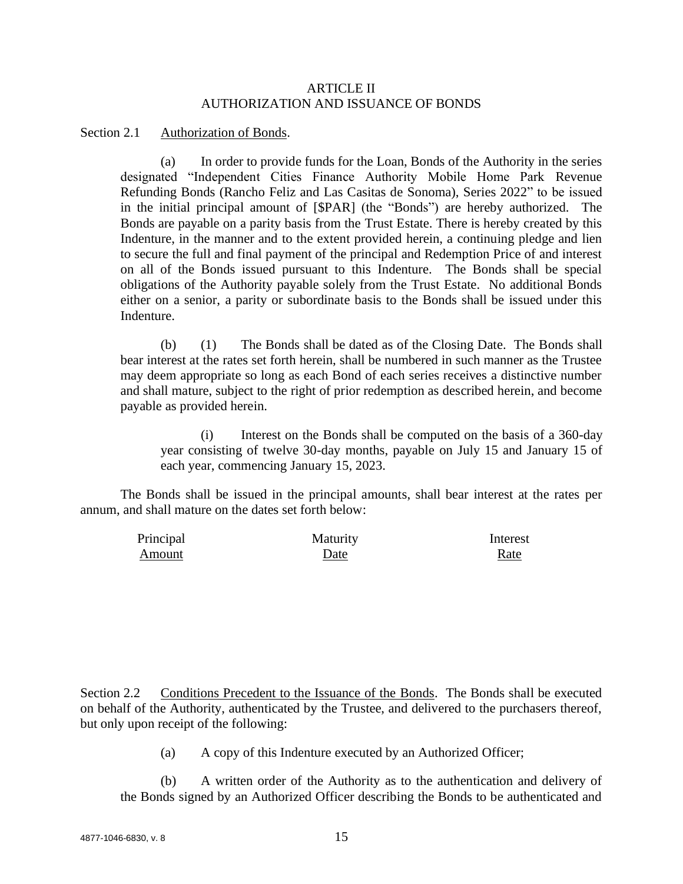### ARTICLE II AUTHORIZATION AND ISSUANCE OF BONDS

### Section 2.1 Authorization of Bonds.

(a) In order to provide funds for the Loan, Bonds of the Authority in the series designated "Independent Cities Finance Authority Mobile Home Park Revenue Refunding Bonds (Rancho Feliz and Las Casitas de Sonoma), Series 2022" to be issued in the initial principal amount of [\$PAR] (the "Bonds") are hereby authorized. The Bonds are payable on a parity basis from the Trust Estate. There is hereby created by this Indenture, in the manner and to the extent provided herein, a continuing pledge and lien to secure the full and final payment of the principal and Redemption Price of and interest on all of the Bonds issued pursuant to this Indenture. The Bonds shall be special obligations of the Authority payable solely from the Trust Estate. No additional Bonds either on a senior, a parity or subordinate basis to the Bonds shall be issued under this Indenture.

(b) (1) The Bonds shall be dated as of the Closing Date. The Bonds shall bear interest at the rates set forth herein, shall be numbered in such manner as the Trustee may deem appropriate so long as each Bond of each series receives a distinctive number and shall mature, subject to the right of prior redemption as described herein, and become payable as provided herein.

(i) Interest on the Bonds shall be computed on the basis of a 360-day year consisting of twelve 30-day months, payable on July 15 and January 15 of each year, commencing January 15, 2023.

The Bonds shall be issued in the principal amounts, shall bear interest at the rates per annum, and shall mature on the dates set forth below:

| Principal | Maturity | Interest |
|-----------|----------|----------|
| Amount    | Date     | Rate     |

Section 2.2 Conditions Precedent to the Issuance of the Bonds. The Bonds shall be executed on behalf of the Authority, authenticated by the Trustee, and delivered to the purchasers thereof, but only upon receipt of the following:

(a) A copy of this Indenture executed by an Authorized Officer;

(b) A written order of the Authority as to the authentication and delivery of the Bonds signed by an Authorized Officer describing the Bonds to be authenticated and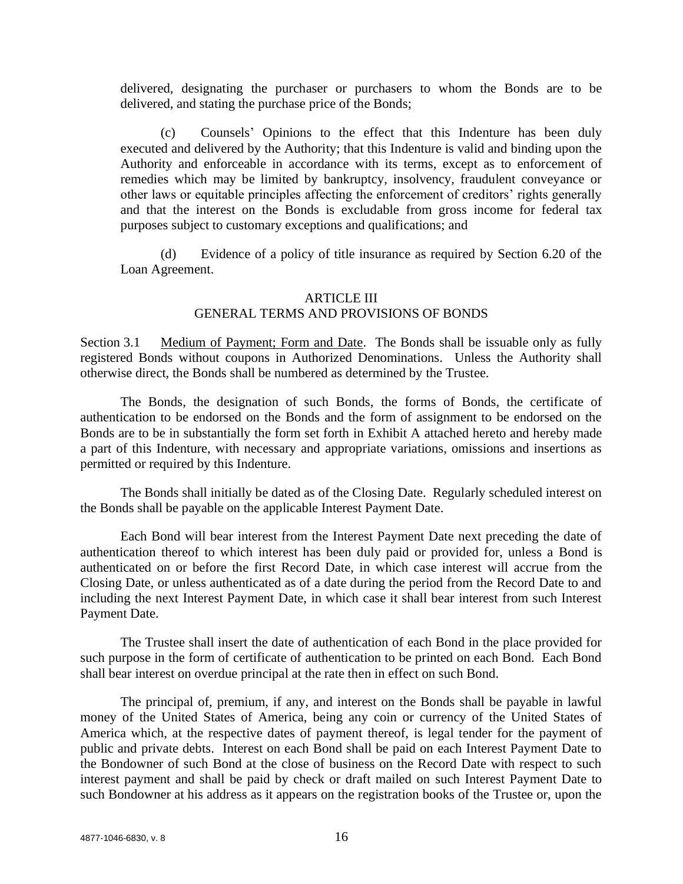delivered, designating the purchaser or purchasers to whom the Bonds are to be delivered, and stating the purchase price of the Bonds;

(c) Counsels' Opinions to the effect that this Indenture has been duly executed and delivered by the Authority; that this Indenture is valid and binding upon the Authority and enforceable in accordance with its terms, except as to enforcement of remedies which may be limited by bankruptcy, insolvency, fraudulent conveyance or other laws or equitable principles affecting the enforcement of creditors' rights generally and that the interest on the Bonds is excludable from gross income for federal tax purposes subject to customary exceptions and qualifications; and

(d) Evidence of a policy of title insurance as required by Section 6.20 of the Loan Agreement.

### **ARTICLE III**

### GENERAL TERMS AND PROVISIONS OF BONDS

Section 3.1 Medium of Payment; Form and Date. The Bonds shall be issuable only as fully registered Bonds without coupons in Authorized Denominations. Unless the Authority shall otherwise direct, the Bonds shall be numbered as determined by the Trustee.

The Bonds, the designation of such Bonds, the forms of Bonds, the certificate of authentication to be endorsed on the Bonds and the form of assignment to be endorsed on the Bonds are to be in substantially the form set forth in Exhibit A attached hereto and hereby made a part of this Indenture, with necessary and appropriate variations, omissions and insertions as permitted or required by this Indenture.

The Bonds shall initially be dated as of the Closing Date. Regularly scheduled interest on the Bonds shall be payable on the applicable Interest Payment Date.

Each Bond will bear interest from the Interest Payment Date next preceding the date of authentication thereof to which interest has been duly paid or provided for, unless a Bond is authenticated on or before the first Record Date, in which case interest will accrue from the Closing Date, or unless authenticated as of a date during the period from the Record Date to and including the next Interest Payment Date, in which case it shall bear interest from such Interest Payment Date.

The Trustee shall insert the date of authentication of each Bond in the place provided for such purpose in the form of certificate of authentication to be printed on each Bond. Each Bond shall bear interest on overdue principal at the rate then in effect on such Bond.

The principal of, premium, if any, and interest on the Bonds shall be payable in lawful money of the United States of America, being any coin or currency of the United States of America which, at the respective dates of payment thereof, is legal tender for the payment of public and private debts. Interest on each Bond shall be paid on each Interest Payment Date to the Bondowner of such Bond at the close of business on the Record Date with respect to such interest payment and shall be paid by check or draft mailed on such Interest Payment Date to such Bondowner at his address as it appears on the registration books of the Trustee or, upon the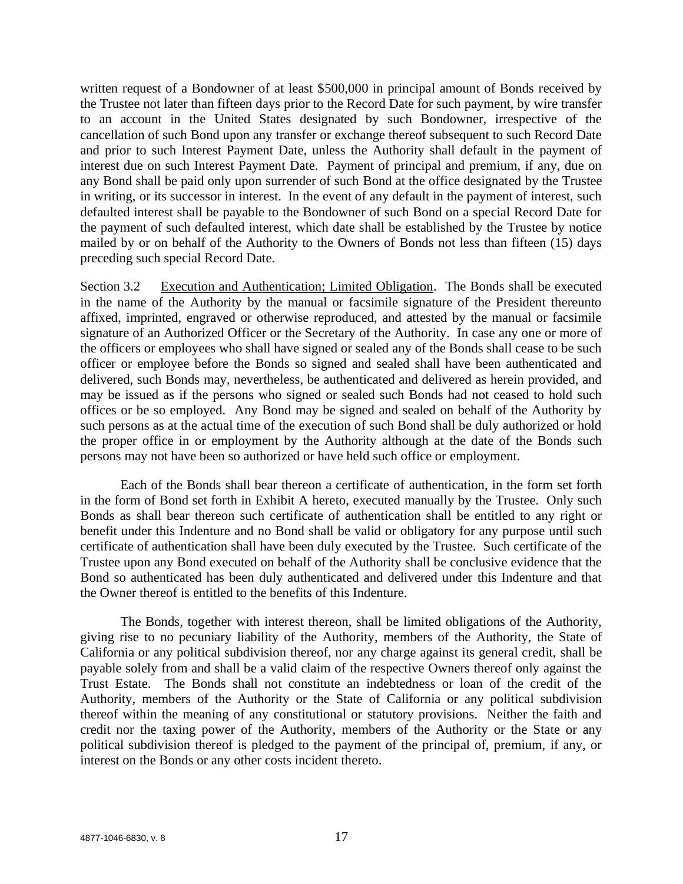written request of a Bondowner of at least \$500,000 in principal amount of Bonds received by the Trustee not later than fifteen days prior to the Record Date for such payment, by wire transfer to an account in the United States designated by such Bondowner, irrespective of the cancellation of such Bond upon any transfer or exchange thereof subsequent to such Record Date and prior to such Interest Payment Date, unless the Authority shall default in the payment of interest due on such Interest Payment Date. Payment of principal and premium, if any, due on any Bond shall be paid only upon surrender of such Bond at the office designated by the Trustee in writing, or its successor in interest. In the event of any default in the payment of interest, such defaulted interest shall be payable to the Bondowner of such Bond on a special Record Date for the payment of such defaulted interest, which date shall be established by the Trustee by notice mailed by or on behalf of the Authority to the Owners of Bonds not less than fifteen (15) days preceding such special Record Date.

Section 3.2 Execution and Authentication; Limited Obligation. The Bonds shall be executed in the name of the Authority by the manual or facsimile signature of the President thereunto affixed, imprinted, engraved or otherwise reproduced, and attested by the manual or facsimile signature of an Authorized Officer or the Secretary of the Authority. In case any one or more of the officers or employees who shall have signed or sealed any of the Bonds shall cease to be such officer or employee before the Bonds so signed and sealed shall have been authenticated and delivered, such Bonds may, nevertheless, be authenticated and delivered as herein provided, and may be issued as if the persons who signed or sealed such Bonds had not ceased to hold such offices or be so employed. Any Bond may be signed and sealed on behalf of the Authority by such persons as at the actual time of the execution of such Bond shall be duly authorized or hold the proper office in or employment by the Authority although at the date of the Bonds such persons may not have been so authorized or have held such office or employment.

Each of the Bonds shall bear thereon a certificate of authentication, in the form set forth in the form of Bond set forth in Exhibit A hereto, executed manually by the Trustee. Only such Bonds as shall bear thereon such certificate of authentication shall be entitled to any right or benefit under this Indenture and no Bond shall be valid or obligatory for any purpose until such certificate of authentication shall have been duly executed by the Trustee. Such certificate of the Trustee upon any Bond executed on behalf of the Authority shall be conclusive evidence that the Bond so authenticated has been duly authenticated and delivered under this Indenture and that the Owner thereof is entitled to the benefits of this Indenture.

The Bonds, together with interest thereon, shall be limited obligations of the Authority, giving rise to no pecuniary liability of the Authority, members of the Authority, the State of California or any political subdivision thereof, nor any charge against its general credit, shall be payable solely from and shall be a valid claim of the respective Owners thereof only against the Trust Estate. The Bonds shall not constitute an indebtedness or loan of the credit of the Authority, members of the Authority or the State of California or any political subdivision thereof within the meaning of any constitutional or statutory provisions. Neither the faith and credit nor the taxing power of the Authority, members of the Authority or the State or any political subdivision thereof is pledged to the payment of the principal of, premium, if any, or interest on the Bonds or any other costs incident thereto.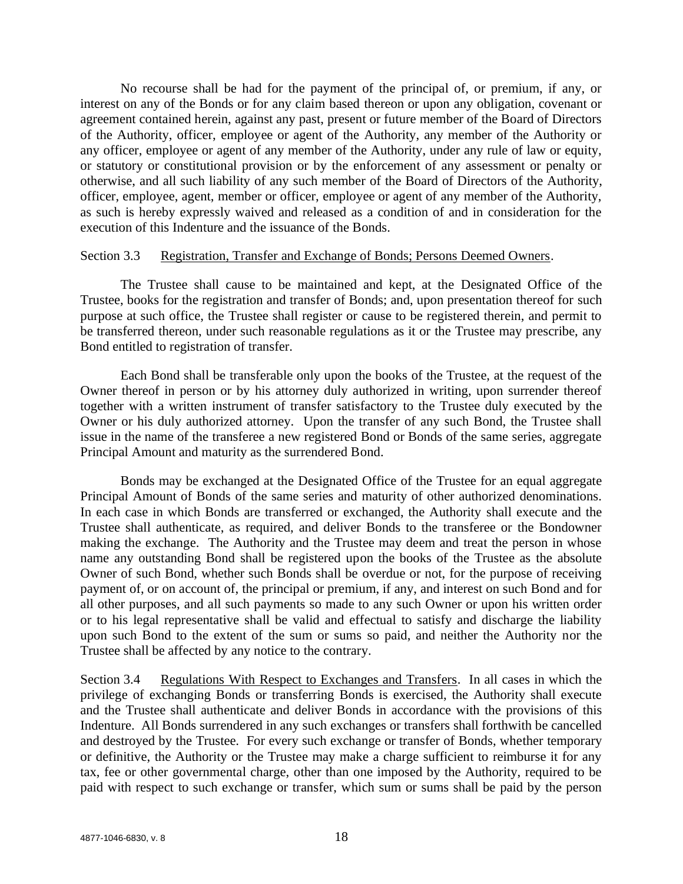No recourse shall be had for the payment of the principal of, or premium, if any, or interest on any of the Bonds or for any claim based thereon or upon any obligation, covenant or agreement contained herein, against any past, present or future member of the Board of Directors of the Authority, officer, employee or agent of the Authority, any member of the Authority or any officer, employee or agent of any member of the Authority, under any rule of law or equity, or statutory or constitutional provision or by the enforcement of any assessment or penalty or otherwise, and all such liability of any such member of the Board of Directors of the Authority, officer, employee, agent, member or officer, employee or agent of any member of the Authority, as such is hereby expressly waived and released as a condition of and in consideration for the execution of this Indenture and the issuance of the Bonds.

### Section 3.3 Registration, Transfer and Exchange of Bonds; Persons Deemed Owners.

The Trustee shall cause to be maintained and kept, at the Designated Office of the Trustee, books for the registration and transfer of Bonds; and, upon presentation thereof for such purpose at such office, the Trustee shall register or cause to be registered therein, and permit to be transferred thereon, under such reasonable regulations as it or the Trustee may prescribe, any Bond entitled to registration of transfer.

Each Bond shall be transferable only upon the books of the Trustee, at the request of the Owner thereof in person or by his attorney duly authorized in writing, upon surrender thereof together with a written instrument of transfer satisfactory to the Trustee duly executed by the Owner or his duly authorized attorney. Upon the transfer of any such Bond, the Trustee shall issue in the name of the transferee a new registered Bond or Bonds of the same series, aggregate Principal Amount and maturity as the surrendered Bond.

Bonds may be exchanged at the Designated Office of the Trustee for an equal aggregate Principal Amount of Bonds of the same series and maturity of other authorized denominations. In each case in which Bonds are transferred or exchanged, the Authority shall execute and the Trustee shall authenticate, as required, and deliver Bonds to the transferee or the Bondowner making the exchange. The Authority and the Trustee may deem and treat the person in whose name any outstanding Bond shall be registered upon the books of the Trustee as the absolute Owner of such Bond, whether such Bonds shall be overdue or not, for the purpose of receiving payment of, or on account of, the principal or premium, if any, and interest on such Bond and for all other purposes, and all such payments so made to any such Owner or upon his written order or to his legal representative shall be valid and effectual to satisfy and discharge the liability upon such Bond to the extent of the sum or sums so paid, and neither the Authority nor the Trustee shall be affected by any notice to the contrary.

Section 3.4 Regulations With Respect to Exchanges and Transfers. In all cases in which the privilege of exchanging Bonds or transferring Bonds is exercised, the Authority shall execute and the Trustee shall authenticate and deliver Bonds in accordance with the provisions of this Indenture. All Bonds surrendered in any such exchanges or transfers shall forthwith be cancelled and destroyed by the Trustee. For every such exchange or transfer of Bonds, whether temporary or definitive, the Authority or the Trustee may make a charge sufficient to reimburse it for any tax, fee or other governmental charge, other than one imposed by the Authority, required to be paid with respect to such exchange or transfer, which sum or sums shall be paid by the person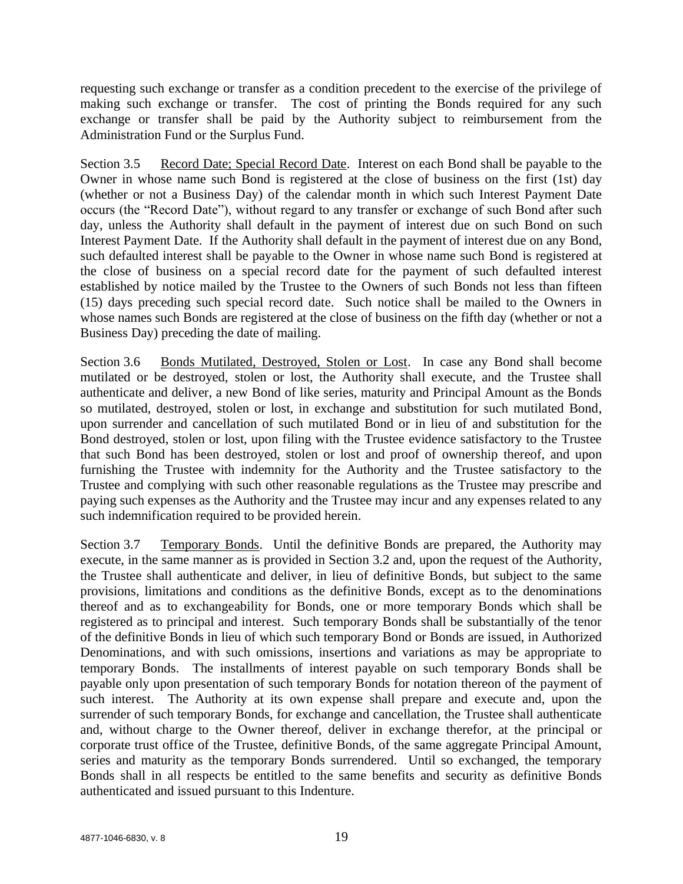requesting such exchange or transfer as a condition precedent to the exercise of the privilege of making such exchange or transfer. The cost of printing the Bonds required for any such exchange or transfer shall be paid by the Authority subject to reimbursement from the Administration Fund or the Surplus Fund.

Section 3.5 Record Date; Special Record Date. Interest on each Bond shall be payable to the Owner in whose name such Bond is registered at the close of business on the first (1st) day (whether or not a Business Day) of the calendar month in which such Interest Payment Date occurs (the "Record Date"), without regard to any transfer or exchange of such Bond after such day, unless the Authority shall default in the payment of interest due on such Bond on such Interest Payment Date. If the Authority shall default in the payment of interest due on any Bond, such defaulted interest shall be payable to the Owner in whose name such Bond is registered at the close of business on a special record date for the payment of such defaulted interest established by notice mailed by the Trustee to the Owners of such Bonds not less than fifteen (15) days preceding such special record date. Such notice shall be mailed to the Owners in whose names such Bonds are registered at the close of business on the fifth day (whether or not a Business Day) preceding the date of mailing.

Section 3.6 Bonds Mutilated, Destroyed, Stolen or Lost. In case any Bond shall become mutilated or be destroyed, stolen or lost, the Authority shall execute, and the Trustee shall authenticate and deliver, a new Bond of like series, maturity and Principal Amount as the Bonds so mutilated, destroyed, stolen or lost, in exchange and substitution for such mutilated Bond, upon surrender and cancellation of such mutilated Bond or in lieu of and substitution for the Bond destroyed, stolen or lost, upon filing with the Trustee evidence satisfactory to the Trustee that such Bond has been destroyed, stolen or lost and proof of ownership thereof, and upon furnishing the Trustee with indemnity for the Authority and the Trustee satisfactory to the Trustee and complying with such other reasonable regulations as the Trustee may prescribe and paying such expenses as the Authority and the Trustee may incur and any expenses related to any such indemnification required to be provided herein.

Section 3.7 Temporary Bonds. Until the definitive Bonds are prepared, the Authority may execute, in the same manner as is provided in Section 3.2 and, upon the request of the Authority, the Trustee shall authenticate and deliver, in lieu of definitive Bonds, but subject to the same provisions, limitations and conditions as the definitive Bonds, except as to the denominations thereof and as to exchangeability for Bonds, one or more temporary Bonds which shall be registered as to principal and interest. Such temporary Bonds shall be substantially of the tenor of the definitive Bonds in lieu of which such temporary Bond or Bonds are issued, in Authorized Denominations, and with such omissions, insertions and variations as may be appropriate to temporary Bonds. The installments of interest payable on such temporary Bonds shall be payable only upon presentation of such temporary Bonds for notation thereon of the payment of such interest. The Authority at its own expense shall prepare and execute and, upon the surrender of such temporary Bonds, for exchange and cancellation, the Trustee shall authenticate and, without charge to the Owner thereof, deliver in exchange therefor, at the principal or corporate trust office of the Trustee, definitive Bonds, of the same aggregate Principal Amount, series and maturity as the temporary Bonds surrendered. Until so exchanged, the temporary Bonds shall in all respects be entitled to the same benefits and security as definitive Bonds authenticated and issued pursuant to this Indenture.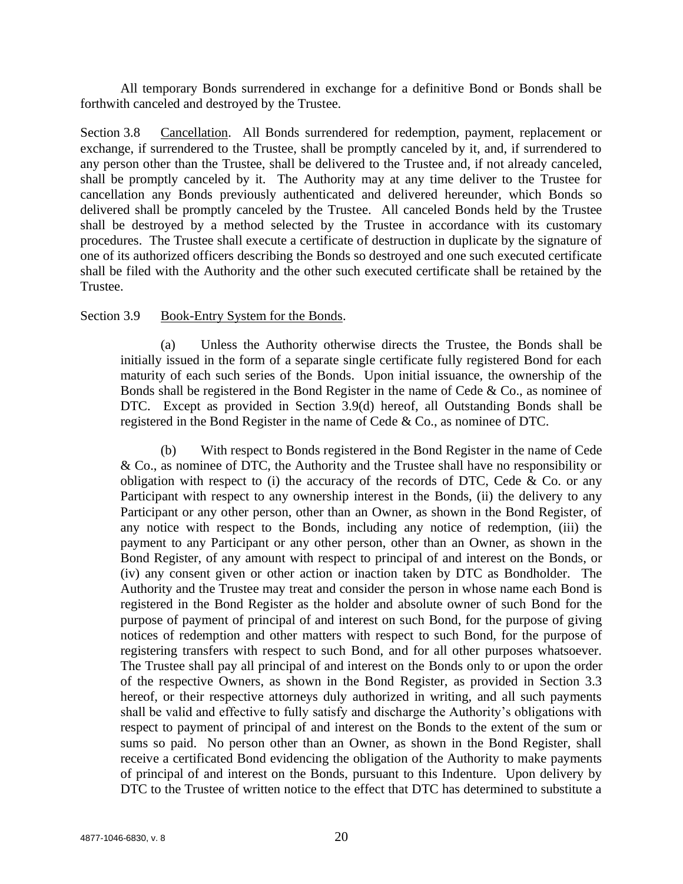All temporary Bonds surrendered in exchange for a definitive Bond or Bonds shall be forthwith canceled and destroyed by the Trustee.

Section 3.8 Cancellation. All Bonds surrendered for redemption, payment, replacement or exchange, if surrendered to the Trustee, shall be promptly canceled by it, and, if surrendered to any person other than the Trustee, shall be delivered to the Trustee and, if not already canceled, shall be promptly canceled by it. The Authority may at any time deliver to the Trustee for cancellation any Bonds previously authenticated and delivered hereunder, which Bonds so delivered shall be promptly canceled by the Trustee. All canceled Bonds held by the Trustee shall be destroyed by a method selected by the Trustee in accordance with its customary procedures. The Trustee shall execute a certificate of destruction in duplicate by the signature of one of its authorized officers describing the Bonds so destroyed and one such executed certificate shall be filed with the Authority and the other such executed certificate shall be retained by the Trustee.

### Section 3.9 Book-Entry System for the Bonds.

(a) Unless the Authority otherwise directs the Trustee, the Bonds shall be initially issued in the form of a separate single certificate fully registered Bond for each maturity of each such series of the Bonds. Upon initial issuance, the ownership of the Bonds shall be registered in the Bond Register in the name of Cede  $& Co.,$  as nominee of DTC. Except as provided in Section 3.9(d) hereof, all Outstanding Bonds shall be registered in the Bond Register in the name of Cede & Co., as nominee of DTC.

(b) With respect to Bonds registered in the Bond Register in the name of Cede & Co., as nominee of DTC, the Authority and the Trustee shall have no responsibility or obligation with respect to (i) the accuracy of the records of DTC, Cede  $\&$  Co. or any Participant with respect to any ownership interest in the Bonds, (ii) the delivery to any Participant or any other person, other than an Owner, as shown in the Bond Register, of any notice with respect to the Bonds, including any notice of redemption, (iii) the payment to any Participant or any other person, other than an Owner, as shown in the Bond Register, of any amount with respect to principal of and interest on the Bonds, or (iv) any consent given or other action or inaction taken by DTC as Bondholder. The Authority and the Trustee may treat and consider the person in whose name each Bond is registered in the Bond Register as the holder and absolute owner of such Bond for the purpose of payment of principal of and interest on such Bond, for the purpose of giving notices of redemption and other matters with respect to such Bond, for the purpose of registering transfers with respect to such Bond, and for all other purposes whatsoever. The Trustee shall pay all principal of and interest on the Bonds only to or upon the order of the respective Owners, as shown in the Bond Register, as provided in Section 3.3 hereof, or their respective attorneys duly authorized in writing, and all such payments shall be valid and effective to fully satisfy and discharge the Authority's obligations with respect to payment of principal of and interest on the Bonds to the extent of the sum or sums so paid. No person other than an Owner, as shown in the Bond Register, shall receive a certificated Bond evidencing the obligation of the Authority to make payments of principal of and interest on the Bonds, pursuant to this Indenture. Upon delivery by DTC to the Trustee of written notice to the effect that DTC has determined to substitute a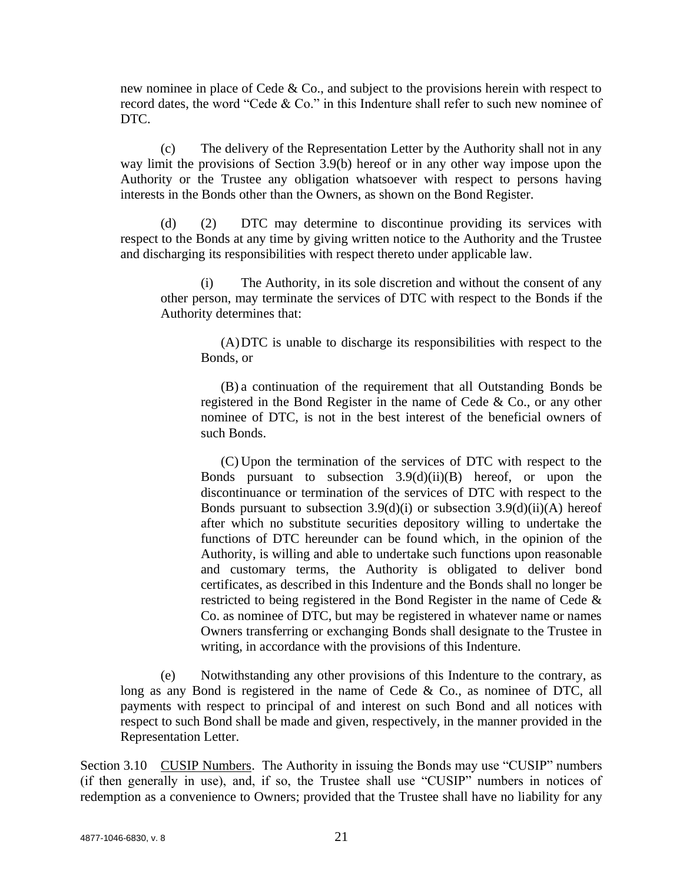new nominee in place of Cede  $& Co.,$  and subject to the provisions herein with respect to record dates, the word "Cede & Co." in this Indenture shall refer to such new nominee of DTC.

(c) The delivery of the Representation Letter by the Authority shall not in any way limit the provisions of Section 3.9(b) hereof or in any other way impose upon the Authority or the Trustee any obligation whatsoever with respect to persons having interests in the Bonds other than the Owners, as shown on the Bond Register.

(d) (2) DTC may determine to discontinue providing its services with respect to the Bonds at any time by giving written notice to the Authority and the Trustee and discharging its responsibilities with respect thereto under applicable law.

(i) The Authority, in its sole discretion and without the consent of any other person, may terminate the services of DTC with respect to the Bonds if the Authority determines that:

(A)DTC is unable to discharge its responsibilities with respect to the Bonds, or

(B) a continuation of the requirement that all Outstanding Bonds be registered in the Bond Register in the name of Cede & Co., or any other nominee of DTC, is not in the best interest of the beneficial owners of such Bonds.

(C) Upon the termination of the services of DTC with respect to the Bonds pursuant to subsection 3.9(d)(ii)(B) hereof, or upon the discontinuance or termination of the services of DTC with respect to the Bonds pursuant to subsection  $3.9(d)(i)$  or subsection  $3.9(d)(ii)(A)$  hereof after which no substitute securities depository willing to undertake the functions of DTC hereunder can be found which, in the opinion of the Authority, is willing and able to undertake such functions upon reasonable and customary terms, the Authority is obligated to deliver bond certificates, as described in this Indenture and the Bonds shall no longer be restricted to being registered in the Bond Register in the name of Cede & Co. as nominee of DTC, but may be registered in whatever name or names Owners transferring or exchanging Bonds shall designate to the Trustee in writing, in accordance with the provisions of this Indenture.

(e) Notwithstanding any other provisions of this Indenture to the contrary, as long as any Bond is registered in the name of Cede & Co., as nominee of DTC, all payments with respect to principal of and interest on such Bond and all notices with respect to such Bond shall be made and given, respectively, in the manner provided in the Representation Letter.

Section 3.10 CUSIP Numbers. The Authority in issuing the Bonds may use "CUSIP" numbers (if then generally in use), and, if so, the Trustee shall use "CUSIP" numbers in notices of redemption as a convenience to Owners; provided that the Trustee shall have no liability for any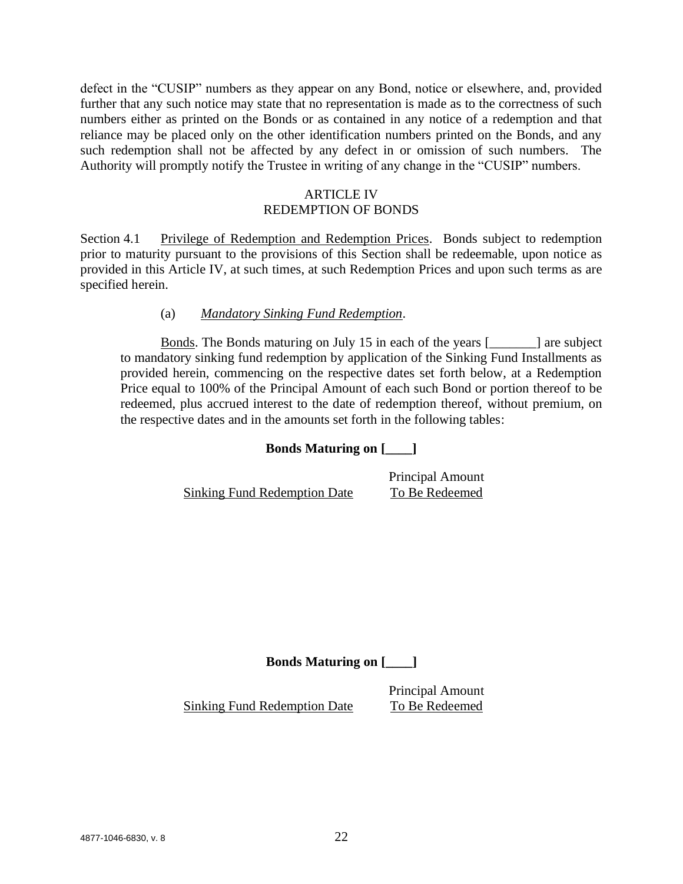defect in the "CUSIP" numbers as they appear on any Bond, notice or elsewhere, and, provided further that any such notice may state that no representation is made as to the correctness of such numbers either as printed on the Bonds or as contained in any notice of a redemption and that reliance may be placed only on the other identification numbers printed on the Bonds, and any such redemption shall not be affected by any defect in or omission of such numbers. The Authority will promptly notify the Trustee in writing of any change in the "CUSIP" numbers.

## ARTICLE IV REDEMPTION OF BONDS

Section 4.1 Privilege of Redemption and Redemption Prices. Bonds subject to redemption prior to maturity pursuant to the provisions of this Section shall be redeemable, upon notice as provided in this Article IV, at such times, at such Redemption Prices and upon such terms as are specified herein.

### (a) *Mandatory Sinking Fund Redemption*.

Bonds. The Bonds maturing on July 15 in each of the years [\_\_\_\_\_\_\_] are subject to mandatory sinking fund redemption by application of the Sinking Fund Installments as provided herein, commencing on the respective dates set forth below, at a Redemption Price equal to 100% of the Principal Amount of each such Bond or portion thereof to be redeemed, plus accrued interest to the date of redemption thereof, without premium, on the respective dates and in the amounts set forth in the following tables:

# **Bonds Maturing on [\_\_\_\_]**

Principal Amount Sinking Fund Redemption Date To Be Redeemed

# **Bonds Maturing on [\_\_\_\_]**

Principal Amount Sinking Fund Redemption Date To Be Redeemed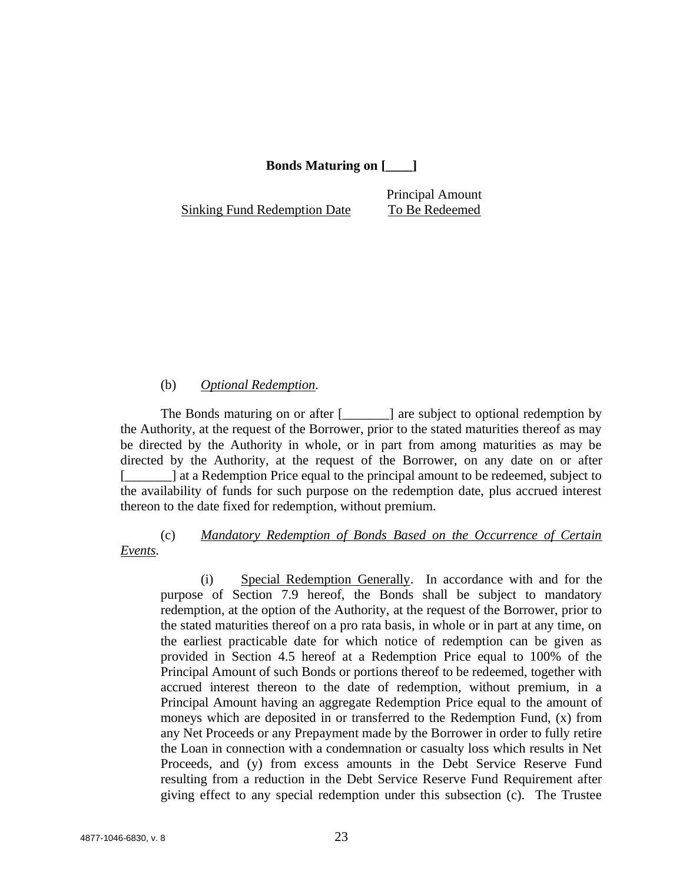**Bonds Maturing on [\_\_\_\_]**

Sinking Fund Redemption Date To Be Redeemed

Principal Amount

### (b) *Optional Redemption.*

The Bonds maturing on or after [1, 1] are subject to optional redemption by the Authority, at the request of the Borrower, prior to the stated maturities thereof as may be directed by the Authority in whole, or in part from among maturities as may be directed by the Authority, at the request of the Borrower, on any date on or after [\_\_\_\_\_\_] at a Redemption Price equal to the principal amount to be redeemed, subject to the availability of funds for such purpose on the redemption date, plus accrued interest thereon to the date fixed for redemption, without premium.

(c) *Mandatory Redemption of Bonds Based on the Occurrence of Certain Events.*

(i) Special Redemption Generally. In accordance with and for the purpose of Section 7.9 hereof, the Bonds shall be subject to mandatory redemption, at the option of the Authority, at the request of the Borrower, prior to the stated maturities thereof on a pro rata basis, in whole or in part at any time, on the earliest practicable date for which notice of redemption can be given as provided in Section 4.5 hereof at a Redemption Price equal to 100% of the Principal Amount of such Bonds or portions thereof to be redeemed, together with accrued interest thereon to the date of redemption, without premium, in a Principal Amount having an aggregate Redemption Price equal to the amount of moneys which are deposited in or transferred to the Redemption Fund, (x) from any Net Proceeds or any Prepayment made by the Borrower in order to fully retire the Loan in connection with a condemnation or casualty loss which results in Net Proceeds, and (y) from excess amounts in the Debt Service Reserve Fund resulting from a reduction in the Debt Service Reserve Fund Requirement after giving effect to any special redemption under this subsection (c). The Trustee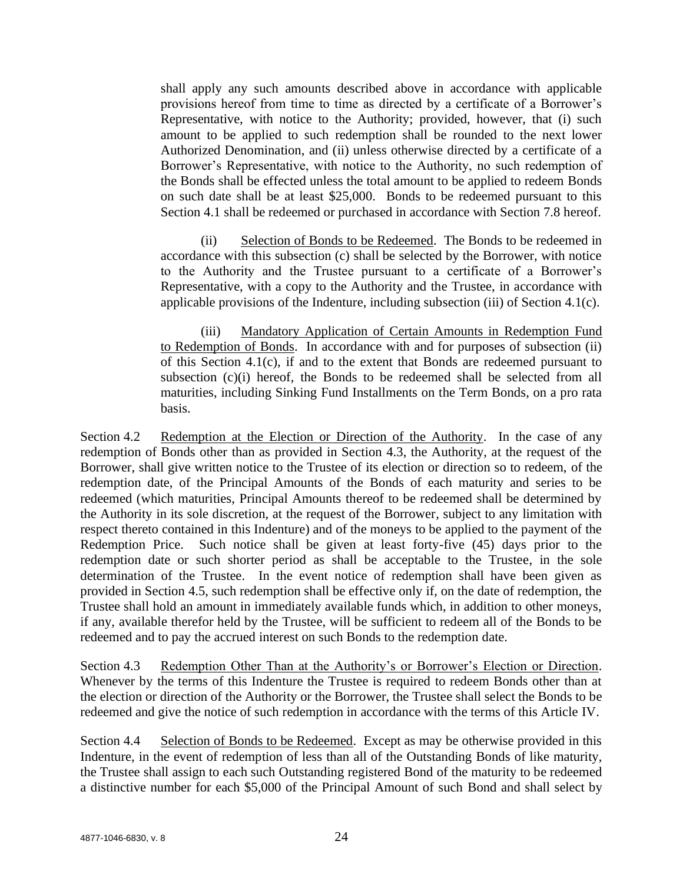shall apply any such amounts described above in accordance with applicable provisions hereof from time to time as directed by a certificate of a Borrower's Representative, with notice to the Authority; provided, however, that (i) such amount to be applied to such redemption shall be rounded to the next lower Authorized Denomination, and (ii) unless otherwise directed by a certificate of a Borrower's Representative, with notice to the Authority, no such redemption of the Bonds shall be effected unless the total amount to be applied to redeem Bonds on such date shall be at least \$25,000. Bonds to be redeemed pursuant to this Section 4.1 shall be redeemed or purchased in accordance with Section 7.8 hereof.

(ii) Selection of Bonds to be Redeemed. The Bonds to be redeemed in accordance with this subsection (c) shall be selected by the Borrower, with notice to the Authority and the Trustee pursuant to a certificate of a Borrower's Representative, with a copy to the Authority and the Trustee, in accordance with applicable provisions of the Indenture, including subsection (iii) of Section 4.1(c).

(iii) Mandatory Application of Certain Amounts in Redemption Fund to Redemption of Bonds. In accordance with and for purposes of subsection (ii) of this Section 4.1(c), if and to the extent that Bonds are redeemed pursuant to subsection  $(c)(i)$  hereof, the Bonds to be redeemed shall be selected from all maturities, including Sinking Fund Installments on the Term Bonds, on a pro rata basis.

Section 4.2 Redemption at the Election or Direction of the Authority. In the case of any redemption of Bonds other than as provided in Section 4.3, the Authority, at the request of the Borrower, shall give written notice to the Trustee of its election or direction so to redeem, of the redemption date, of the Principal Amounts of the Bonds of each maturity and series to be redeemed (which maturities, Principal Amounts thereof to be redeemed shall be determined by the Authority in its sole discretion, at the request of the Borrower, subject to any limitation with respect thereto contained in this Indenture) and of the moneys to be applied to the payment of the Redemption Price. Such notice shall be given at least forty-five (45) days prior to the redemption date or such shorter period as shall be acceptable to the Trustee, in the sole determination of the Trustee. In the event notice of redemption shall have been given as provided in Section 4.5, such redemption shall be effective only if, on the date of redemption, the Trustee shall hold an amount in immediately available funds which, in addition to other moneys, if any, available therefor held by the Trustee, will be sufficient to redeem all of the Bonds to be redeemed and to pay the accrued interest on such Bonds to the redemption date.

Section 4.3 Redemption Other Than at the Authority's or Borrower's Election or Direction. Whenever by the terms of this Indenture the Trustee is required to redeem Bonds other than at the election or direction of the Authority or the Borrower, the Trustee shall select the Bonds to be redeemed and give the notice of such redemption in accordance with the terms of this Article IV.

Section 4.4 Selection of Bonds to be Redeemed. Except as may be otherwise provided in this Indenture, in the event of redemption of less than all of the Outstanding Bonds of like maturity, the Trustee shall assign to each such Outstanding registered Bond of the maturity to be redeemed a distinctive number for each \$5,000 of the Principal Amount of such Bond and shall select by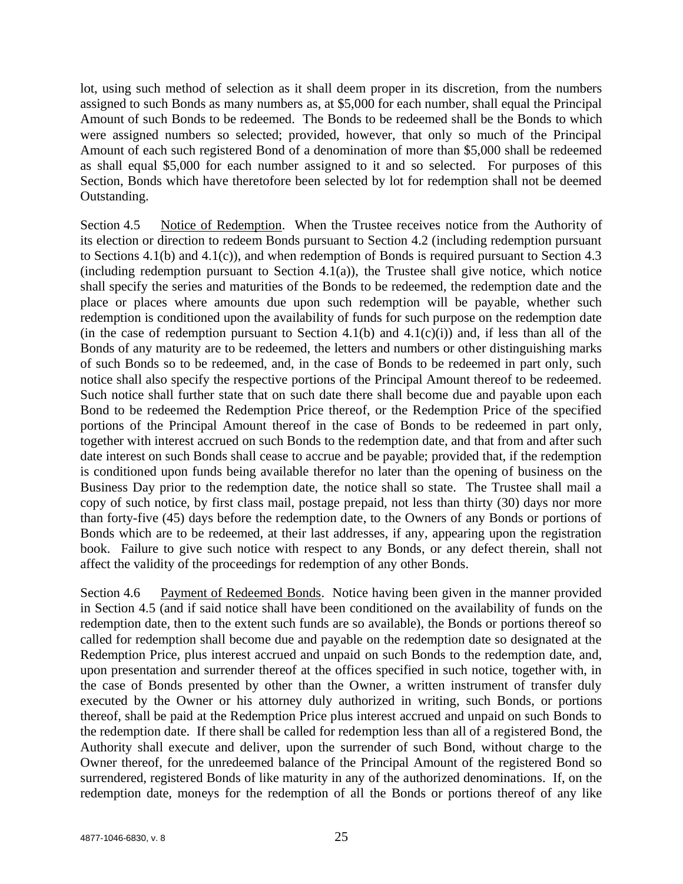lot, using such method of selection as it shall deem proper in its discretion, from the numbers assigned to such Bonds as many numbers as, at \$5,000 for each number, shall equal the Principal Amount of such Bonds to be redeemed. The Bonds to be redeemed shall be the Bonds to which were assigned numbers so selected; provided, however, that only so much of the Principal Amount of each such registered Bond of a denomination of more than \$5,000 shall be redeemed as shall equal \$5,000 for each number assigned to it and so selected. For purposes of this Section, Bonds which have theretofore been selected by lot for redemption shall not be deemed Outstanding.

Section 4.5 Notice of Redemption. When the Trustee receives notice from the Authority of its election or direction to redeem Bonds pursuant to Section 4.2 (including redemption pursuant to Sections 4.1(b) and 4.1(c)), and when redemption of Bonds is required pursuant to Section 4.3 (including redemption pursuant to Section 4.1(a)), the Trustee shall give notice, which notice shall specify the series and maturities of the Bonds to be redeemed, the redemption date and the place or places where amounts due upon such redemption will be payable, whether such redemption is conditioned upon the availability of funds for such purpose on the redemption date (in the case of redemption pursuant to Section 4.1(b) and 4.1(c)(i)) and, if less than all of the Bonds of any maturity are to be redeemed, the letters and numbers or other distinguishing marks of such Bonds so to be redeemed, and, in the case of Bonds to be redeemed in part only, such notice shall also specify the respective portions of the Principal Amount thereof to be redeemed. Such notice shall further state that on such date there shall become due and payable upon each Bond to be redeemed the Redemption Price thereof, or the Redemption Price of the specified portions of the Principal Amount thereof in the case of Bonds to be redeemed in part only, together with interest accrued on such Bonds to the redemption date, and that from and after such date interest on such Bonds shall cease to accrue and be payable; provided that, if the redemption is conditioned upon funds being available therefor no later than the opening of business on the Business Day prior to the redemption date, the notice shall so state. The Trustee shall mail a copy of such notice, by first class mail, postage prepaid, not less than thirty (30) days nor more than forty-five (45) days before the redemption date, to the Owners of any Bonds or portions of Bonds which are to be redeemed, at their last addresses, if any, appearing upon the registration book. Failure to give such notice with respect to any Bonds, or any defect therein, shall not affect the validity of the proceedings for redemption of any other Bonds.

Section 4.6 Payment of Redeemed Bonds. Notice having been given in the manner provided in Section 4.5 (and if said notice shall have been conditioned on the availability of funds on the redemption date, then to the extent such funds are so available), the Bonds or portions thereof so called for redemption shall become due and payable on the redemption date so designated at the Redemption Price, plus interest accrued and unpaid on such Bonds to the redemption date, and, upon presentation and surrender thereof at the offices specified in such notice, together with, in the case of Bonds presented by other than the Owner, a written instrument of transfer duly executed by the Owner or his attorney duly authorized in writing, such Bonds, or portions thereof, shall be paid at the Redemption Price plus interest accrued and unpaid on such Bonds to the redemption date. If there shall be called for redemption less than all of a registered Bond, the Authority shall execute and deliver, upon the surrender of such Bond, without charge to the Owner thereof, for the unredeemed balance of the Principal Amount of the registered Bond so surrendered, registered Bonds of like maturity in any of the authorized denominations. If, on the redemption date, moneys for the redemption of all the Bonds or portions thereof of any like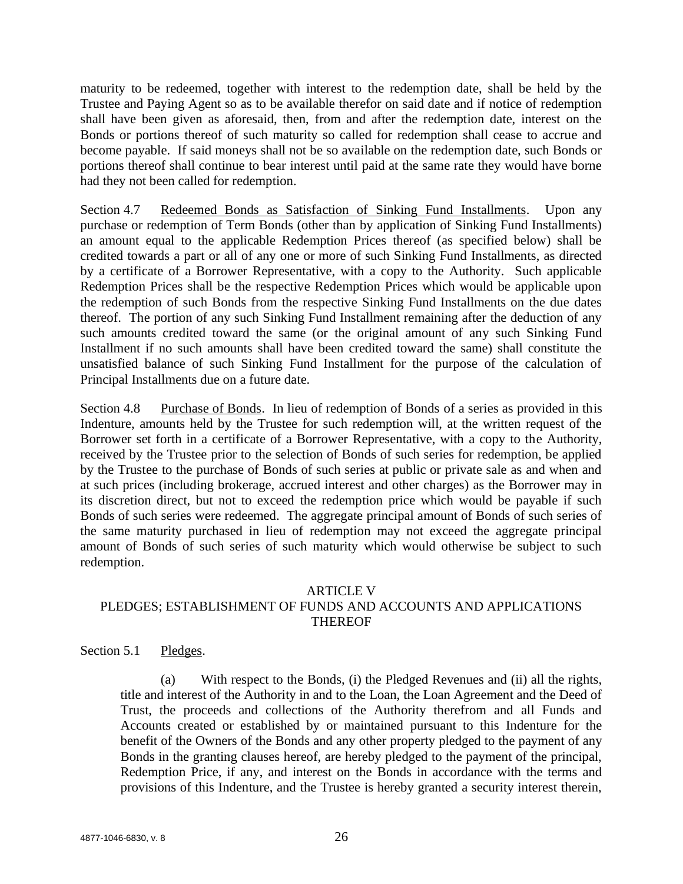maturity to be redeemed, together with interest to the redemption date, shall be held by the Trustee and Paying Agent so as to be available therefor on said date and if notice of redemption shall have been given as aforesaid, then, from and after the redemption date, interest on the Bonds or portions thereof of such maturity so called for redemption shall cease to accrue and become payable. If said moneys shall not be so available on the redemption date, such Bonds or portions thereof shall continue to bear interest until paid at the same rate they would have borne had they not been called for redemption.

Section 4.7 Redeemed Bonds as Satisfaction of Sinking Fund Installments. Upon any purchase or redemption of Term Bonds (other than by application of Sinking Fund Installments) an amount equal to the applicable Redemption Prices thereof (as specified below) shall be credited towards a part or all of any one or more of such Sinking Fund Installments, as directed by a certificate of a Borrower Representative, with a copy to the Authority. Such applicable Redemption Prices shall be the respective Redemption Prices which would be applicable upon the redemption of such Bonds from the respective Sinking Fund Installments on the due dates thereof. The portion of any such Sinking Fund Installment remaining after the deduction of any such amounts credited toward the same (or the original amount of any such Sinking Fund Installment if no such amounts shall have been credited toward the same) shall constitute the unsatisfied balance of such Sinking Fund Installment for the purpose of the calculation of Principal Installments due on a future date.

Section 4.8 Purchase of Bonds. In lieu of redemption of Bonds of a series as provided in this Indenture, amounts held by the Trustee for such redemption will, at the written request of the Borrower set forth in a certificate of a Borrower Representative, with a copy to the Authority, received by the Trustee prior to the selection of Bonds of such series for redemption, be applied by the Trustee to the purchase of Bonds of such series at public or private sale as and when and at such prices (including brokerage, accrued interest and other charges) as the Borrower may in its discretion direct, but not to exceed the redemption price which would be payable if such Bonds of such series were redeemed. The aggregate principal amount of Bonds of such series of the same maturity purchased in lieu of redemption may not exceed the aggregate principal amount of Bonds of such series of such maturity which would otherwise be subject to such redemption.

### ARTICLE V

# PLEDGES; ESTABLISHMENT OF FUNDS AND ACCOUNTS AND APPLICATIONS THEREOF

### Section 5.1 Pledges.

(a) With respect to the Bonds, (i) the Pledged Revenues and (ii) all the rights, title and interest of the Authority in and to the Loan, the Loan Agreement and the Deed of Trust, the proceeds and collections of the Authority therefrom and all Funds and Accounts created or established by or maintained pursuant to this Indenture for the benefit of the Owners of the Bonds and any other property pledged to the payment of any Bonds in the granting clauses hereof, are hereby pledged to the payment of the principal, Redemption Price, if any, and interest on the Bonds in accordance with the terms and provisions of this Indenture, and the Trustee is hereby granted a security interest therein,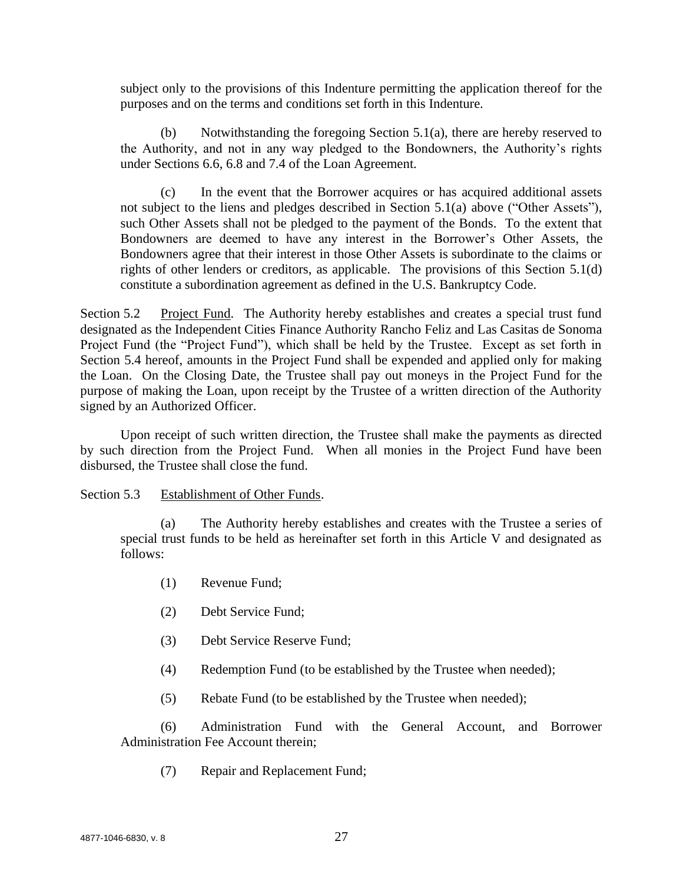subject only to the provisions of this Indenture permitting the application thereof for the purposes and on the terms and conditions set forth in this Indenture.

(b) Notwithstanding the foregoing Section 5.1(a), there are hereby reserved to the Authority, and not in any way pledged to the Bondowners, the Authority's rights under Sections 6.6, 6.8 and 7.4 of the Loan Agreement.

(c) In the event that the Borrower acquires or has acquired additional assets not subject to the liens and pledges described in Section 5.1(a) above ("Other Assets"), such Other Assets shall not be pledged to the payment of the Bonds. To the extent that Bondowners are deemed to have any interest in the Borrower's Other Assets, the Bondowners agree that their interest in those Other Assets is subordinate to the claims or rights of other lenders or creditors, as applicable. The provisions of this Section 5.1(d) constitute a subordination agreement as defined in the U.S. Bankruptcy Code.

Section 5.2 Project Fund. The Authority hereby establishes and creates a special trust fund designated as the Independent Cities Finance Authority Rancho Feliz and Las Casitas de Sonoma Project Fund (the "Project Fund"), which shall be held by the Trustee. Except as set forth in Section 5.4 hereof, amounts in the Project Fund shall be expended and applied only for making the Loan. On the Closing Date, the Trustee shall pay out moneys in the Project Fund for the purpose of making the Loan, upon receipt by the Trustee of a written direction of the Authority signed by an Authorized Officer.

Upon receipt of such written direction, the Trustee shall make the payments as directed by such direction from the Project Fund. When all monies in the Project Fund have been disbursed, the Trustee shall close the fund.

### Section 5.3 Establishment of Other Funds.

(a) The Authority hereby establishes and creates with the Trustee a series of special trust funds to be held as hereinafter set forth in this Article V and designated as follows:

- (1) Revenue Fund;
- (2) Debt Service Fund;
- (3) Debt Service Reserve Fund;
- (4) Redemption Fund (to be established by the Trustee when needed);
- (5) Rebate Fund (to be established by the Trustee when needed);

(6) Administration Fund with the General Account, and Borrower Administration Fee Account therein;

(7) Repair and Replacement Fund;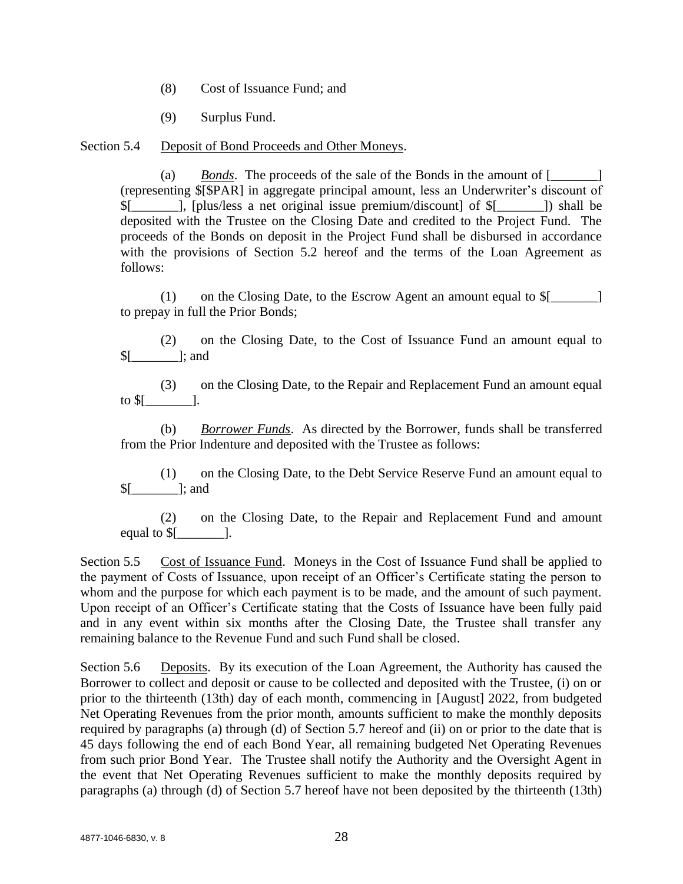(8) Cost of Issuance Fund; and

(9) Surplus Fund.

Section 5.4 Deposit of Bond Proceeds and Other Moneys.

(a) *Bonds*. The proceeds of the sale of the Bonds in the amount of [\_\_\_\_\_\_\_] (representing \$[\$PAR] in aggregate principal amount, less an Underwriter's discount of \$[\_\_\_\_\_\_\_], [plus/less a net original issue premium/discount] of \$[\_\_\_\_\_\_\_]) shall be deposited with the Trustee on the Closing Date and credited to the Project Fund. The proceeds of the Bonds on deposit in the Project Fund shall be disbursed in accordance with the provisions of Section 5.2 hereof and the terms of the Loan Agreement as follows:

(1) on the Closing Date, to the Escrow Agent an amount equal to \$[\_\_\_\_\_\_\_] to prepay in full the Prior Bonds;

(2) on the Closing Date, to the Cost of Issuance Fund an amount equal to  $\$$ [  $\qquad$   $\qquad$   $\qquad$   $\qquad$   $\qquad$   $\qquad$   $\qquad$   $\qquad$   $\qquad$   $\qquad$   $\qquad$   $\qquad$   $\qquad$   $\qquad$   $\qquad$   $\qquad$   $\qquad$   $\qquad$   $\qquad$   $\qquad$   $\qquad$   $\qquad$   $\qquad$   $\qquad$   $\qquad$   $\qquad$   $\qquad$   $\qquad$   $\qquad$   $\qquad$   $\qquad$   $\qquad$   $\qquad$   $\qquad$   $\qquad$   $\qquad$ 

(3) on the Closing Date, to the Repair and Replacement Fund an amount equal to  $$$ [ \_\_\_\_\_\_].

(b) *Borrower Funds*. As directed by the Borrower, funds shall be transferred from the Prior Indenture and deposited with the Trustee as follows:

(1) on the Closing Date, to the Debt Service Reserve Fund an amount equal to \$[\_\_\_\_\_\_\_]; and

(2) on the Closing Date, to the Repair and Replacement Fund and amount equal to  $$$ [\_\_\_\_\_\_\_\_\_].

Section 5.5 Cost of Issuance Fund. Moneys in the Cost of Issuance Fund shall be applied to the payment of Costs of Issuance, upon receipt of an Officer's Certificate stating the person to whom and the purpose for which each payment is to be made, and the amount of such payment. Upon receipt of an Officer's Certificate stating that the Costs of Issuance have been fully paid and in any event within six months after the Closing Date, the Trustee shall transfer any remaining balance to the Revenue Fund and such Fund shall be closed.

Section 5.6 Deposits. By its execution of the Loan Agreement, the Authority has caused the Borrower to collect and deposit or cause to be collected and deposited with the Trustee, (i) on or prior to the thirteenth (13th) day of each month, commencing in [August] 2022, from budgeted Net Operating Revenues from the prior month, amounts sufficient to make the monthly deposits required by paragraphs (a) through (d) of Section 5.7 hereof and (ii) on or prior to the date that is 45 days following the end of each Bond Year, all remaining budgeted Net Operating Revenues from such prior Bond Year. The Trustee shall notify the Authority and the Oversight Agent in the event that Net Operating Revenues sufficient to make the monthly deposits required by paragraphs (a) through (d) of Section 5.7 hereof have not been deposited by the thirteenth (13th)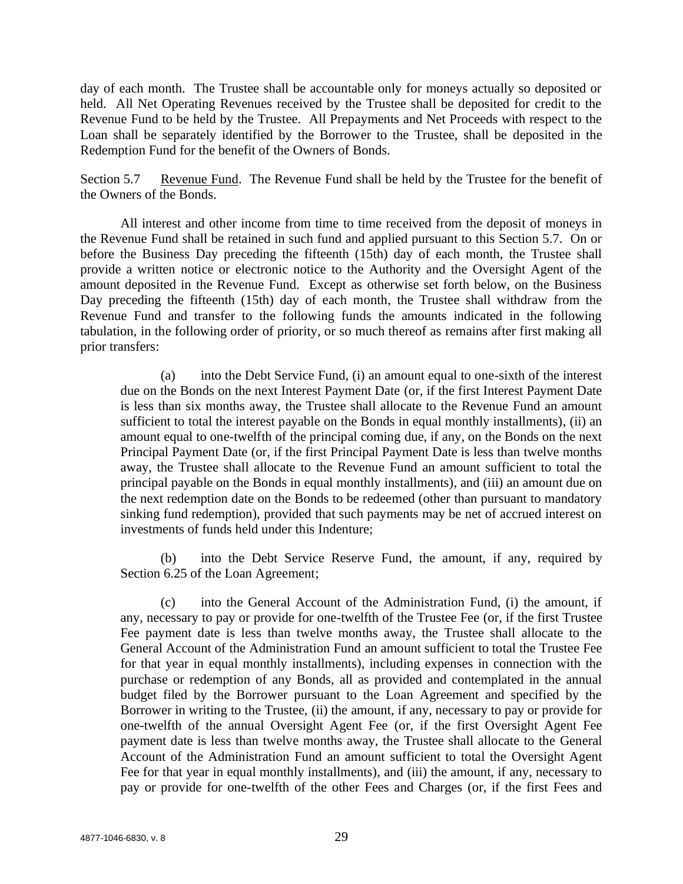day of each month. The Trustee shall be accountable only for moneys actually so deposited or held. All Net Operating Revenues received by the Trustee shall be deposited for credit to the Revenue Fund to be held by the Trustee. All Prepayments and Net Proceeds with respect to the Loan shall be separately identified by the Borrower to the Trustee, shall be deposited in the Redemption Fund for the benefit of the Owners of Bonds.

Section 5.7 Revenue Fund. The Revenue Fund shall be held by the Trustee for the benefit of the Owners of the Bonds.

All interest and other income from time to time received from the deposit of moneys in the Revenue Fund shall be retained in such fund and applied pursuant to this Section 5.7. On or before the Business Day preceding the fifteenth (15th) day of each month, the Trustee shall provide a written notice or electronic notice to the Authority and the Oversight Agent of the amount deposited in the Revenue Fund. Except as otherwise set forth below, on the Business Day preceding the fifteenth (15th) day of each month, the Trustee shall withdraw from the Revenue Fund and transfer to the following funds the amounts indicated in the following tabulation, in the following order of priority, or so much thereof as remains after first making all prior transfers:

(a) into the Debt Service Fund, (i) an amount equal to one-sixth of the interest due on the Bonds on the next Interest Payment Date (or, if the first Interest Payment Date is less than six months away, the Trustee shall allocate to the Revenue Fund an amount sufficient to total the interest payable on the Bonds in equal monthly installments), (ii) an amount equal to one-twelfth of the principal coming due, if any, on the Bonds on the next Principal Payment Date (or, if the first Principal Payment Date is less than twelve months away, the Trustee shall allocate to the Revenue Fund an amount sufficient to total the principal payable on the Bonds in equal monthly installments), and (iii) an amount due on the next redemption date on the Bonds to be redeemed (other than pursuant to mandatory sinking fund redemption), provided that such payments may be net of accrued interest on investments of funds held under this Indenture;

(b) into the Debt Service Reserve Fund, the amount, if any, required by Section 6.25 of the Loan Agreement;

(c) into the General Account of the Administration Fund, (i) the amount, if any, necessary to pay or provide for one-twelfth of the Trustee Fee (or, if the first Trustee Fee payment date is less than twelve months away, the Trustee shall allocate to the General Account of the Administration Fund an amount sufficient to total the Trustee Fee for that year in equal monthly installments), including expenses in connection with the purchase or redemption of any Bonds, all as provided and contemplated in the annual budget filed by the Borrower pursuant to the Loan Agreement and specified by the Borrower in writing to the Trustee, (ii) the amount, if any, necessary to pay or provide for one-twelfth of the annual Oversight Agent Fee (or, if the first Oversight Agent Fee payment date is less than twelve months away, the Trustee shall allocate to the General Account of the Administration Fund an amount sufficient to total the Oversight Agent Fee for that year in equal monthly installments), and (iii) the amount, if any, necessary to pay or provide for one-twelfth of the other Fees and Charges (or, if the first Fees and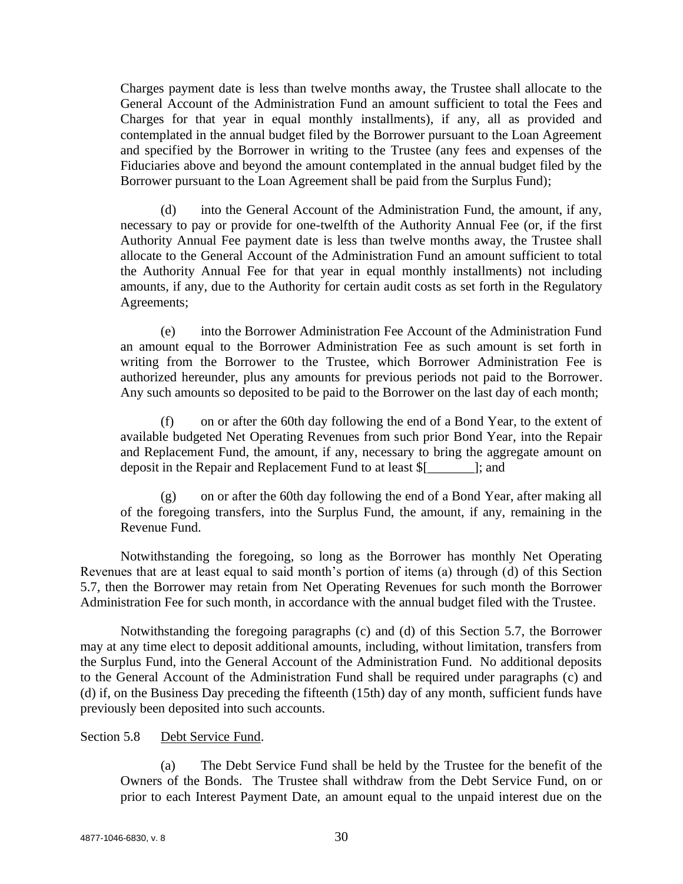Charges payment date is less than twelve months away, the Trustee shall allocate to the General Account of the Administration Fund an amount sufficient to total the Fees and Charges for that year in equal monthly installments), if any, all as provided and contemplated in the annual budget filed by the Borrower pursuant to the Loan Agreement and specified by the Borrower in writing to the Trustee (any fees and expenses of the Fiduciaries above and beyond the amount contemplated in the annual budget filed by the Borrower pursuant to the Loan Agreement shall be paid from the Surplus Fund);

(d) into the General Account of the Administration Fund, the amount, if any, necessary to pay or provide for one-twelfth of the Authority Annual Fee (or, if the first Authority Annual Fee payment date is less than twelve months away, the Trustee shall allocate to the General Account of the Administration Fund an amount sufficient to total the Authority Annual Fee for that year in equal monthly installments) not including amounts, if any, due to the Authority for certain audit costs as set forth in the Regulatory Agreements;

(e) into the Borrower Administration Fee Account of the Administration Fund an amount equal to the Borrower Administration Fee as such amount is set forth in writing from the Borrower to the Trustee, which Borrower Administration Fee is authorized hereunder, plus any amounts for previous periods not paid to the Borrower. Any such amounts so deposited to be paid to the Borrower on the last day of each month;

(f) on or after the 60th day following the end of a Bond Year, to the extent of available budgeted Net Operating Revenues from such prior Bond Year, into the Repair and Replacement Fund, the amount, if any, necessary to bring the aggregate amount on deposit in the Repair and Replacement Fund to at least \$[\_\_\_\_\_\_\_]; and

(g) on or after the 60th day following the end of a Bond Year, after making all of the foregoing transfers, into the Surplus Fund, the amount, if any, remaining in the Revenue Fund.

Notwithstanding the foregoing, so long as the Borrower has monthly Net Operating Revenues that are at least equal to said month's portion of items (a) through (d) of this Section 5.7, then the Borrower may retain from Net Operating Revenues for such month the Borrower Administration Fee for such month, in accordance with the annual budget filed with the Trustee.

Notwithstanding the foregoing paragraphs (c) and (d) of this Section 5.7, the Borrower may at any time elect to deposit additional amounts, including, without limitation, transfers from the Surplus Fund, into the General Account of the Administration Fund. No additional deposits to the General Account of the Administration Fund shall be required under paragraphs (c) and (d) if, on the Business Day preceding the fifteenth (15th) day of any month, sufficient funds have previously been deposited into such accounts.

### Section 5.8 Debt Service Fund.

(a) The Debt Service Fund shall be held by the Trustee for the benefit of the Owners of the Bonds. The Trustee shall withdraw from the Debt Service Fund, on or prior to each Interest Payment Date, an amount equal to the unpaid interest due on the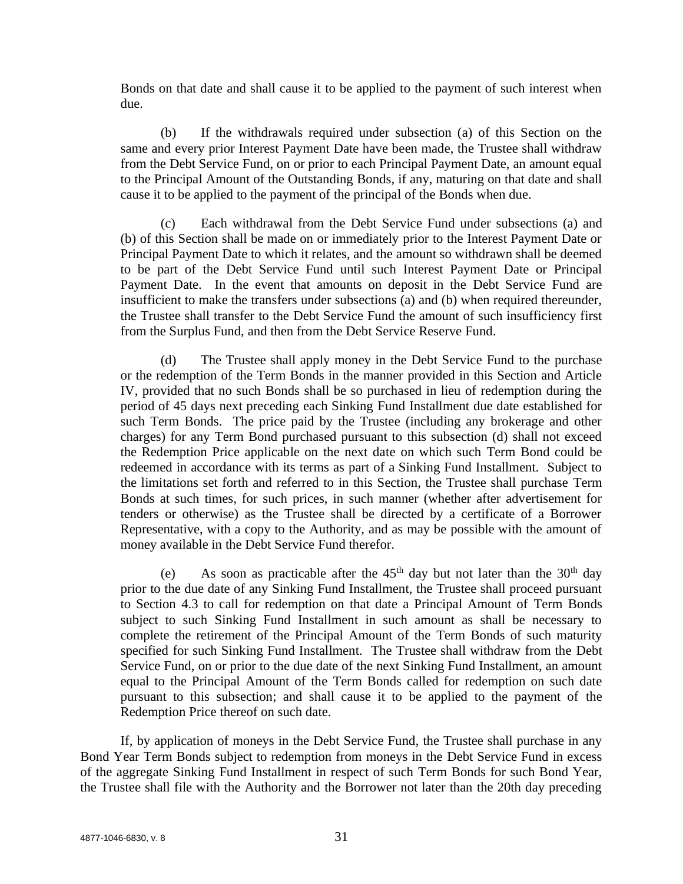Bonds on that date and shall cause it to be applied to the payment of such interest when due.

(b) If the withdrawals required under subsection (a) of this Section on the same and every prior Interest Payment Date have been made, the Trustee shall withdraw from the Debt Service Fund, on or prior to each Principal Payment Date, an amount equal to the Principal Amount of the Outstanding Bonds, if any, maturing on that date and shall cause it to be applied to the payment of the principal of the Bonds when due.

(c) Each withdrawal from the Debt Service Fund under subsections (a) and (b) of this Section shall be made on or immediately prior to the Interest Payment Date or Principal Payment Date to which it relates, and the amount so withdrawn shall be deemed to be part of the Debt Service Fund until such Interest Payment Date or Principal Payment Date. In the event that amounts on deposit in the Debt Service Fund are insufficient to make the transfers under subsections (a) and (b) when required thereunder, the Trustee shall transfer to the Debt Service Fund the amount of such insufficiency first from the Surplus Fund, and then from the Debt Service Reserve Fund.

(d) The Trustee shall apply money in the Debt Service Fund to the purchase or the redemption of the Term Bonds in the manner provided in this Section and Article IV, provided that no such Bonds shall be so purchased in lieu of redemption during the period of 45 days next preceding each Sinking Fund Installment due date established for such Term Bonds. The price paid by the Trustee (including any brokerage and other charges) for any Term Bond purchased pursuant to this subsection (d) shall not exceed the Redemption Price applicable on the next date on which such Term Bond could be redeemed in accordance with its terms as part of a Sinking Fund Installment. Subject to the limitations set forth and referred to in this Section, the Trustee shall purchase Term Bonds at such times, for such prices, in such manner (whether after advertisement for tenders or otherwise) as the Trustee shall be directed by a certificate of a Borrower Representative, with a copy to the Authority, and as may be possible with the amount of money available in the Debt Service Fund therefor.

(e) As soon as practicable after the  $45<sup>th</sup>$  day but not later than the  $30<sup>th</sup>$  day prior to the due date of any Sinking Fund Installment, the Trustee shall proceed pursuant to Section 4.3 to call for redemption on that date a Principal Amount of Term Bonds subject to such Sinking Fund Installment in such amount as shall be necessary to complete the retirement of the Principal Amount of the Term Bonds of such maturity specified for such Sinking Fund Installment. The Trustee shall withdraw from the Debt Service Fund, on or prior to the due date of the next Sinking Fund Installment, an amount equal to the Principal Amount of the Term Bonds called for redemption on such date pursuant to this subsection; and shall cause it to be applied to the payment of the Redemption Price thereof on such date.

If, by application of moneys in the Debt Service Fund, the Trustee shall purchase in any Bond Year Term Bonds subject to redemption from moneys in the Debt Service Fund in excess of the aggregate Sinking Fund Installment in respect of such Term Bonds for such Bond Year, the Trustee shall file with the Authority and the Borrower not later than the 20th day preceding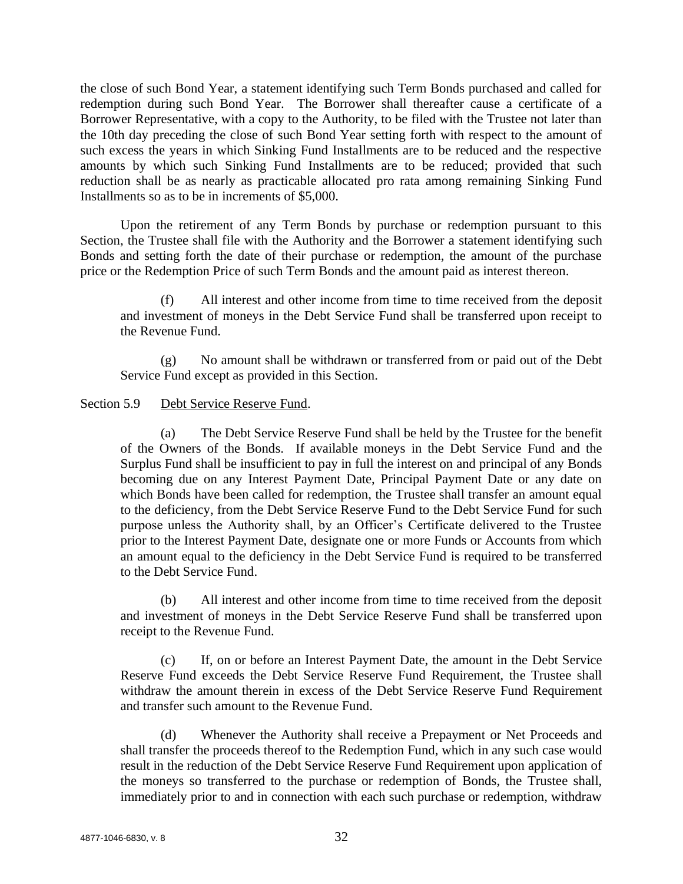the close of such Bond Year, a statement identifying such Term Bonds purchased and called for redemption during such Bond Year. The Borrower shall thereafter cause a certificate of a Borrower Representative, with a copy to the Authority, to be filed with the Trustee not later than the 10th day preceding the close of such Bond Year setting forth with respect to the amount of such excess the years in which Sinking Fund Installments are to be reduced and the respective amounts by which such Sinking Fund Installments are to be reduced; provided that such reduction shall be as nearly as practicable allocated pro rata among remaining Sinking Fund Installments so as to be in increments of \$5,000.

Upon the retirement of any Term Bonds by purchase or redemption pursuant to this Section, the Trustee shall file with the Authority and the Borrower a statement identifying such Bonds and setting forth the date of their purchase or redemption, the amount of the purchase price or the Redemption Price of such Term Bonds and the amount paid as interest thereon.

All interest and other income from time to time received from the deposit and investment of moneys in the Debt Service Fund shall be transferred upon receipt to the Revenue Fund.

(g) No amount shall be withdrawn or transferred from or paid out of the Debt Service Fund except as provided in this Section.

### Section 5.9 Debt Service Reserve Fund.

(a) The Debt Service Reserve Fund shall be held by the Trustee for the benefit of the Owners of the Bonds. If available moneys in the Debt Service Fund and the Surplus Fund shall be insufficient to pay in full the interest on and principal of any Bonds becoming due on any Interest Payment Date, Principal Payment Date or any date on which Bonds have been called for redemption, the Trustee shall transfer an amount equal to the deficiency, from the Debt Service Reserve Fund to the Debt Service Fund for such purpose unless the Authority shall, by an Officer's Certificate delivered to the Trustee prior to the Interest Payment Date, designate one or more Funds or Accounts from which an amount equal to the deficiency in the Debt Service Fund is required to be transferred to the Debt Service Fund.

(b) All interest and other income from time to time received from the deposit and investment of moneys in the Debt Service Reserve Fund shall be transferred upon receipt to the Revenue Fund.

(c) If, on or before an Interest Payment Date, the amount in the Debt Service Reserve Fund exceeds the Debt Service Reserve Fund Requirement, the Trustee shall withdraw the amount therein in excess of the Debt Service Reserve Fund Requirement and transfer such amount to the Revenue Fund.

(d) Whenever the Authority shall receive a Prepayment or Net Proceeds and shall transfer the proceeds thereof to the Redemption Fund, which in any such case would result in the reduction of the Debt Service Reserve Fund Requirement upon application of the moneys so transferred to the purchase or redemption of Bonds, the Trustee shall, immediately prior to and in connection with each such purchase or redemption, withdraw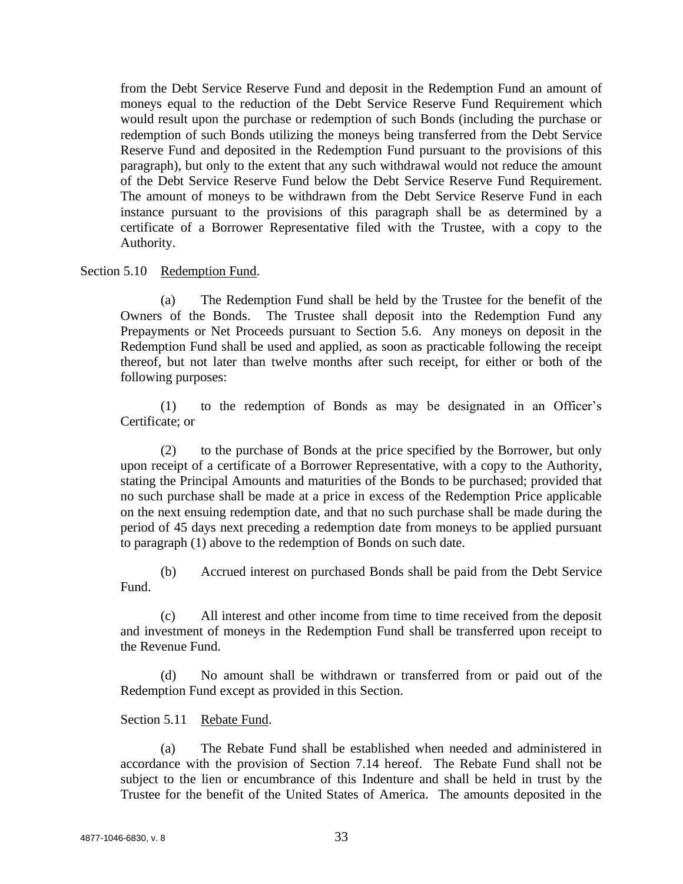from the Debt Service Reserve Fund and deposit in the Redemption Fund an amount of moneys equal to the reduction of the Debt Service Reserve Fund Requirement which would result upon the purchase or redemption of such Bonds (including the purchase or redemption of such Bonds utilizing the moneys being transferred from the Debt Service Reserve Fund and deposited in the Redemption Fund pursuant to the provisions of this paragraph), but only to the extent that any such withdrawal would not reduce the amount of the Debt Service Reserve Fund below the Debt Service Reserve Fund Requirement. The amount of moneys to be withdrawn from the Debt Service Reserve Fund in each instance pursuant to the provisions of this paragraph shall be as determined by a certificate of a Borrower Representative filed with the Trustee, with a copy to the Authority.

Section 5.10 Redemption Fund.

(a) The Redemption Fund shall be held by the Trustee for the benefit of the Owners of the Bonds. The Trustee shall deposit into the Redemption Fund any Prepayments or Net Proceeds pursuant to Section 5.6. Any moneys on deposit in the Redemption Fund shall be used and applied, as soon as practicable following the receipt thereof, but not later than twelve months after such receipt, for either or both of the following purposes:

(1) to the redemption of Bonds as may be designated in an Officer's Certificate; or

(2) to the purchase of Bonds at the price specified by the Borrower, but only upon receipt of a certificate of a Borrower Representative, with a copy to the Authority, stating the Principal Amounts and maturities of the Bonds to be purchased; provided that no such purchase shall be made at a price in excess of the Redemption Price applicable on the next ensuing redemption date, and that no such purchase shall be made during the period of 45 days next preceding a redemption date from moneys to be applied pursuant to paragraph (1) above to the redemption of Bonds on such date.

(b) Accrued interest on purchased Bonds shall be paid from the Debt Service Fund.

(c) All interest and other income from time to time received from the deposit and investment of moneys in the Redemption Fund shall be transferred upon receipt to the Revenue Fund.

(d) No amount shall be withdrawn or transferred from or paid out of the Redemption Fund except as provided in this Section.

## Section 5.11 Rebate Fund.

(a) The Rebate Fund shall be established when needed and administered in accordance with the provision of Section 7.14 hereof. The Rebate Fund shall not be subject to the lien or encumbrance of this Indenture and shall be held in trust by the Trustee for the benefit of the United States of America. The amounts deposited in the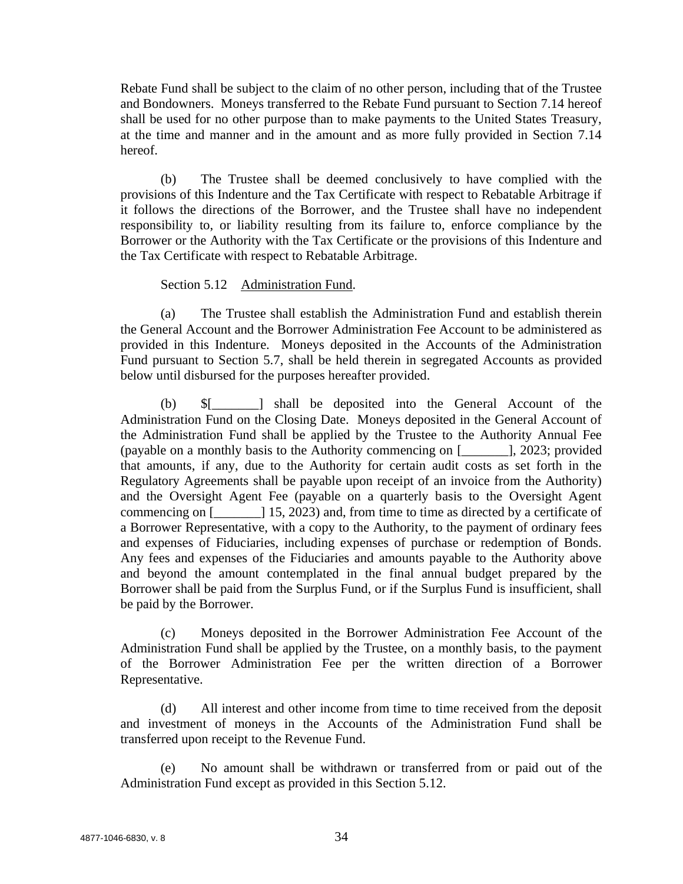Rebate Fund shall be subject to the claim of no other person, including that of the Trustee and Bondowners. Moneys transferred to the Rebate Fund pursuant to Section 7.14 hereof shall be used for no other purpose than to make payments to the United States Treasury, at the time and manner and in the amount and as more fully provided in Section 7.14 hereof.

(b) The Trustee shall be deemed conclusively to have complied with the provisions of this Indenture and the Tax Certificate with respect to Rebatable Arbitrage if it follows the directions of the Borrower, and the Trustee shall have no independent responsibility to, or liability resulting from its failure to, enforce compliance by the Borrower or the Authority with the Tax Certificate or the provisions of this Indenture and the Tax Certificate with respect to Rebatable Arbitrage.

## Section 5.12 Administration Fund.

(a) The Trustee shall establish the Administration Fund and establish therein the General Account and the Borrower Administration Fee Account to be administered as provided in this Indenture. Moneys deposited in the Accounts of the Administration Fund pursuant to Section 5.7, shall be held therein in segregated Accounts as provided below until disbursed for the purposes hereafter provided.

(b) \$[\_\_\_\_\_\_\_] shall be deposited into the General Account of the Administration Fund on the Closing Date. Moneys deposited in the General Account of the Administration Fund shall be applied by the Trustee to the Authority Annual Fee (payable on a monthly basis to the Authority commencing on [\_\_\_\_\_\_\_], 2023; provided that amounts, if any, due to the Authority for certain audit costs as set forth in the Regulatory Agreements shall be payable upon receipt of an invoice from the Authority) and the Oversight Agent Fee (payable on a quarterly basis to the Oversight Agent commencing on [\_\_\_\_\_\_\_] 15, 2023) and, from time to time as directed by a certificate of a Borrower Representative, with a copy to the Authority, to the payment of ordinary fees and expenses of Fiduciaries, including expenses of purchase or redemption of Bonds. Any fees and expenses of the Fiduciaries and amounts payable to the Authority above and beyond the amount contemplated in the final annual budget prepared by the Borrower shall be paid from the Surplus Fund, or if the Surplus Fund is insufficient, shall be paid by the Borrower.

(c) Moneys deposited in the Borrower Administration Fee Account of the Administration Fund shall be applied by the Trustee, on a monthly basis, to the payment of the Borrower Administration Fee per the written direction of a Borrower Representative.

(d) All interest and other income from time to time received from the deposit and investment of moneys in the Accounts of the Administration Fund shall be transferred upon receipt to the Revenue Fund.

(e) No amount shall be withdrawn or transferred from or paid out of the Administration Fund except as provided in this Section 5.12.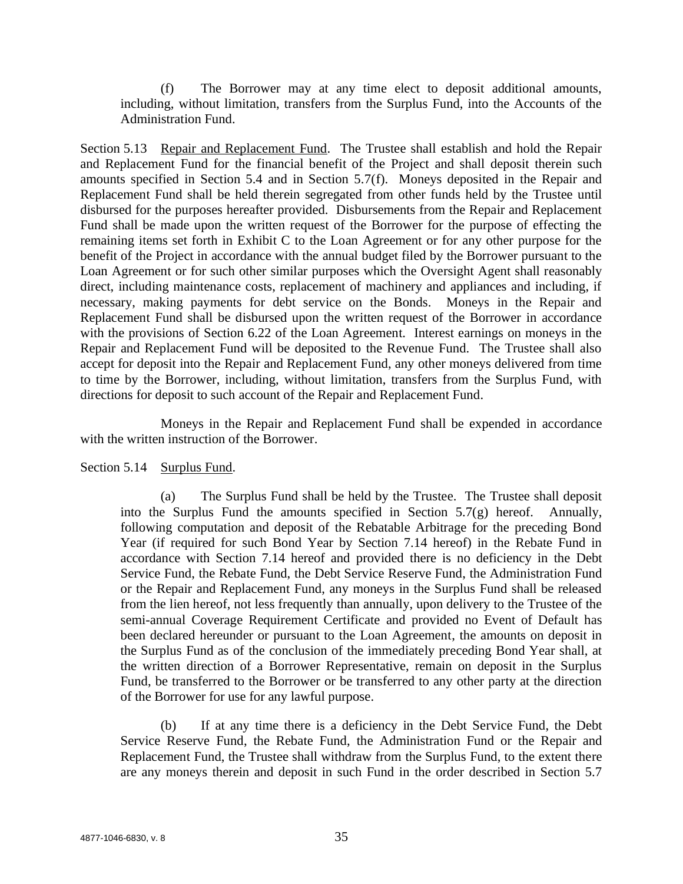(f) The Borrower may at any time elect to deposit additional amounts, including, without limitation, transfers from the Surplus Fund, into the Accounts of the Administration Fund.

Section 5.13 Repair and Replacement Fund. The Trustee shall establish and hold the Repair and Replacement Fund for the financial benefit of the Project and shall deposit therein such amounts specified in Section 5.4 and in Section 5.7(f). Moneys deposited in the Repair and Replacement Fund shall be held therein segregated from other funds held by the Trustee until disbursed for the purposes hereafter provided. Disbursements from the Repair and Replacement Fund shall be made upon the written request of the Borrower for the purpose of effecting the remaining items set forth in Exhibit C to the Loan Agreement or for any other purpose for the benefit of the Project in accordance with the annual budget filed by the Borrower pursuant to the Loan Agreement or for such other similar purposes which the Oversight Agent shall reasonably direct, including maintenance costs, replacement of machinery and appliances and including, if necessary, making payments for debt service on the Bonds. Moneys in the Repair and Replacement Fund shall be disbursed upon the written request of the Borrower in accordance with the provisions of Section 6.22 of the Loan Agreement. Interest earnings on moneys in the Repair and Replacement Fund will be deposited to the Revenue Fund. The Trustee shall also accept for deposit into the Repair and Replacement Fund, any other moneys delivered from time to time by the Borrower, including, without limitation, transfers from the Surplus Fund, with directions for deposit to such account of the Repair and Replacement Fund.

Moneys in the Repair and Replacement Fund shall be expended in accordance with the written instruction of the Borrower.

## Section 5.14 Surplus Fund.

(a) The Surplus Fund shall be held by the Trustee. The Trustee shall deposit into the Surplus Fund the amounts specified in Section 5.7(g) hereof. Annually, following computation and deposit of the Rebatable Arbitrage for the preceding Bond Year (if required for such Bond Year by Section 7.14 hereof) in the Rebate Fund in accordance with Section 7.14 hereof and provided there is no deficiency in the Debt Service Fund, the Rebate Fund, the Debt Service Reserve Fund, the Administration Fund or the Repair and Replacement Fund, any moneys in the Surplus Fund shall be released from the lien hereof, not less frequently than annually, upon delivery to the Trustee of the semi-annual Coverage Requirement Certificate and provided no Event of Default has been declared hereunder or pursuant to the Loan Agreement, the amounts on deposit in the Surplus Fund as of the conclusion of the immediately preceding Bond Year shall, at the written direction of a Borrower Representative, remain on deposit in the Surplus Fund, be transferred to the Borrower or be transferred to any other party at the direction of the Borrower for use for any lawful purpose.

(b) If at any time there is a deficiency in the Debt Service Fund, the Debt Service Reserve Fund, the Rebate Fund, the Administration Fund or the Repair and Replacement Fund, the Trustee shall withdraw from the Surplus Fund, to the extent there are any moneys therein and deposit in such Fund in the order described in Section 5.7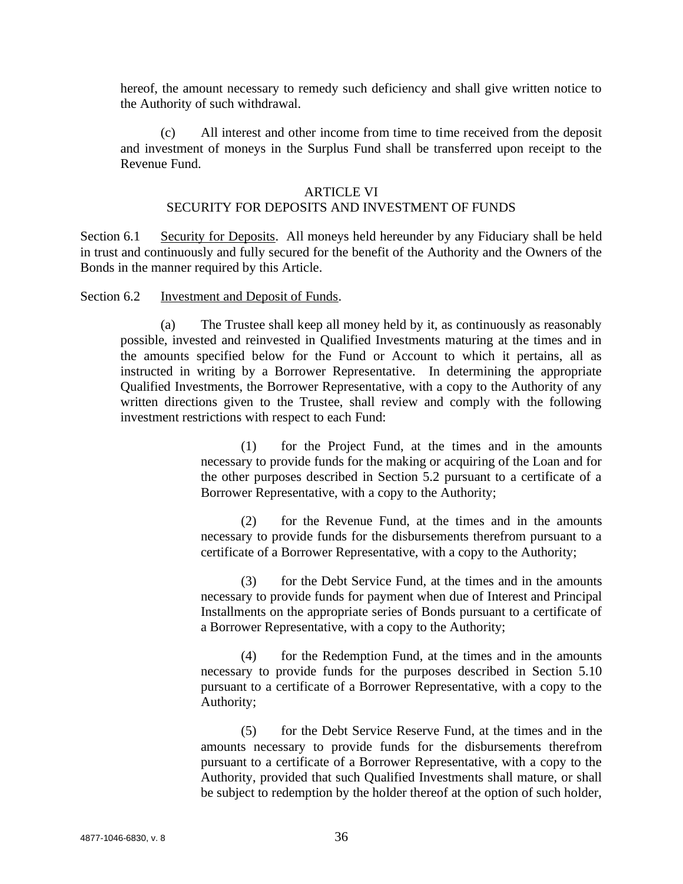hereof, the amount necessary to remedy such deficiency and shall give written notice to the Authority of such withdrawal.

(c) All interest and other income from time to time received from the deposit and investment of moneys in the Surplus Fund shall be transferred upon receipt to the Revenue Fund.

#### ARTICLE VI

### SECURITY FOR DEPOSITS AND INVESTMENT OF FUNDS

Section 6.1 Security for Deposits. All moneys held hereunder by any Fiduciary shall be held in trust and continuously and fully secured for the benefit of the Authority and the Owners of the Bonds in the manner required by this Article.

Section 6.2 Investment and Deposit of Funds.

(a) The Trustee shall keep all money held by it, as continuously as reasonably possible, invested and reinvested in Qualified Investments maturing at the times and in the amounts specified below for the Fund or Account to which it pertains, all as instructed in writing by a Borrower Representative. In determining the appropriate Qualified Investments, the Borrower Representative, with a copy to the Authority of any written directions given to the Trustee, shall review and comply with the following investment restrictions with respect to each Fund:

> (1) for the Project Fund, at the times and in the amounts necessary to provide funds for the making or acquiring of the Loan and for the other purposes described in Section 5.2 pursuant to a certificate of a Borrower Representative, with a copy to the Authority;

> (2) for the Revenue Fund, at the times and in the amounts necessary to provide funds for the disbursements therefrom pursuant to a certificate of a Borrower Representative, with a copy to the Authority;

> (3) for the Debt Service Fund, at the times and in the amounts necessary to provide funds for payment when due of Interest and Principal Installments on the appropriate series of Bonds pursuant to a certificate of a Borrower Representative, with a copy to the Authority;

> (4) for the Redemption Fund, at the times and in the amounts necessary to provide funds for the purposes described in Section 5.10 pursuant to a certificate of a Borrower Representative, with a copy to the Authority;

> (5) for the Debt Service Reserve Fund, at the times and in the amounts necessary to provide funds for the disbursements therefrom pursuant to a certificate of a Borrower Representative, with a copy to the Authority, provided that such Qualified Investments shall mature, or shall be subject to redemption by the holder thereof at the option of such holder,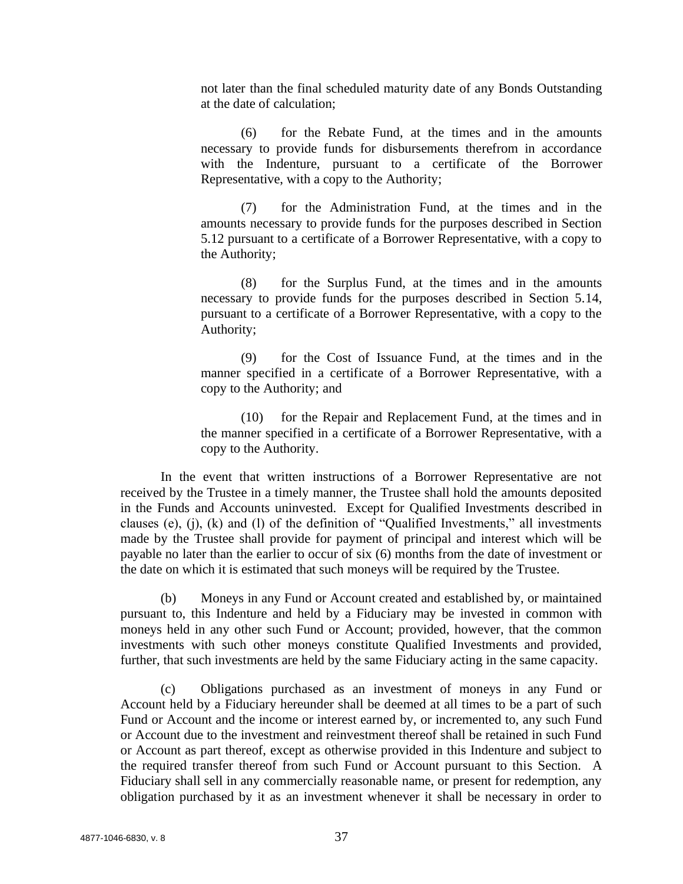not later than the final scheduled maturity date of any Bonds Outstanding at the date of calculation;

(6) for the Rebate Fund, at the times and in the amounts necessary to provide funds for disbursements therefrom in accordance with the Indenture, pursuant to a certificate of the Borrower Representative, with a copy to the Authority;

(7) for the Administration Fund, at the times and in the amounts necessary to provide funds for the purposes described in Section 5.12 pursuant to a certificate of a Borrower Representative, with a copy to the Authority;

(8) for the Surplus Fund, at the times and in the amounts necessary to provide funds for the purposes described in Section 5.14, pursuant to a certificate of a Borrower Representative, with a copy to the Authority;

(9) for the Cost of Issuance Fund, at the times and in the manner specified in a certificate of a Borrower Representative, with a copy to the Authority; and

(10) for the Repair and Replacement Fund, at the times and in the manner specified in a certificate of a Borrower Representative, with a copy to the Authority.

In the event that written instructions of a Borrower Representative are not received by the Trustee in a timely manner, the Trustee shall hold the amounts deposited in the Funds and Accounts uninvested. Except for Qualified Investments described in clauses (e), (j), (k) and (l) of the definition of "Qualified Investments," all investments made by the Trustee shall provide for payment of principal and interest which will be payable no later than the earlier to occur of six (6) months from the date of investment or the date on which it is estimated that such moneys will be required by the Trustee.

(b) Moneys in any Fund or Account created and established by, or maintained pursuant to, this Indenture and held by a Fiduciary may be invested in common with moneys held in any other such Fund or Account; provided, however, that the common investments with such other moneys constitute Qualified Investments and provided, further, that such investments are held by the same Fiduciary acting in the same capacity.

(c) Obligations purchased as an investment of moneys in any Fund or Account held by a Fiduciary hereunder shall be deemed at all times to be a part of such Fund or Account and the income or interest earned by, or incremented to, any such Fund or Account due to the investment and reinvestment thereof shall be retained in such Fund or Account as part thereof, except as otherwise provided in this Indenture and subject to the required transfer thereof from such Fund or Account pursuant to this Section. A Fiduciary shall sell in any commercially reasonable name, or present for redemption, any obligation purchased by it as an investment whenever it shall be necessary in order to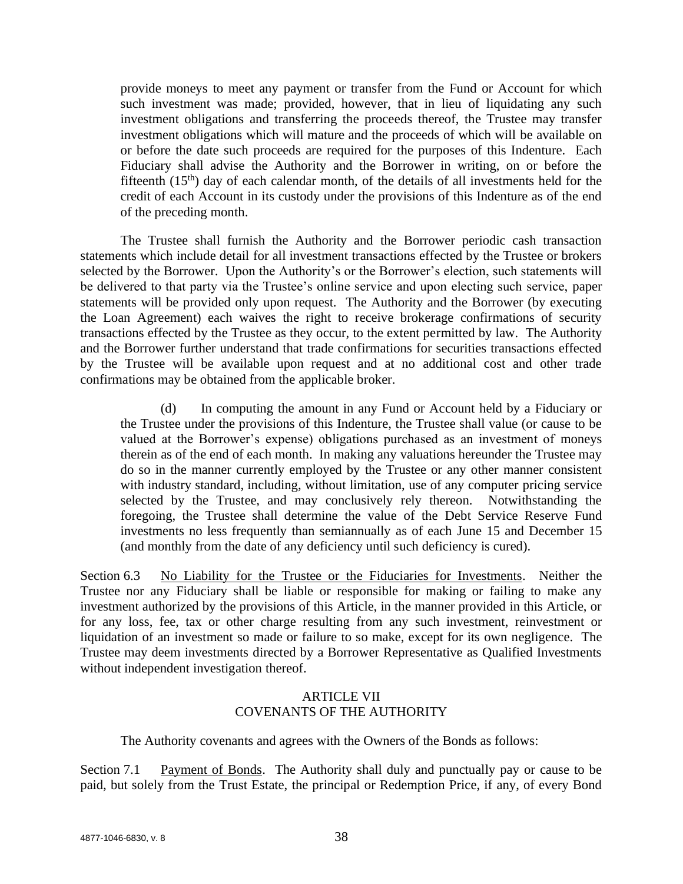provide moneys to meet any payment or transfer from the Fund or Account for which such investment was made; provided, however, that in lieu of liquidating any such investment obligations and transferring the proceeds thereof, the Trustee may transfer investment obligations which will mature and the proceeds of which will be available on or before the date such proceeds are required for the purposes of this Indenture. Each Fiduciary shall advise the Authority and the Borrower in writing, on or before the fifteenth  $(15<sup>th</sup>)$  day of each calendar month, of the details of all investments held for the credit of each Account in its custody under the provisions of this Indenture as of the end of the preceding month.

The Trustee shall furnish the Authority and the Borrower periodic cash transaction statements which include detail for all investment transactions effected by the Trustee or brokers selected by the Borrower. Upon the Authority's or the Borrower's election, such statements will be delivered to that party via the Trustee's online service and upon electing such service, paper statements will be provided only upon request. The Authority and the Borrower (by executing the Loan Agreement) each waives the right to receive brokerage confirmations of security transactions effected by the Trustee as they occur, to the extent permitted by law. The Authority and the Borrower further understand that trade confirmations for securities transactions effected by the Trustee will be available upon request and at no additional cost and other trade confirmations may be obtained from the applicable broker.

(d) In computing the amount in any Fund or Account held by a Fiduciary or the Trustee under the provisions of this Indenture, the Trustee shall value (or cause to be valued at the Borrower's expense) obligations purchased as an investment of moneys therein as of the end of each month. In making any valuations hereunder the Trustee may do so in the manner currently employed by the Trustee or any other manner consistent with industry standard, including, without limitation, use of any computer pricing service selected by the Trustee, and may conclusively rely thereon. Notwithstanding the foregoing, the Trustee shall determine the value of the Debt Service Reserve Fund investments no less frequently than semiannually as of each June 15 and December 15 (and monthly from the date of any deficiency until such deficiency is cured).

Section 6.3 No Liability for the Trustee or the Fiduciaries for Investments. Neither the Trustee nor any Fiduciary shall be liable or responsible for making or failing to make any investment authorized by the provisions of this Article, in the manner provided in this Article, or for any loss, fee, tax or other charge resulting from any such investment, reinvestment or liquidation of an investment so made or failure to so make, except for its own negligence. The Trustee may deem investments directed by a Borrower Representative as Qualified Investments without independent investigation thereof.

# ARTICLE VII COVENANTS OF THE AUTHORITY

The Authority covenants and agrees with the Owners of the Bonds as follows:

Section 7.1 Payment of Bonds. The Authority shall duly and punctually pay or cause to be paid, but solely from the Trust Estate, the principal or Redemption Price, if any, of every Bond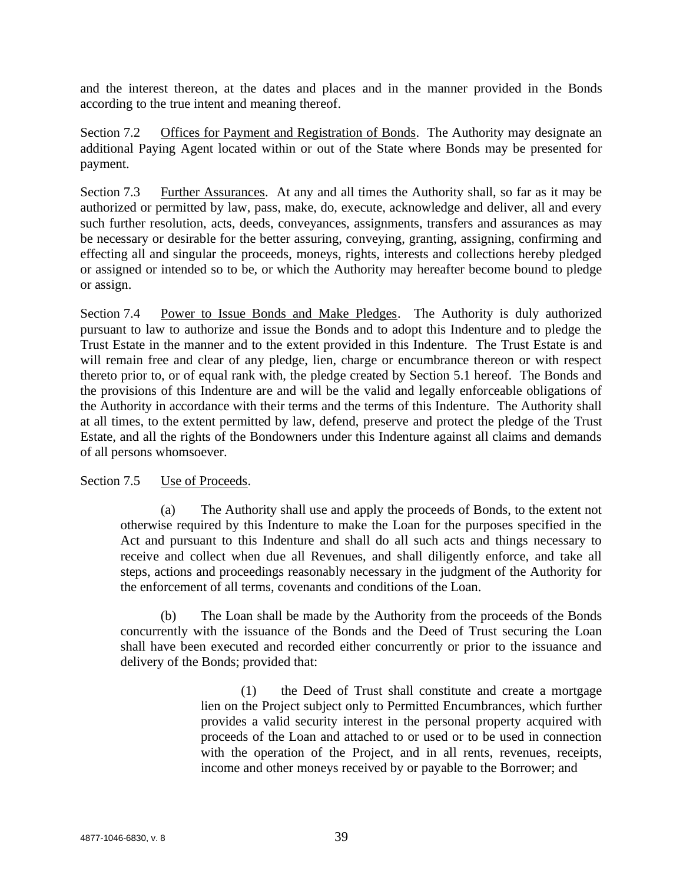and the interest thereon, at the dates and places and in the manner provided in the Bonds according to the true intent and meaning thereof.

Section 7.2 Offices for Payment and Registration of Bonds. The Authority may designate an additional Paying Agent located within or out of the State where Bonds may be presented for payment.

Section 7.3 Further Assurances. At any and all times the Authority shall, so far as it may be authorized or permitted by law, pass, make, do, execute, acknowledge and deliver, all and every such further resolution, acts, deeds, conveyances, assignments, transfers and assurances as may be necessary or desirable for the better assuring, conveying, granting, assigning, confirming and effecting all and singular the proceeds, moneys, rights, interests and collections hereby pledged or assigned or intended so to be, or which the Authority may hereafter become bound to pledge or assign.

Section 7.4 Power to Issue Bonds and Make Pledges. The Authority is duly authorized pursuant to law to authorize and issue the Bonds and to adopt this Indenture and to pledge the Trust Estate in the manner and to the extent provided in this Indenture. The Trust Estate is and will remain free and clear of any pledge, lien, charge or encumbrance thereon or with respect thereto prior to, or of equal rank with, the pledge created by Section 5.1 hereof. The Bonds and the provisions of this Indenture are and will be the valid and legally enforceable obligations of the Authority in accordance with their terms and the terms of this Indenture. The Authority shall at all times, to the extent permitted by law, defend, preserve and protect the pledge of the Trust Estate, and all the rights of the Bondowners under this Indenture against all claims and demands of all persons whomsoever.

## Section 7.5 Use of Proceeds.

(a) The Authority shall use and apply the proceeds of Bonds, to the extent not otherwise required by this Indenture to make the Loan for the purposes specified in the Act and pursuant to this Indenture and shall do all such acts and things necessary to receive and collect when due all Revenues, and shall diligently enforce, and take all steps, actions and proceedings reasonably necessary in the judgment of the Authority for the enforcement of all terms, covenants and conditions of the Loan.

(b) The Loan shall be made by the Authority from the proceeds of the Bonds concurrently with the issuance of the Bonds and the Deed of Trust securing the Loan shall have been executed and recorded either concurrently or prior to the issuance and delivery of the Bonds; provided that:

> (1) the Deed of Trust shall constitute and create a mortgage lien on the Project subject only to Permitted Encumbrances, which further provides a valid security interest in the personal property acquired with proceeds of the Loan and attached to or used or to be used in connection with the operation of the Project, and in all rents, revenues, receipts, income and other moneys received by or payable to the Borrower; and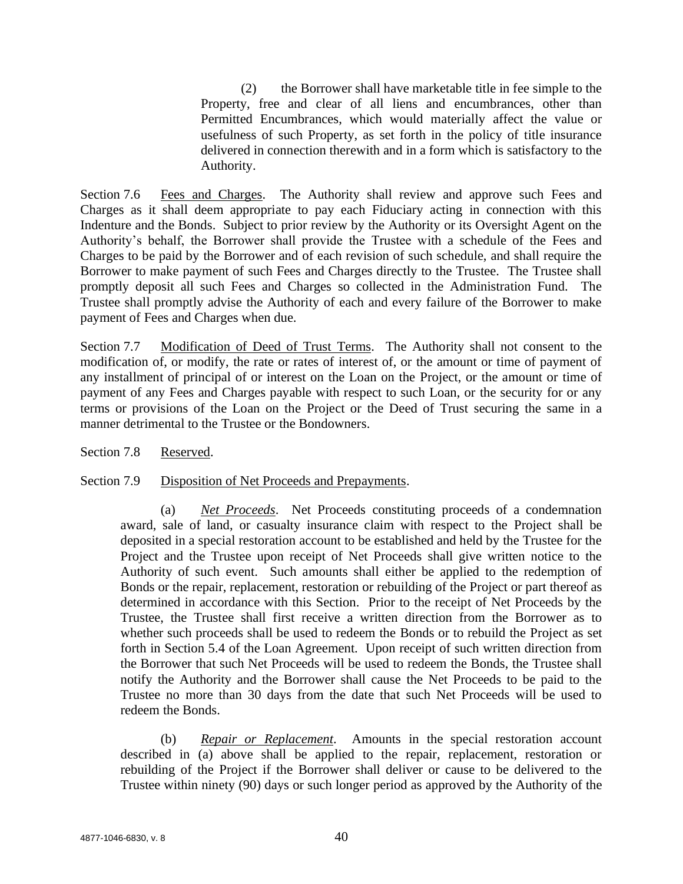(2) the Borrower shall have marketable title in fee simple to the Property, free and clear of all liens and encumbrances, other than Permitted Encumbrances, which would materially affect the value or usefulness of such Property, as set forth in the policy of title insurance delivered in connection therewith and in a form which is satisfactory to the Authority.

Section 7.6 Fees and Charges. The Authority shall review and approve such Fees and Charges as it shall deem appropriate to pay each Fiduciary acting in connection with this Indenture and the Bonds. Subject to prior review by the Authority or its Oversight Agent on the Authority's behalf, the Borrower shall provide the Trustee with a schedule of the Fees and Charges to be paid by the Borrower and of each revision of such schedule, and shall require the Borrower to make payment of such Fees and Charges directly to the Trustee. The Trustee shall promptly deposit all such Fees and Charges so collected in the Administration Fund. The Trustee shall promptly advise the Authority of each and every failure of the Borrower to make payment of Fees and Charges when due.

Section 7.7 Modification of Deed of Trust Terms. The Authority shall not consent to the modification of, or modify, the rate or rates of interest of, or the amount or time of payment of any installment of principal of or interest on the Loan on the Project, or the amount or time of payment of any Fees and Charges payable with respect to such Loan, or the security for or any terms or provisions of the Loan on the Project or the Deed of Trust securing the same in a manner detrimental to the Trustee or the Bondowners.

Section 7.8 Reserved.

## Section 7.9 Disposition of Net Proceeds and Prepayments.

(a) *Net Proceeds*. Net Proceeds constituting proceeds of a condemnation award, sale of land, or casualty insurance claim with respect to the Project shall be deposited in a special restoration account to be established and held by the Trustee for the Project and the Trustee upon receipt of Net Proceeds shall give written notice to the Authority of such event. Such amounts shall either be applied to the redemption of Bonds or the repair, replacement, restoration or rebuilding of the Project or part thereof as determined in accordance with this Section. Prior to the receipt of Net Proceeds by the Trustee, the Trustee shall first receive a written direction from the Borrower as to whether such proceeds shall be used to redeem the Bonds or to rebuild the Project as set forth in Section 5.4 of the Loan Agreement. Upon receipt of such written direction from the Borrower that such Net Proceeds will be used to redeem the Bonds, the Trustee shall notify the Authority and the Borrower shall cause the Net Proceeds to be paid to the Trustee no more than 30 days from the date that such Net Proceeds will be used to redeem the Bonds.

(b) *Repair or Replacement*. Amounts in the special restoration account described in (a) above shall be applied to the repair, replacement, restoration or rebuilding of the Project if the Borrower shall deliver or cause to be delivered to the Trustee within ninety (90) days or such longer period as approved by the Authority of the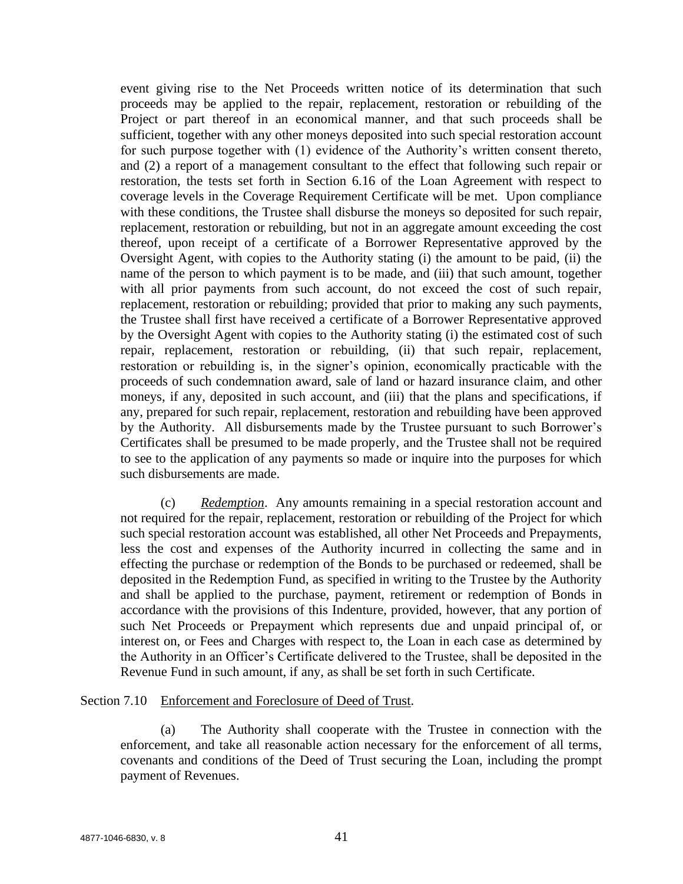event giving rise to the Net Proceeds written notice of its determination that such proceeds may be applied to the repair, replacement, restoration or rebuilding of the Project or part thereof in an economical manner, and that such proceeds shall be sufficient, together with any other moneys deposited into such special restoration account for such purpose together with (1) evidence of the Authority's written consent thereto, and (2) a report of a management consultant to the effect that following such repair or restoration, the tests set forth in Section 6.16 of the Loan Agreement with respect to coverage levels in the Coverage Requirement Certificate will be met. Upon compliance with these conditions, the Trustee shall disburse the moneys so deposited for such repair, replacement, restoration or rebuilding, but not in an aggregate amount exceeding the cost thereof, upon receipt of a certificate of a Borrower Representative approved by the Oversight Agent, with copies to the Authority stating (i) the amount to be paid, (ii) the name of the person to which payment is to be made, and (iii) that such amount, together with all prior payments from such account, do not exceed the cost of such repair, replacement, restoration or rebuilding; provided that prior to making any such payments, the Trustee shall first have received a certificate of a Borrower Representative approved by the Oversight Agent with copies to the Authority stating (i) the estimated cost of such repair, replacement, restoration or rebuilding, (ii) that such repair, replacement, restoration or rebuilding is, in the signer's opinion, economically practicable with the proceeds of such condemnation award, sale of land or hazard insurance claim, and other moneys, if any, deposited in such account, and (iii) that the plans and specifications, if any, prepared for such repair, replacement, restoration and rebuilding have been approved by the Authority. All disbursements made by the Trustee pursuant to such Borrower's Certificates shall be presumed to be made properly, and the Trustee shall not be required to see to the application of any payments so made or inquire into the purposes for which such disbursements are made.

(c) *Redemption*. Any amounts remaining in a special restoration account and not required for the repair, replacement, restoration or rebuilding of the Project for which such special restoration account was established, all other Net Proceeds and Prepayments, less the cost and expenses of the Authority incurred in collecting the same and in effecting the purchase or redemption of the Bonds to be purchased or redeemed, shall be deposited in the Redemption Fund, as specified in writing to the Trustee by the Authority and shall be applied to the purchase, payment, retirement or redemption of Bonds in accordance with the provisions of this Indenture, provided, however, that any portion of such Net Proceeds or Prepayment which represents due and unpaid principal of, or interest on, or Fees and Charges with respect to, the Loan in each case as determined by the Authority in an Officer's Certificate delivered to the Trustee, shall be deposited in the Revenue Fund in such amount, if any, as shall be set forth in such Certificate.

### Section 7.10 Enforcement and Foreclosure of Deed of Trust.

(a) The Authority shall cooperate with the Trustee in connection with the enforcement, and take all reasonable action necessary for the enforcement of all terms, covenants and conditions of the Deed of Trust securing the Loan, including the prompt payment of Revenues.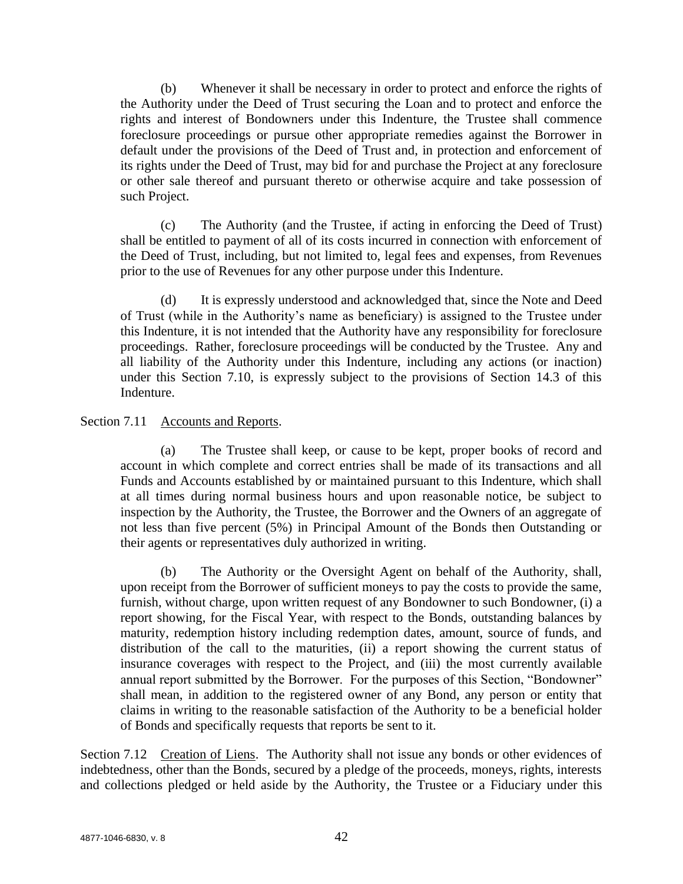(b) Whenever it shall be necessary in order to protect and enforce the rights of the Authority under the Deed of Trust securing the Loan and to protect and enforce the rights and interest of Bondowners under this Indenture, the Trustee shall commence foreclosure proceedings or pursue other appropriate remedies against the Borrower in default under the provisions of the Deed of Trust and, in protection and enforcement of its rights under the Deed of Trust, may bid for and purchase the Project at any foreclosure or other sale thereof and pursuant thereto or otherwise acquire and take possession of such Project.

(c) The Authority (and the Trustee, if acting in enforcing the Deed of Trust) shall be entitled to payment of all of its costs incurred in connection with enforcement of the Deed of Trust, including, but not limited to, legal fees and expenses, from Revenues prior to the use of Revenues for any other purpose under this Indenture.

(d) It is expressly understood and acknowledged that, since the Note and Deed of Trust (while in the Authority's name as beneficiary) is assigned to the Trustee under this Indenture, it is not intended that the Authority have any responsibility for foreclosure proceedings. Rather, foreclosure proceedings will be conducted by the Trustee. Any and all liability of the Authority under this Indenture, including any actions (or inaction) under this Section 7.10, is expressly subject to the provisions of Section 14.3 of this Indenture.

Section 7.11 Accounts and Reports.

(a) The Trustee shall keep, or cause to be kept, proper books of record and account in which complete and correct entries shall be made of its transactions and all Funds and Accounts established by or maintained pursuant to this Indenture, which shall at all times during normal business hours and upon reasonable notice, be subject to inspection by the Authority, the Trustee, the Borrower and the Owners of an aggregate of not less than five percent (5%) in Principal Amount of the Bonds then Outstanding or their agents or representatives duly authorized in writing.

(b) The Authority or the Oversight Agent on behalf of the Authority, shall, upon receipt from the Borrower of sufficient moneys to pay the costs to provide the same, furnish, without charge, upon written request of any Bondowner to such Bondowner, (i) a report showing, for the Fiscal Year, with respect to the Bonds, outstanding balances by maturity, redemption history including redemption dates, amount, source of funds, and distribution of the call to the maturities, (ii) a report showing the current status of insurance coverages with respect to the Project, and (iii) the most currently available annual report submitted by the Borrower. For the purposes of this Section, "Bondowner" shall mean, in addition to the registered owner of any Bond, any person or entity that claims in writing to the reasonable satisfaction of the Authority to be a beneficial holder of Bonds and specifically requests that reports be sent to it.

Section 7.12 Creation of Liens. The Authority shall not issue any bonds or other evidences of indebtedness, other than the Bonds, secured by a pledge of the proceeds, moneys, rights, interests and collections pledged or held aside by the Authority, the Trustee or a Fiduciary under this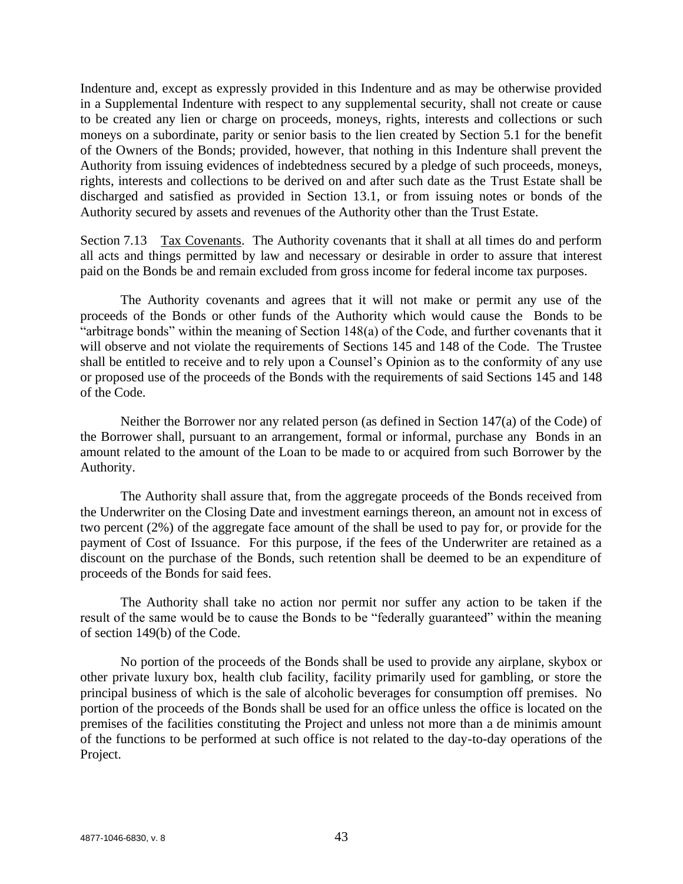Indenture and, except as expressly provided in this Indenture and as may be otherwise provided in a Supplemental Indenture with respect to any supplemental security, shall not create or cause to be created any lien or charge on proceeds, moneys, rights, interests and collections or such moneys on a subordinate, parity or senior basis to the lien created by Section 5.1 for the benefit of the Owners of the Bonds; provided, however, that nothing in this Indenture shall prevent the Authority from issuing evidences of indebtedness secured by a pledge of such proceeds, moneys, rights, interests and collections to be derived on and after such date as the Trust Estate shall be discharged and satisfied as provided in Section 13.1, or from issuing notes or bonds of the Authority secured by assets and revenues of the Authority other than the Trust Estate.

Section 7.13 Tax Covenants. The Authority covenants that it shall at all times do and perform all acts and things permitted by law and necessary or desirable in order to assure that interest paid on the Bonds be and remain excluded from gross income for federal income tax purposes.

The Authority covenants and agrees that it will not make or permit any use of the proceeds of the Bonds or other funds of the Authority which would cause the Bonds to be "arbitrage bonds" within the meaning of Section 148(a) of the Code, and further covenants that it will observe and not violate the requirements of Sections 145 and 148 of the Code. The Trustee shall be entitled to receive and to rely upon a Counsel's Opinion as to the conformity of any use or proposed use of the proceeds of the Bonds with the requirements of said Sections 145 and 148 of the Code.

Neither the Borrower nor any related person (as defined in Section 147(a) of the Code) of the Borrower shall, pursuant to an arrangement, formal or informal, purchase any Bonds in an amount related to the amount of the Loan to be made to or acquired from such Borrower by the Authority.

The Authority shall assure that, from the aggregate proceeds of the Bonds received from the Underwriter on the Closing Date and investment earnings thereon, an amount not in excess of two percent (2%) of the aggregate face amount of the shall be used to pay for, or provide for the payment of Cost of Issuance. For this purpose, if the fees of the Underwriter are retained as a discount on the purchase of the Bonds, such retention shall be deemed to be an expenditure of proceeds of the Bonds for said fees.

The Authority shall take no action nor permit nor suffer any action to be taken if the result of the same would be to cause the Bonds to be "federally guaranteed" within the meaning of section 149(b) of the Code.

No portion of the proceeds of the Bonds shall be used to provide any airplane, skybox or other private luxury box, health club facility, facility primarily used for gambling, or store the principal business of which is the sale of alcoholic beverages for consumption off premises. No portion of the proceeds of the Bonds shall be used for an office unless the office is located on the premises of the facilities constituting the Project and unless not more than a de minimis amount of the functions to be performed at such office is not related to the day-to-day operations of the Project.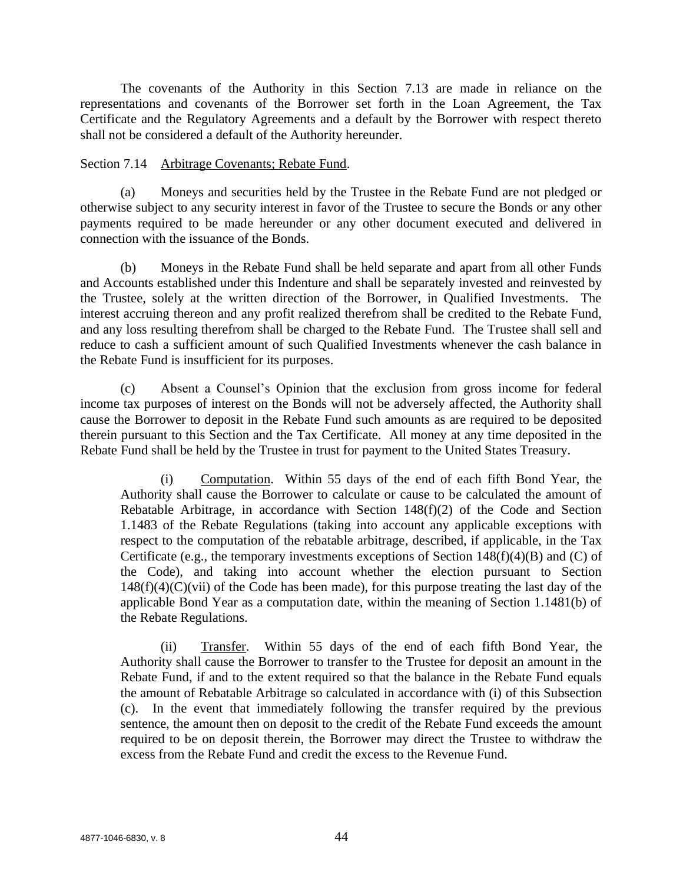The covenants of the Authority in this Section 7.13 are made in reliance on the representations and covenants of the Borrower set forth in the Loan Agreement, the Tax Certificate and the Regulatory Agreements and a default by the Borrower with respect thereto shall not be considered a default of the Authority hereunder.

## Section 7.14 Arbitrage Covenants; Rebate Fund.

(a) Moneys and securities held by the Trustee in the Rebate Fund are not pledged or otherwise subject to any security interest in favor of the Trustee to secure the Bonds or any other payments required to be made hereunder or any other document executed and delivered in connection with the issuance of the Bonds.

(b) Moneys in the Rebate Fund shall be held separate and apart from all other Funds and Accounts established under this Indenture and shall be separately invested and reinvested by the Trustee, solely at the written direction of the Borrower, in Qualified Investments. The interest accruing thereon and any profit realized therefrom shall be credited to the Rebate Fund, and any loss resulting therefrom shall be charged to the Rebate Fund. The Trustee shall sell and reduce to cash a sufficient amount of such Qualified Investments whenever the cash balance in the Rebate Fund is insufficient for its purposes.

(c) Absent a Counsel's Opinion that the exclusion from gross income for federal income tax purposes of interest on the Bonds will not be adversely affected, the Authority shall cause the Borrower to deposit in the Rebate Fund such amounts as are required to be deposited therein pursuant to this Section and the Tax Certificate. All money at any time deposited in the Rebate Fund shall be held by the Trustee in trust for payment to the United States Treasury.

(i) Computation. Within 55 days of the end of each fifth Bond Year, the Authority shall cause the Borrower to calculate or cause to be calculated the amount of Rebatable Arbitrage, in accordance with Section 148(f)(2) of the Code and Section 1.1483 of the Rebate Regulations (taking into account any applicable exceptions with respect to the computation of the rebatable arbitrage, described, if applicable, in the Tax Certificate (e.g., the temporary investments exceptions of Section  $148(f)(4)(B)$  and (C) of the Code), and taking into account whether the election pursuant to Section  $148(f)(4)(C)(vii)$  of the Code has been made), for this purpose treating the last day of the applicable Bond Year as a computation date, within the meaning of Section 1.1481(b) of the Rebate Regulations.

(ii) Transfer. Within 55 days of the end of each fifth Bond Year, the Authority shall cause the Borrower to transfer to the Trustee for deposit an amount in the Rebate Fund, if and to the extent required so that the balance in the Rebate Fund equals the amount of Rebatable Arbitrage so calculated in accordance with (i) of this Subsection (c). In the event that immediately following the transfer required by the previous sentence, the amount then on deposit to the credit of the Rebate Fund exceeds the amount required to be on deposit therein, the Borrower may direct the Trustee to withdraw the excess from the Rebate Fund and credit the excess to the Revenue Fund.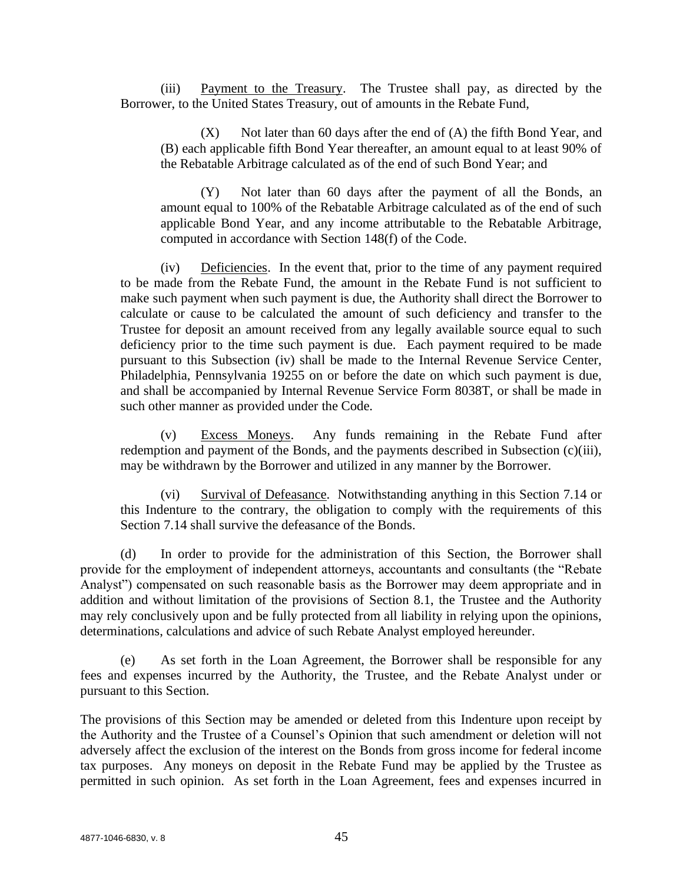(iii) Payment to the Treasury. The Trustee shall pay, as directed by the Borrower, to the United States Treasury, out of amounts in the Rebate Fund,

 $(X)$  Not later than 60 days after the end of  $(A)$  the fifth Bond Year, and (B) each applicable fifth Bond Year thereafter, an amount equal to at least 90% of the Rebatable Arbitrage calculated as of the end of such Bond Year; and

(Y) Not later than 60 days after the payment of all the Bonds, an amount equal to 100% of the Rebatable Arbitrage calculated as of the end of such applicable Bond Year, and any income attributable to the Rebatable Arbitrage, computed in accordance with Section 148(f) of the Code.

(iv) Deficiencies. In the event that, prior to the time of any payment required to be made from the Rebate Fund, the amount in the Rebate Fund is not sufficient to make such payment when such payment is due, the Authority shall direct the Borrower to calculate or cause to be calculated the amount of such deficiency and transfer to the Trustee for deposit an amount received from any legally available source equal to such deficiency prior to the time such payment is due. Each payment required to be made pursuant to this Subsection (iv) shall be made to the Internal Revenue Service Center, Philadelphia, Pennsylvania 19255 on or before the date on which such payment is due, and shall be accompanied by Internal Revenue Service Form 8038T, or shall be made in such other manner as provided under the Code.

(v) Excess Moneys. Any funds remaining in the Rebate Fund after redemption and payment of the Bonds, and the payments described in Subsection (c)(iii), may be withdrawn by the Borrower and utilized in any manner by the Borrower.

(vi) Survival of Defeasance. Notwithstanding anything in this Section 7.14 or this Indenture to the contrary, the obligation to comply with the requirements of this Section 7.14 shall survive the defeasance of the Bonds.

(d) In order to provide for the administration of this Section, the Borrower shall provide for the employment of independent attorneys, accountants and consultants (the "Rebate Analyst") compensated on such reasonable basis as the Borrower may deem appropriate and in addition and without limitation of the provisions of Section 8.1, the Trustee and the Authority may rely conclusively upon and be fully protected from all liability in relying upon the opinions, determinations, calculations and advice of such Rebate Analyst employed hereunder.

(e) As set forth in the Loan Agreement, the Borrower shall be responsible for any fees and expenses incurred by the Authority, the Trustee, and the Rebate Analyst under or pursuant to this Section.

The provisions of this Section may be amended or deleted from this Indenture upon receipt by the Authority and the Trustee of a Counsel's Opinion that such amendment or deletion will not adversely affect the exclusion of the interest on the Bonds from gross income for federal income tax purposes. Any moneys on deposit in the Rebate Fund may be applied by the Trustee as permitted in such opinion. As set forth in the Loan Agreement, fees and expenses incurred in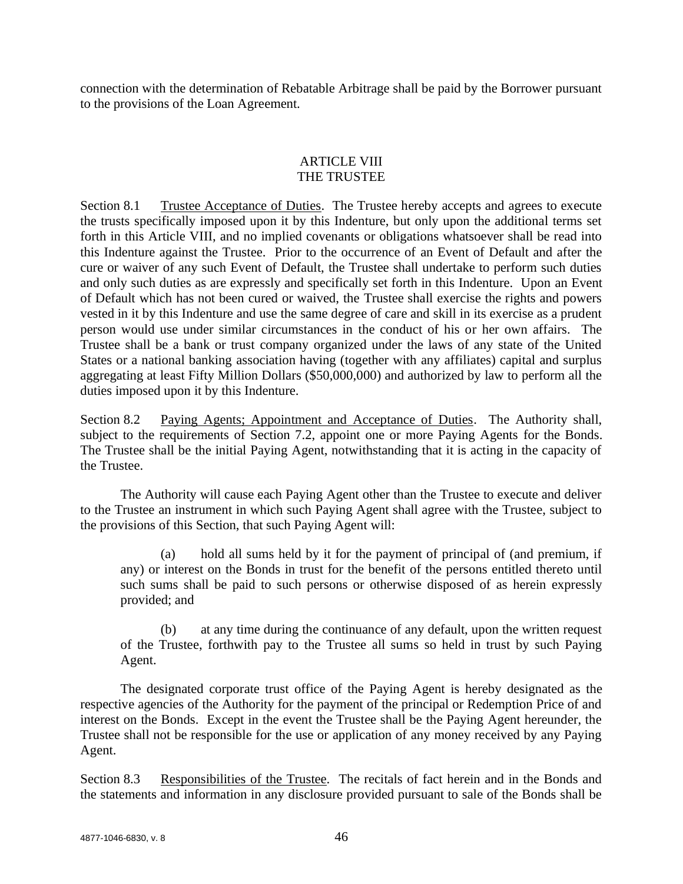connection with the determination of Rebatable Arbitrage shall be paid by the Borrower pursuant to the provisions of the Loan Agreement.

# ARTICLE VIII THE TRUSTEE

Section 8.1 Trustee Acceptance of Duties. The Trustee hereby accepts and agrees to execute the trusts specifically imposed upon it by this Indenture, but only upon the additional terms set forth in this Article VIII, and no implied covenants or obligations whatsoever shall be read into this Indenture against the Trustee. Prior to the occurrence of an Event of Default and after the cure or waiver of any such Event of Default, the Trustee shall undertake to perform such duties and only such duties as are expressly and specifically set forth in this Indenture. Upon an Event of Default which has not been cured or waived, the Trustee shall exercise the rights and powers vested in it by this Indenture and use the same degree of care and skill in its exercise as a prudent person would use under similar circumstances in the conduct of his or her own affairs. The Trustee shall be a bank or trust company organized under the laws of any state of the United States or a national banking association having (together with any affiliates) capital and surplus aggregating at least Fifty Million Dollars (\$50,000,000) and authorized by law to perform all the duties imposed upon it by this Indenture.

Section 8.2 Paying Agents; Appointment and Acceptance of Duties. The Authority shall, subject to the requirements of Section 7.2, appoint one or more Paying Agents for the Bonds. The Trustee shall be the initial Paying Agent, notwithstanding that it is acting in the capacity of the Trustee.

The Authority will cause each Paying Agent other than the Trustee to execute and deliver to the Trustee an instrument in which such Paying Agent shall agree with the Trustee, subject to the provisions of this Section, that such Paying Agent will:

(a) hold all sums held by it for the payment of principal of (and premium, if any) or interest on the Bonds in trust for the benefit of the persons entitled thereto until such sums shall be paid to such persons or otherwise disposed of as herein expressly provided; and

(b) at any time during the continuance of any default, upon the written request of the Trustee, forthwith pay to the Trustee all sums so held in trust by such Paying Agent.

The designated corporate trust office of the Paying Agent is hereby designated as the respective agencies of the Authority for the payment of the principal or Redemption Price of and interest on the Bonds. Except in the event the Trustee shall be the Paying Agent hereunder, the Trustee shall not be responsible for the use or application of any money received by any Paying Agent.

Section 8.3 Responsibilities of the Trustee. The recitals of fact herein and in the Bonds and the statements and information in any disclosure provided pursuant to sale of the Bonds shall be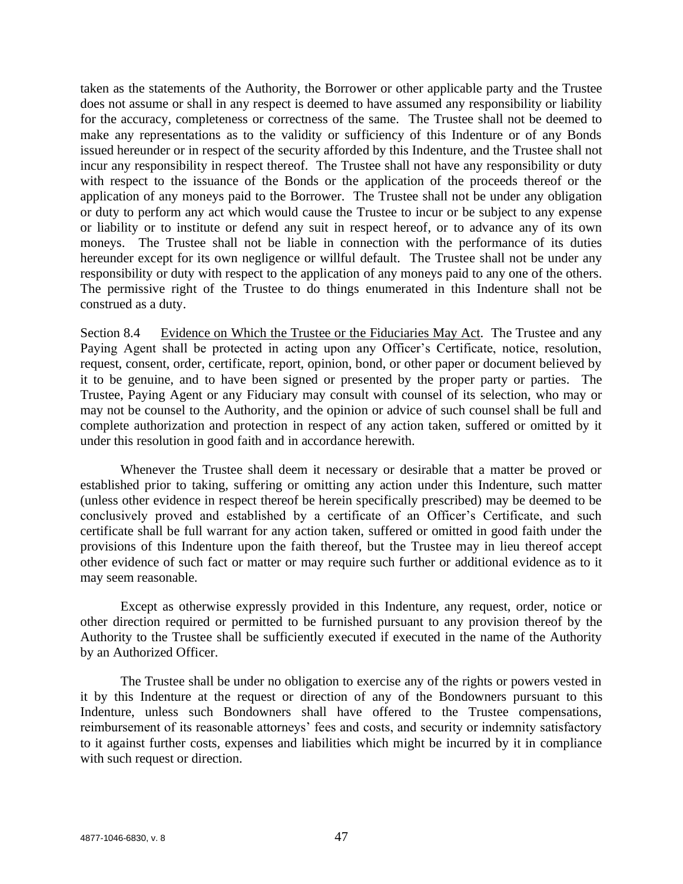taken as the statements of the Authority, the Borrower or other applicable party and the Trustee does not assume or shall in any respect is deemed to have assumed any responsibility or liability for the accuracy, completeness or correctness of the same. The Trustee shall not be deemed to make any representations as to the validity or sufficiency of this Indenture or of any Bonds issued hereunder or in respect of the security afforded by this Indenture, and the Trustee shall not incur any responsibility in respect thereof. The Trustee shall not have any responsibility or duty with respect to the issuance of the Bonds or the application of the proceeds thereof or the application of any moneys paid to the Borrower. The Trustee shall not be under any obligation or duty to perform any act which would cause the Trustee to incur or be subject to any expense or liability or to institute or defend any suit in respect hereof, or to advance any of its own moneys. The Trustee shall not be liable in connection with the performance of its duties hereunder except for its own negligence or willful default. The Trustee shall not be under any responsibility or duty with respect to the application of any moneys paid to any one of the others. The permissive right of the Trustee to do things enumerated in this Indenture shall not be construed as a duty.

Section 8.4 Evidence on Which the Trustee or the Fiduciaries May Act. The Trustee and any Paying Agent shall be protected in acting upon any Officer's Certificate, notice, resolution, request, consent, order, certificate, report, opinion, bond, or other paper or document believed by it to be genuine, and to have been signed or presented by the proper party or parties. The Trustee, Paying Agent or any Fiduciary may consult with counsel of its selection, who may or may not be counsel to the Authority, and the opinion or advice of such counsel shall be full and complete authorization and protection in respect of any action taken, suffered or omitted by it under this resolution in good faith and in accordance herewith.

Whenever the Trustee shall deem it necessary or desirable that a matter be proved or established prior to taking, suffering or omitting any action under this Indenture, such matter (unless other evidence in respect thereof be herein specifically prescribed) may be deemed to be conclusively proved and established by a certificate of an Officer's Certificate, and such certificate shall be full warrant for any action taken, suffered or omitted in good faith under the provisions of this Indenture upon the faith thereof, but the Trustee may in lieu thereof accept other evidence of such fact or matter or may require such further or additional evidence as to it may seem reasonable.

Except as otherwise expressly provided in this Indenture, any request, order, notice or other direction required or permitted to be furnished pursuant to any provision thereof by the Authority to the Trustee shall be sufficiently executed if executed in the name of the Authority by an Authorized Officer.

The Trustee shall be under no obligation to exercise any of the rights or powers vested in it by this Indenture at the request or direction of any of the Bondowners pursuant to this Indenture, unless such Bondowners shall have offered to the Trustee compensations, reimbursement of its reasonable attorneys' fees and costs, and security or indemnity satisfactory to it against further costs, expenses and liabilities which might be incurred by it in compliance with such request or direction.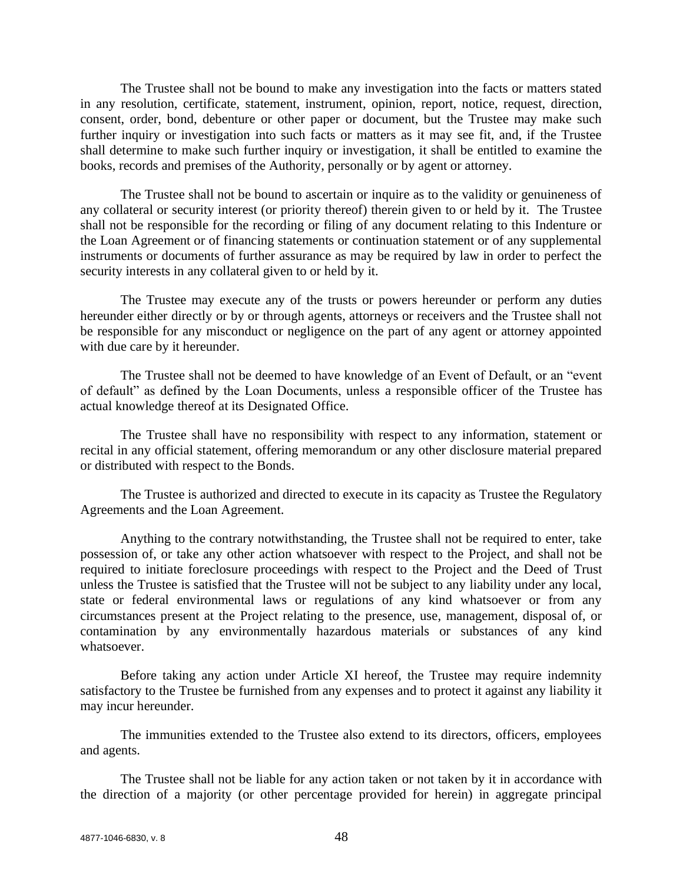The Trustee shall not be bound to make any investigation into the facts or matters stated in any resolution, certificate, statement, instrument, opinion, report, notice, request, direction, consent, order, bond, debenture or other paper or document, but the Trustee may make such further inquiry or investigation into such facts or matters as it may see fit, and, if the Trustee shall determine to make such further inquiry or investigation, it shall be entitled to examine the books, records and premises of the Authority, personally or by agent or attorney.

The Trustee shall not be bound to ascertain or inquire as to the validity or genuineness of any collateral or security interest (or priority thereof) therein given to or held by it. The Trustee shall not be responsible for the recording or filing of any document relating to this Indenture or the Loan Agreement or of financing statements or continuation statement or of any supplemental instruments or documents of further assurance as may be required by law in order to perfect the security interests in any collateral given to or held by it.

The Trustee may execute any of the trusts or powers hereunder or perform any duties hereunder either directly or by or through agents, attorneys or receivers and the Trustee shall not be responsible for any misconduct or negligence on the part of any agent or attorney appointed with due care by it hereunder.

The Trustee shall not be deemed to have knowledge of an Event of Default, or an "event of default" as defined by the Loan Documents, unless a responsible officer of the Trustee has actual knowledge thereof at its Designated Office.

The Trustee shall have no responsibility with respect to any information, statement or recital in any official statement, offering memorandum or any other disclosure material prepared or distributed with respect to the Bonds.

The Trustee is authorized and directed to execute in its capacity as Trustee the Regulatory Agreements and the Loan Agreement.

Anything to the contrary notwithstanding, the Trustee shall not be required to enter, take possession of, or take any other action whatsoever with respect to the Project, and shall not be required to initiate foreclosure proceedings with respect to the Project and the Deed of Trust unless the Trustee is satisfied that the Trustee will not be subject to any liability under any local, state or federal environmental laws or regulations of any kind whatsoever or from any circumstances present at the Project relating to the presence, use, management, disposal of, or contamination by any environmentally hazardous materials or substances of any kind whatsoever.

Before taking any action under Article XI hereof, the Trustee may require indemnity satisfactory to the Trustee be furnished from any expenses and to protect it against any liability it may incur hereunder.

The immunities extended to the Trustee also extend to its directors, officers, employees and agents.

The Trustee shall not be liable for any action taken or not taken by it in accordance with the direction of a majority (or other percentage provided for herein) in aggregate principal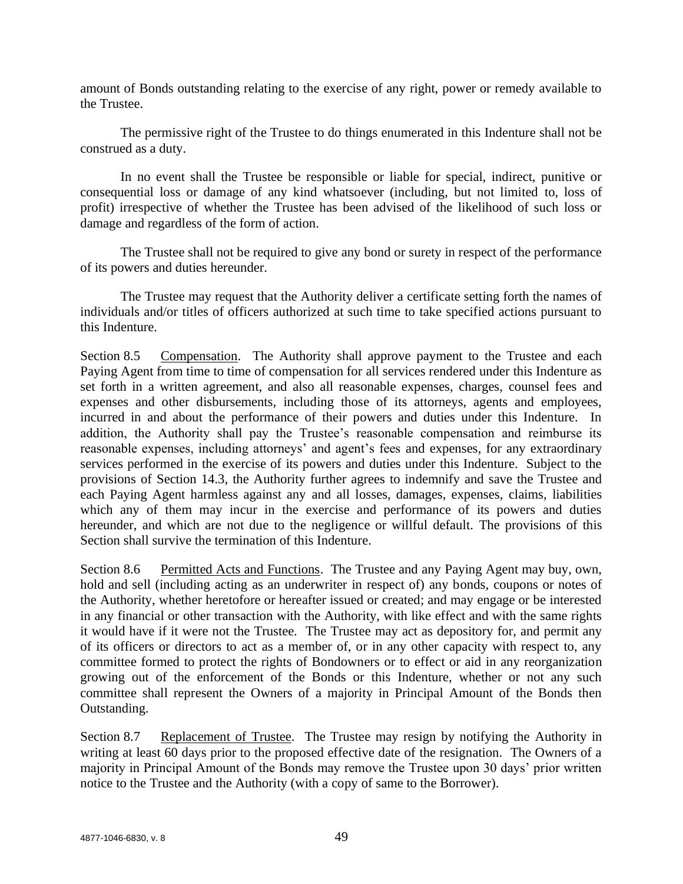amount of Bonds outstanding relating to the exercise of any right, power or remedy available to the Trustee.

The permissive right of the Trustee to do things enumerated in this Indenture shall not be construed as a duty.

In no event shall the Trustee be responsible or liable for special, indirect, punitive or consequential loss or damage of any kind whatsoever (including, but not limited to, loss of profit) irrespective of whether the Trustee has been advised of the likelihood of such loss or damage and regardless of the form of action.

The Trustee shall not be required to give any bond or surety in respect of the performance of its powers and duties hereunder.

The Trustee may request that the Authority deliver a certificate setting forth the names of individuals and/or titles of officers authorized at such time to take specified actions pursuant to this Indenture.

Section 8.5 Compensation. The Authority shall approve payment to the Trustee and each Paying Agent from time to time of compensation for all services rendered under this Indenture as set forth in a written agreement, and also all reasonable expenses, charges, counsel fees and expenses and other disbursements, including those of its attorneys, agents and employees, incurred in and about the performance of their powers and duties under this Indenture. In addition, the Authority shall pay the Trustee's reasonable compensation and reimburse its reasonable expenses, including attorneys' and agent's fees and expenses, for any extraordinary services performed in the exercise of its powers and duties under this Indenture. Subject to the provisions of Section 14.3, the Authority further agrees to indemnify and save the Trustee and each Paying Agent harmless against any and all losses, damages, expenses, claims, liabilities which any of them may incur in the exercise and performance of its powers and duties hereunder, and which are not due to the negligence or willful default. The provisions of this Section shall survive the termination of this Indenture.

Section 8.6 Permitted Acts and Functions. The Trustee and any Paying Agent may buy, own, hold and sell (including acting as an underwriter in respect of) any bonds, coupons or notes of the Authority, whether heretofore or hereafter issued or created; and may engage or be interested in any financial or other transaction with the Authority, with like effect and with the same rights it would have if it were not the Trustee. The Trustee may act as depository for, and permit any of its officers or directors to act as a member of, or in any other capacity with respect to, any committee formed to protect the rights of Bondowners or to effect or aid in any reorganization growing out of the enforcement of the Bonds or this Indenture, whether or not any such committee shall represent the Owners of a majority in Principal Amount of the Bonds then Outstanding.

Section 8.7 Replacement of Trustee. The Trustee may resign by notifying the Authority in writing at least 60 days prior to the proposed effective date of the resignation. The Owners of a majority in Principal Amount of the Bonds may remove the Trustee upon 30 days' prior written notice to the Trustee and the Authority (with a copy of same to the Borrower).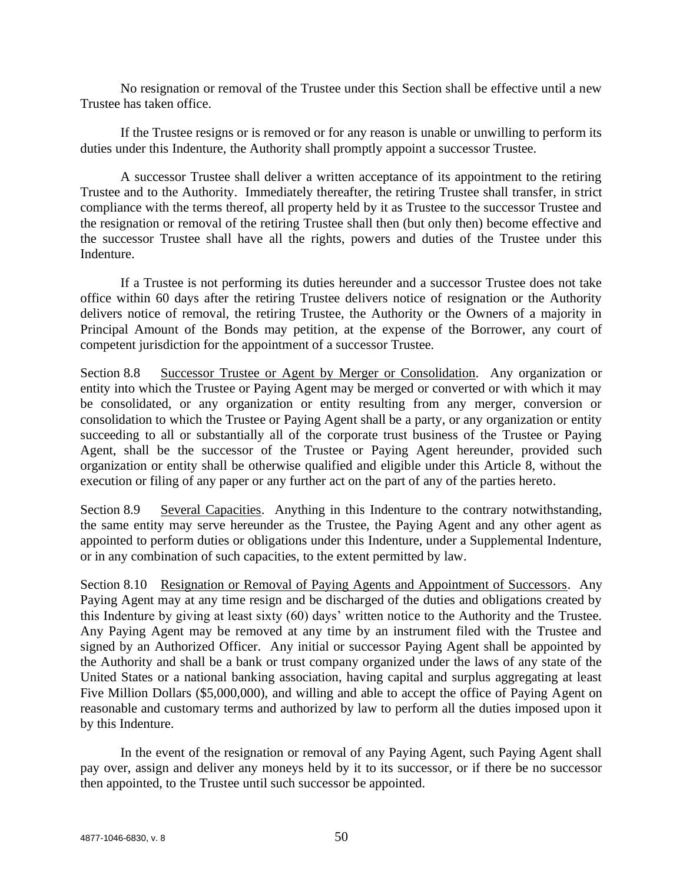No resignation or removal of the Trustee under this Section shall be effective until a new Trustee has taken office.

If the Trustee resigns or is removed or for any reason is unable or unwilling to perform its duties under this Indenture, the Authority shall promptly appoint a successor Trustee.

A successor Trustee shall deliver a written acceptance of its appointment to the retiring Trustee and to the Authority. Immediately thereafter, the retiring Trustee shall transfer, in strict compliance with the terms thereof, all property held by it as Trustee to the successor Trustee and the resignation or removal of the retiring Trustee shall then (but only then) become effective and the successor Trustee shall have all the rights, powers and duties of the Trustee under this Indenture.

If a Trustee is not performing its duties hereunder and a successor Trustee does not take office within 60 days after the retiring Trustee delivers notice of resignation or the Authority delivers notice of removal, the retiring Trustee, the Authority or the Owners of a majority in Principal Amount of the Bonds may petition, at the expense of the Borrower, any court of competent jurisdiction for the appointment of a successor Trustee.

Section 8.8 Successor Trustee or Agent by Merger or Consolidation. Any organization or entity into which the Trustee or Paying Agent may be merged or converted or with which it may be consolidated, or any organization or entity resulting from any merger, conversion or consolidation to which the Trustee or Paying Agent shall be a party, or any organization or entity succeeding to all or substantially all of the corporate trust business of the Trustee or Paying Agent, shall be the successor of the Trustee or Paying Agent hereunder, provided such organization or entity shall be otherwise qualified and eligible under this Article 8, without the execution or filing of any paper or any further act on the part of any of the parties hereto.

Section 8.9 Several Capacities. Anything in this Indenture to the contrary notwithstanding, the same entity may serve hereunder as the Trustee, the Paying Agent and any other agent as appointed to perform duties or obligations under this Indenture, under a Supplemental Indenture, or in any combination of such capacities, to the extent permitted by law.

Section 8.10 Resignation or Removal of Paying Agents and Appointment of Successors. Any Paying Agent may at any time resign and be discharged of the duties and obligations created by this Indenture by giving at least sixty (60) days' written notice to the Authority and the Trustee. Any Paying Agent may be removed at any time by an instrument filed with the Trustee and signed by an Authorized Officer. Any initial or successor Paying Agent shall be appointed by the Authority and shall be a bank or trust company organized under the laws of any state of the United States or a national banking association, having capital and surplus aggregating at least Five Million Dollars (\$5,000,000), and willing and able to accept the office of Paying Agent on reasonable and customary terms and authorized by law to perform all the duties imposed upon it by this Indenture.

In the event of the resignation or removal of any Paying Agent, such Paying Agent shall pay over, assign and deliver any moneys held by it to its successor, or if there be no successor then appointed, to the Trustee until such successor be appointed.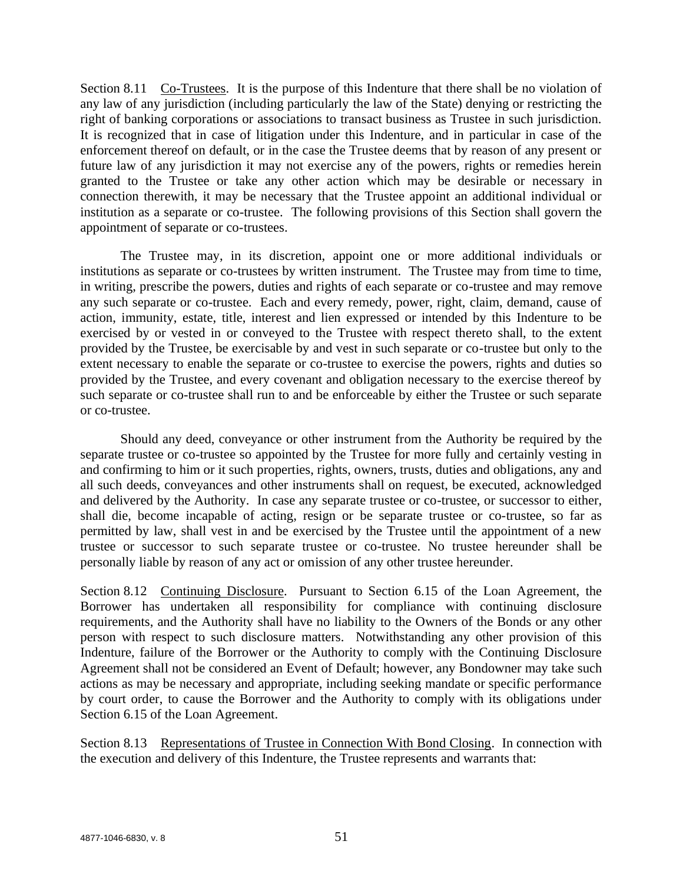Section 8.11 Co-Trustees. It is the purpose of this Indenture that there shall be no violation of any law of any jurisdiction (including particularly the law of the State) denying or restricting the right of banking corporations or associations to transact business as Trustee in such jurisdiction. It is recognized that in case of litigation under this Indenture, and in particular in case of the enforcement thereof on default, or in the case the Trustee deems that by reason of any present or future law of any jurisdiction it may not exercise any of the powers, rights or remedies herein granted to the Trustee or take any other action which may be desirable or necessary in connection therewith, it may be necessary that the Trustee appoint an additional individual or institution as a separate or co-trustee. The following provisions of this Section shall govern the appointment of separate or co-trustees.

The Trustee may, in its discretion, appoint one or more additional individuals or institutions as separate or co-trustees by written instrument. The Trustee may from time to time, in writing, prescribe the powers, duties and rights of each separate or co-trustee and may remove any such separate or co-trustee. Each and every remedy, power, right, claim, demand, cause of action, immunity, estate, title, interest and lien expressed or intended by this Indenture to be exercised by or vested in or conveyed to the Trustee with respect thereto shall, to the extent provided by the Trustee, be exercisable by and vest in such separate or co-trustee but only to the extent necessary to enable the separate or co-trustee to exercise the powers, rights and duties so provided by the Trustee, and every covenant and obligation necessary to the exercise thereof by such separate or co-trustee shall run to and be enforceable by either the Trustee or such separate or co-trustee.

Should any deed, conveyance or other instrument from the Authority be required by the separate trustee or co-trustee so appointed by the Trustee for more fully and certainly vesting in and confirming to him or it such properties, rights, owners, trusts, duties and obligations, any and all such deeds, conveyances and other instruments shall on request, be executed, acknowledged and delivered by the Authority. In case any separate trustee or co-trustee, or successor to either, shall die, become incapable of acting, resign or be separate trustee or co-trustee, so far as permitted by law, shall vest in and be exercised by the Trustee until the appointment of a new trustee or successor to such separate trustee or co-trustee. No trustee hereunder shall be personally liable by reason of any act or omission of any other trustee hereunder.

Section 8.12 Continuing Disclosure. Pursuant to Section 6.15 of the Loan Agreement, the Borrower has undertaken all responsibility for compliance with continuing disclosure requirements, and the Authority shall have no liability to the Owners of the Bonds or any other person with respect to such disclosure matters. Notwithstanding any other provision of this Indenture, failure of the Borrower or the Authority to comply with the Continuing Disclosure Agreement shall not be considered an Event of Default; however, any Bondowner may take such actions as may be necessary and appropriate, including seeking mandate or specific performance by court order, to cause the Borrower and the Authority to comply with its obligations under Section 6.15 of the Loan Agreement.

Section 8.13 Representations of Trustee in Connection With Bond Closing. In connection with the execution and delivery of this Indenture, the Trustee represents and warrants that: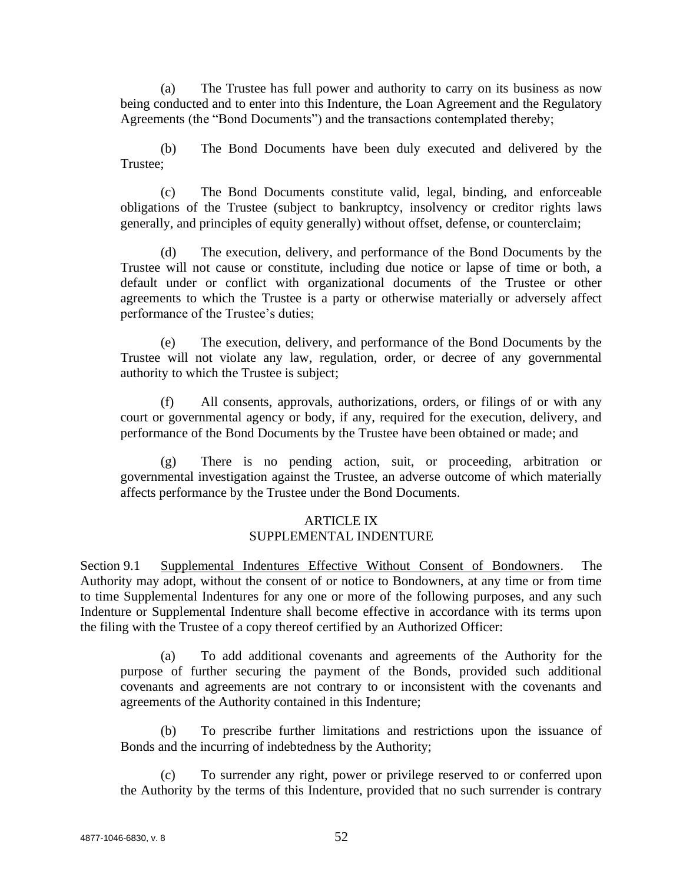(a) The Trustee has full power and authority to carry on its business as now being conducted and to enter into this Indenture, the Loan Agreement and the Regulatory Agreements (the "Bond Documents") and the transactions contemplated thereby;

(b) The Bond Documents have been duly executed and delivered by the Trustee;

(c) The Bond Documents constitute valid, legal, binding, and enforceable obligations of the Trustee (subject to bankruptcy, insolvency or creditor rights laws generally, and principles of equity generally) without offset, defense, or counterclaim;

(d) The execution, delivery, and performance of the Bond Documents by the Trustee will not cause or constitute, including due notice or lapse of time or both, a default under or conflict with organizational documents of the Trustee or other agreements to which the Trustee is a party or otherwise materially or adversely affect performance of the Trustee's duties;

(e) The execution, delivery, and performance of the Bond Documents by the Trustee will not violate any law, regulation, order, or decree of any governmental authority to which the Trustee is subject;

(f) All consents, approvals, authorizations, orders, or filings of or with any court or governmental agency or body, if any, required for the execution, delivery, and performance of the Bond Documents by the Trustee have been obtained or made; and

(g) There is no pending action, suit, or proceeding, arbitration or governmental investigation against the Trustee, an adverse outcome of which materially affects performance by the Trustee under the Bond Documents.

## ARTICLE IX SUPPLEMENTAL INDENTURE

Section 9.1 Supplemental Indentures Effective Without Consent of Bondowners. The Authority may adopt, without the consent of or notice to Bondowners, at any time or from time to time Supplemental Indentures for any one or more of the following purposes, and any such Indenture or Supplemental Indenture shall become effective in accordance with its terms upon the filing with the Trustee of a copy thereof certified by an Authorized Officer:

(a) To add additional covenants and agreements of the Authority for the purpose of further securing the payment of the Bonds, provided such additional covenants and agreements are not contrary to or inconsistent with the covenants and agreements of the Authority contained in this Indenture;

(b) To prescribe further limitations and restrictions upon the issuance of Bonds and the incurring of indebtedness by the Authority;

(c) To surrender any right, power or privilege reserved to or conferred upon the Authority by the terms of this Indenture, provided that no such surrender is contrary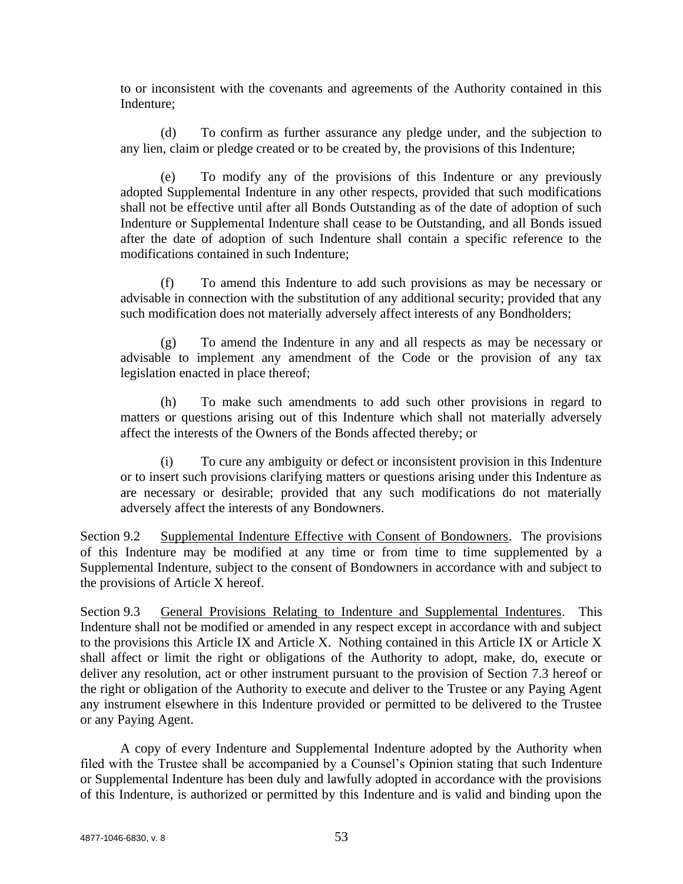to or inconsistent with the covenants and agreements of the Authority contained in this Indenture;

(d) To confirm as further assurance any pledge under, and the subjection to any lien, claim or pledge created or to be created by, the provisions of this Indenture;

(e) To modify any of the provisions of this Indenture or any previously adopted Supplemental Indenture in any other respects, provided that such modifications shall not be effective until after all Bonds Outstanding as of the date of adoption of such Indenture or Supplemental Indenture shall cease to be Outstanding, and all Bonds issued after the date of adoption of such Indenture shall contain a specific reference to the modifications contained in such Indenture;

(f) To amend this Indenture to add such provisions as may be necessary or advisable in connection with the substitution of any additional security; provided that any such modification does not materially adversely affect interests of any Bondholders;

(g) To amend the Indenture in any and all respects as may be necessary or advisable to implement any amendment of the Code or the provision of any tax legislation enacted in place thereof;

(h) To make such amendments to add such other provisions in regard to matters or questions arising out of this Indenture which shall not materially adversely affect the interests of the Owners of the Bonds affected thereby; or

(i) To cure any ambiguity or defect or inconsistent provision in this Indenture or to insert such provisions clarifying matters or questions arising under this Indenture as are necessary or desirable; provided that any such modifications do not materially adversely affect the interests of any Bondowners.

Section 9.2 Supplemental Indenture Effective with Consent of Bondowners. The provisions of this Indenture may be modified at any time or from time to time supplemented by a Supplemental Indenture, subject to the consent of Bondowners in accordance with and subject to the provisions of Article X hereof.

Section 9.3 General Provisions Relating to Indenture and Supplemental Indentures. This Indenture shall not be modified or amended in any respect except in accordance with and subject to the provisions this Article IX and Article X. Nothing contained in this Article IX or Article X shall affect or limit the right or obligations of the Authority to adopt, make, do, execute or deliver any resolution, act or other instrument pursuant to the provision of Section 7.3 hereof or the right or obligation of the Authority to execute and deliver to the Trustee or any Paying Agent any instrument elsewhere in this Indenture provided or permitted to be delivered to the Trustee or any Paying Agent.

A copy of every Indenture and Supplemental Indenture adopted by the Authority when filed with the Trustee shall be accompanied by a Counsel's Opinion stating that such Indenture or Supplemental Indenture has been duly and lawfully adopted in accordance with the provisions of this Indenture, is authorized or permitted by this Indenture and is valid and binding upon the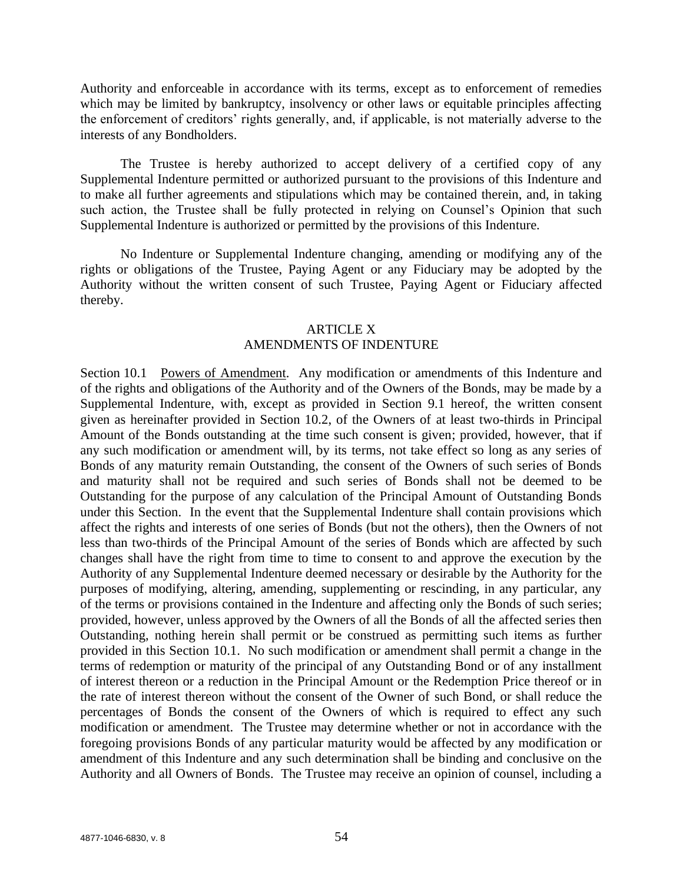Authority and enforceable in accordance with its terms, except as to enforcement of remedies which may be limited by bankruptcy, insolvency or other laws or equitable principles affecting the enforcement of creditors' rights generally, and, if applicable, is not materially adverse to the interests of any Bondholders.

The Trustee is hereby authorized to accept delivery of a certified copy of any Supplemental Indenture permitted or authorized pursuant to the provisions of this Indenture and to make all further agreements and stipulations which may be contained therein, and, in taking such action, the Trustee shall be fully protected in relying on Counsel's Opinion that such Supplemental Indenture is authorized or permitted by the provisions of this Indenture.

No Indenture or Supplemental Indenture changing, amending or modifying any of the rights or obligations of the Trustee, Paying Agent or any Fiduciary may be adopted by the Authority without the written consent of such Trustee, Paying Agent or Fiduciary affected thereby.

### ARTICLE X AMENDMENTS OF INDENTURE

Section 10.1 Powers of Amendment. Any modification or amendments of this Indenture and of the rights and obligations of the Authority and of the Owners of the Bonds, may be made by a Supplemental Indenture, with, except as provided in Section 9.1 hereof, the written consent given as hereinafter provided in Section 10.2, of the Owners of at least two-thirds in Principal Amount of the Bonds outstanding at the time such consent is given; provided, however, that if any such modification or amendment will, by its terms, not take effect so long as any series of Bonds of any maturity remain Outstanding, the consent of the Owners of such series of Bonds and maturity shall not be required and such series of Bonds shall not be deemed to be Outstanding for the purpose of any calculation of the Principal Amount of Outstanding Bonds under this Section. In the event that the Supplemental Indenture shall contain provisions which affect the rights and interests of one series of Bonds (but not the others), then the Owners of not less than two-thirds of the Principal Amount of the series of Bonds which are affected by such changes shall have the right from time to time to consent to and approve the execution by the Authority of any Supplemental Indenture deemed necessary or desirable by the Authority for the purposes of modifying, altering, amending, supplementing or rescinding, in any particular, any of the terms or provisions contained in the Indenture and affecting only the Bonds of such series; provided, however, unless approved by the Owners of all the Bonds of all the affected series then Outstanding, nothing herein shall permit or be construed as permitting such items as further provided in this Section 10.1. No such modification or amendment shall permit a change in the terms of redemption or maturity of the principal of any Outstanding Bond or of any installment of interest thereon or a reduction in the Principal Amount or the Redemption Price thereof or in the rate of interest thereon without the consent of the Owner of such Bond, or shall reduce the percentages of Bonds the consent of the Owners of which is required to effect any such modification or amendment. The Trustee may determine whether or not in accordance with the foregoing provisions Bonds of any particular maturity would be affected by any modification or amendment of this Indenture and any such determination shall be binding and conclusive on the Authority and all Owners of Bonds. The Trustee may receive an opinion of counsel, including a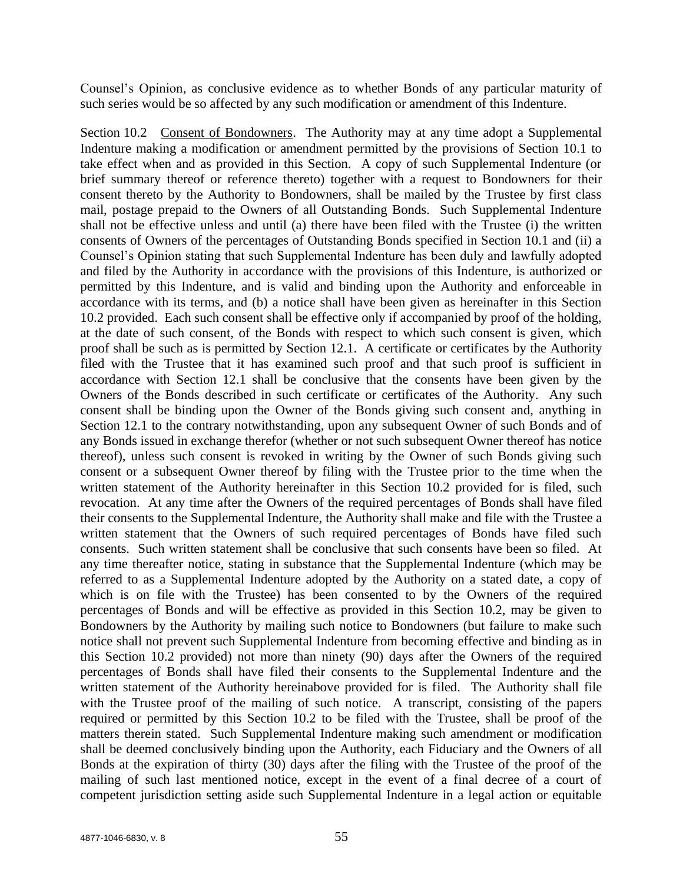Counsel's Opinion, as conclusive evidence as to whether Bonds of any particular maturity of such series would be so affected by any such modification or amendment of this Indenture.

Section 10.2 Consent of Bondowners. The Authority may at any time adopt a Supplemental Indenture making a modification or amendment permitted by the provisions of Section 10.1 to take effect when and as provided in this Section. A copy of such Supplemental Indenture (or brief summary thereof or reference thereto) together with a request to Bondowners for their consent thereto by the Authority to Bondowners, shall be mailed by the Trustee by first class mail, postage prepaid to the Owners of all Outstanding Bonds. Such Supplemental Indenture shall not be effective unless and until (a) there have been filed with the Trustee (i) the written consents of Owners of the percentages of Outstanding Bonds specified in Section 10.1 and (ii) a Counsel's Opinion stating that such Supplemental Indenture has been duly and lawfully adopted and filed by the Authority in accordance with the provisions of this Indenture, is authorized or permitted by this Indenture, and is valid and binding upon the Authority and enforceable in accordance with its terms, and (b) a notice shall have been given as hereinafter in this Section 10.2 provided. Each such consent shall be effective only if accompanied by proof of the holding, at the date of such consent, of the Bonds with respect to which such consent is given, which proof shall be such as is permitted by Section 12.1. A certificate or certificates by the Authority filed with the Trustee that it has examined such proof and that such proof is sufficient in accordance with Section 12.1 shall be conclusive that the consents have been given by the Owners of the Bonds described in such certificate or certificates of the Authority. Any such consent shall be binding upon the Owner of the Bonds giving such consent and, anything in Section 12.1 to the contrary notwithstanding, upon any subsequent Owner of such Bonds and of any Bonds issued in exchange therefor (whether or not such subsequent Owner thereof has notice thereof), unless such consent is revoked in writing by the Owner of such Bonds giving such consent or a subsequent Owner thereof by filing with the Trustee prior to the time when the written statement of the Authority hereinafter in this Section 10.2 provided for is filed, such revocation. At any time after the Owners of the required percentages of Bonds shall have filed their consents to the Supplemental Indenture, the Authority shall make and file with the Trustee a written statement that the Owners of such required percentages of Bonds have filed such consents. Such written statement shall be conclusive that such consents have been so filed. At any time thereafter notice, stating in substance that the Supplemental Indenture (which may be referred to as a Supplemental Indenture adopted by the Authority on a stated date, a copy of which is on file with the Trustee) has been consented to by the Owners of the required percentages of Bonds and will be effective as provided in this Section 10.2, may be given to Bondowners by the Authority by mailing such notice to Bondowners (but failure to make such notice shall not prevent such Supplemental Indenture from becoming effective and binding as in this Section 10.2 provided) not more than ninety (90) days after the Owners of the required percentages of Bonds shall have filed their consents to the Supplemental Indenture and the written statement of the Authority hereinabove provided for is filed. The Authority shall file with the Trustee proof of the mailing of such notice. A transcript, consisting of the papers required or permitted by this Section 10.2 to be filed with the Trustee, shall be proof of the matters therein stated. Such Supplemental Indenture making such amendment or modification shall be deemed conclusively binding upon the Authority, each Fiduciary and the Owners of all Bonds at the expiration of thirty (30) days after the filing with the Trustee of the proof of the mailing of such last mentioned notice, except in the event of a final decree of a court of competent jurisdiction setting aside such Supplemental Indenture in a legal action or equitable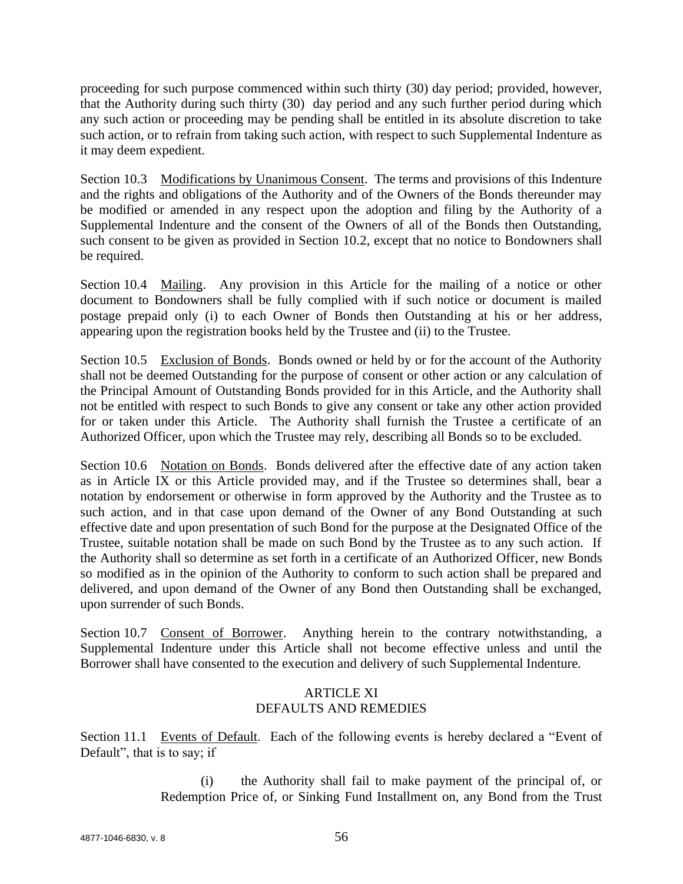proceeding for such purpose commenced within such thirty (30) day period; provided, however, that the Authority during such thirty (30) day period and any such further period during which any such action or proceeding may be pending shall be entitled in its absolute discretion to take such action, or to refrain from taking such action, with respect to such Supplemental Indenture as it may deem expedient.

Section 10.3 Modifications by Unanimous Consent. The terms and provisions of this Indenture and the rights and obligations of the Authority and of the Owners of the Bonds thereunder may be modified or amended in any respect upon the adoption and filing by the Authority of a Supplemental Indenture and the consent of the Owners of all of the Bonds then Outstanding, such consent to be given as provided in Section 10.2, except that no notice to Bondowners shall be required.

Section 10.4 Mailing. Any provision in this Article for the mailing of a notice or other document to Bondowners shall be fully complied with if such notice or document is mailed postage prepaid only (i) to each Owner of Bonds then Outstanding at his or her address, appearing upon the registration books held by the Trustee and (ii) to the Trustee.

Section 10.5 Exclusion of Bonds. Bonds owned or held by or for the account of the Authority shall not be deemed Outstanding for the purpose of consent or other action or any calculation of the Principal Amount of Outstanding Bonds provided for in this Article, and the Authority shall not be entitled with respect to such Bonds to give any consent or take any other action provided for or taken under this Article. The Authority shall furnish the Trustee a certificate of an Authorized Officer, upon which the Trustee may rely, describing all Bonds so to be excluded.

Section 10.6 Notation on Bonds. Bonds delivered after the effective date of any action taken as in Article IX or this Article provided may, and if the Trustee so determines shall, bear a notation by endorsement or otherwise in form approved by the Authority and the Trustee as to such action, and in that case upon demand of the Owner of any Bond Outstanding at such effective date and upon presentation of such Bond for the purpose at the Designated Office of the Trustee, suitable notation shall be made on such Bond by the Trustee as to any such action. If the Authority shall so determine as set forth in a certificate of an Authorized Officer, new Bonds so modified as in the opinion of the Authority to conform to such action shall be prepared and delivered, and upon demand of the Owner of any Bond then Outstanding shall be exchanged, upon surrender of such Bonds.

Section 10.7 Consent of Borrower. Anything herein to the contrary notwithstanding, a Supplemental Indenture under this Article shall not become effective unless and until the Borrower shall have consented to the execution and delivery of such Supplemental Indenture.

# ARTICLE XI DEFAULTS AND REMEDIES

Section 11.1 Events of Default. Each of the following events is hereby declared a "Event of Default", that is to say; if

> (i) the Authority shall fail to make payment of the principal of, or Redemption Price of, or Sinking Fund Installment on, any Bond from the Trust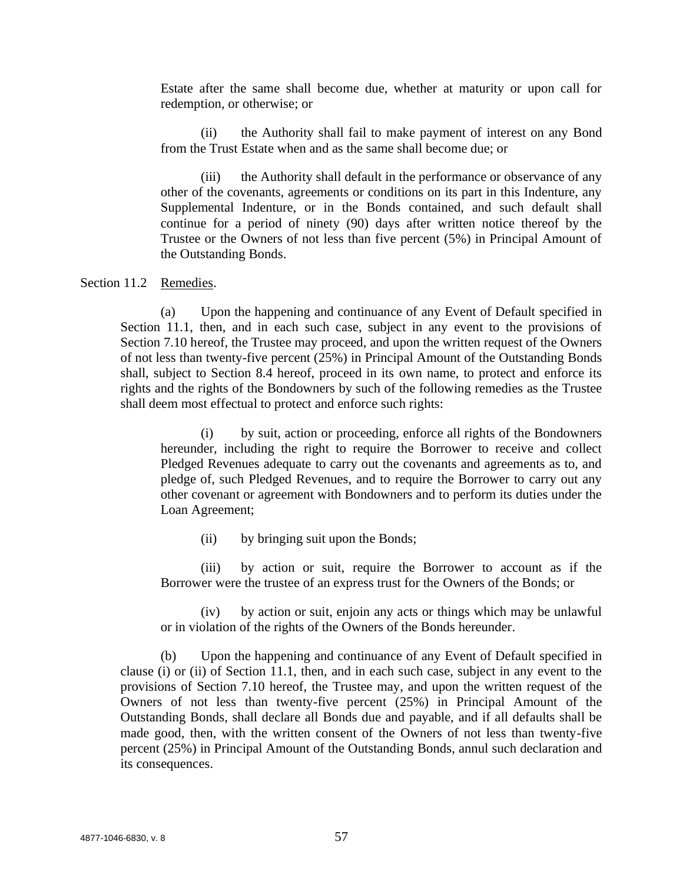Estate after the same shall become due, whether at maturity or upon call for redemption, or otherwise; or

(ii) the Authority shall fail to make payment of interest on any Bond from the Trust Estate when and as the same shall become due; or

(iii) the Authority shall default in the performance or observance of any other of the covenants, agreements or conditions on its part in this Indenture, any Supplemental Indenture, or in the Bonds contained, and such default shall continue for a period of ninety (90) days after written notice thereof by the Trustee or the Owners of not less than five percent (5%) in Principal Amount of the Outstanding Bonds.

Section 11.2 Remedies.

(a) Upon the happening and continuance of any Event of Default specified in Section 11.1, then, and in each such case, subject in any event to the provisions of Section 7.10 hereof, the Trustee may proceed, and upon the written request of the Owners of not less than twenty-five percent (25%) in Principal Amount of the Outstanding Bonds shall, subject to Section 8.4 hereof, proceed in its own name, to protect and enforce its rights and the rights of the Bondowners by such of the following remedies as the Trustee shall deem most effectual to protect and enforce such rights:

(i) by suit, action or proceeding, enforce all rights of the Bondowners hereunder, including the right to require the Borrower to receive and collect Pledged Revenues adequate to carry out the covenants and agreements as to, and pledge of, such Pledged Revenues, and to require the Borrower to carry out any other covenant or agreement with Bondowners and to perform its duties under the Loan Agreement;

(ii) by bringing suit upon the Bonds;

(iii) by action or suit, require the Borrower to account as if the Borrower were the trustee of an express trust for the Owners of the Bonds; or

(iv) by action or suit, enjoin any acts or things which may be unlawful or in violation of the rights of the Owners of the Bonds hereunder.

(b) Upon the happening and continuance of any Event of Default specified in clause (i) or (ii) of Section 11.1, then, and in each such case, subject in any event to the provisions of Section 7.10 hereof, the Trustee may, and upon the written request of the Owners of not less than twenty-five percent (25%) in Principal Amount of the Outstanding Bonds, shall declare all Bonds due and payable, and if all defaults shall be made good, then, with the written consent of the Owners of not less than twenty-five percent (25%) in Principal Amount of the Outstanding Bonds, annul such declaration and its consequences.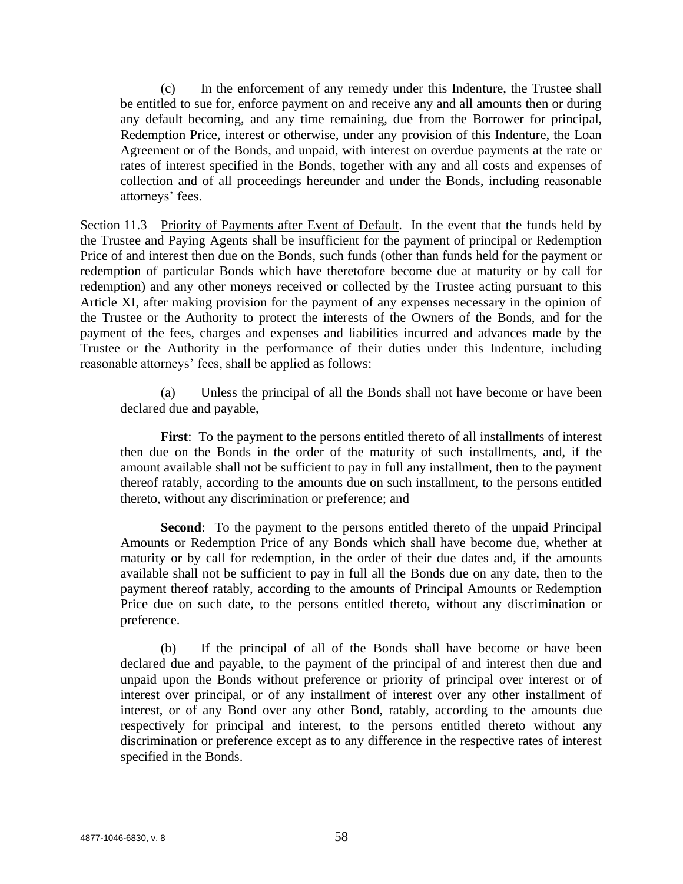(c) In the enforcement of any remedy under this Indenture, the Trustee shall be entitled to sue for, enforce payment on and receive any and all amounts then or during any default becoming, and any time remaining, due from the Borrower for principal, Redemption Price, interest or otherwise, under any provision of this Indenture, the Loan Agreement or of the Bonds, and unpaid, with interest on overdue payments at the rate or rates of interest specified in the Bonds, together with any and all costs and expenses of collection and of all proceedings hereunder and under the Bonds, including reasonable attorneys' fees.

Section 11.3 Priority of Payments after Event of Default. In the event that the funds held by the Trustee and Paying Agents shall be insufficient for the payment of principal or Redemption Price of and interest then due on the Bonds, such funds (other than funds held for the payment or redemption of particular Bonds which have theretofore become due at maturity or by call for redemption) and any other moneys received or collected by the Trustee acting pursuant to this Article XI, after making provision for the payment of any expenses necessary in the opinion of the Trustee or the Authority to protect the interests of the Owners of the Bonds, and for the payment of the fees, charges and expenses and liabilities incurred and advances made by the Trustee or the Authority in the performance of their duties under this Indenture, including reasonable attorneys' fees, shall be applied as follows:

(a) Unless the principal of all the Bonds shall not have become or have been declared due and payable,

**First**: To the payment to the persons entitled thereto of all installments of interest then due on the Bonds in the order of the maturity of such installments, and, if the amount available shall not be sufficient to pay in full any installment, then to the payment thereof ratably, according to the amounts due on such installment, to the persons entitled thereto, without any discrimination or preference; and

**Second**: To the payment to the persons entitled thereto of the unpaid Principal Amounts or Redemption Price of any Bonds which shall have become due, whether at maturity or by call for redemption, in the order of their due dates and, if the amounts available shall not be sufficient to pay in full all the Bonds due on any date, then to the payment thereof ratably, according to the amounts of Principal Amounts or Redemption Price due on such date, to the persons entitled thereto, without any discrimination or preference.

(b) If the principal of all of the Bonds shall have become or have been declared due and payable, to the payment of the principal of and interest then due and unpaid upon the Bonds without preference or priority of principal over interest or of interest over principal, or of any installment of interest over any other installment of interest, or of any Bond over any other Bond, ratably, according to the amounts due respectively for principal and interest, to the persons entitled thereto without any discrimination or preference except as to any difference in the respective rates of interest specified in the Bonds.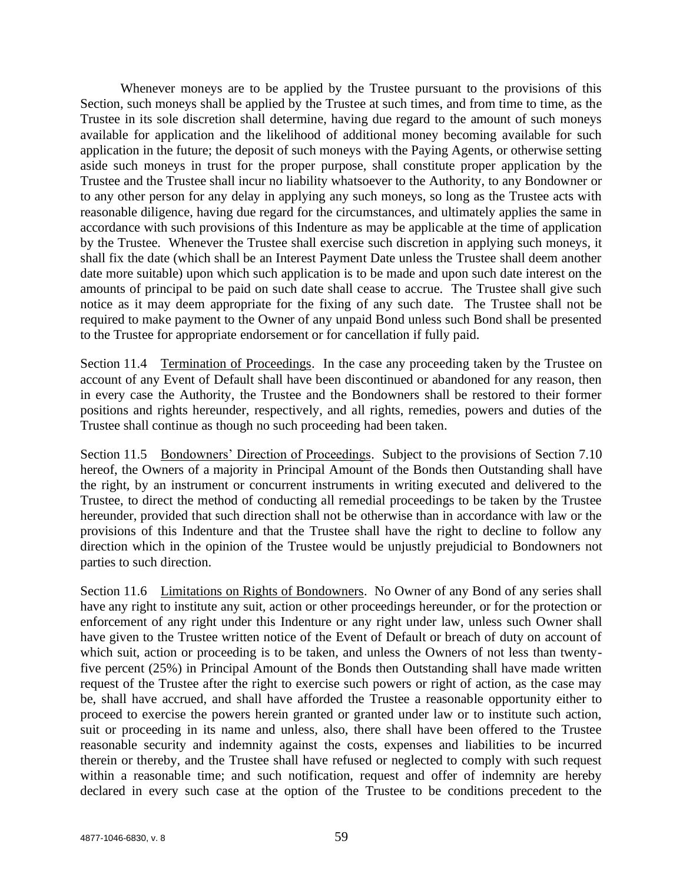Whenever moneys are to be applied by the Trustee pursuant to the provisions of this Section, such moneys shall be applied by the Trustee at such times, and from time to time, as the Trustee in its sole discretion shall determine, having due regard to the amount of such moneys available for application and the likelihood of additional money becoming available for such application in the future; the deposit of such moneys with the Paying Agents, or otherwise setting aside such moneys in trust for the proper purpose, shall constitute proper application by the Trustee and the Trustee shall incur no liability whatsoever to the Authority, to any Bondowner or to any other person for any delay in applying any such moneys, so long as the Trustee acts with reasonable diligence, having due regard for the circumstances, and ultimately applies the same in accordance with such provisions of this Indenture as may be applicable at the time of application by the Trustee. Whenever the Trustee shall exercise such discretion in applying such moneys, it shall fix the date (which shall be an Interest Payment Date unless the Trustee shall deem another date more suitable) upon which such application is to be made and upon such date interest on the amounts of principal to be paid on such date shall cease to accrue. The Trustee shall give such notice as it may deem appropriate for the fixing of any such date. The Trustee shall not be required to make payment to the Owner of any unpaid Bond unless such Bond shall be presented to the Trustee for appropriate endorsement or for cancellation if fully paid.

Section 11.4 Termination of Proceedings. In the case any proceeding taken by the Trustee on account of any Event of Default shall have been discontinued or abandoned for any reason, then in every case the Authority, the Trustee and the Bondowners shall be restored to their former positions and rights hereunder, respectively, and all rights, remedies, powers and duties of the Trustee shall continue as though no such proceeding had been taken.

Section 11.5 Bondowners' Direction of Proceedings. Subject to the provisions of Section 7.10 hereof, the Owners of a majority in Principal Amount of the Bonds then Outstanding shall have the right, by an instrument or concurrent instruments in writing executed and delivered to the Trustee, to direct the method of conducting all remedial proceedings to be taken by the Trustee hereunder, provided that such direction shall not be otherwise than in accordance with law or the provisions of this Indenture and that the Trustee shall have the right to decline to follow any direction which in the opinion of the Trustee would be unjustly prejudicial to Bondowners not parties to such direction.

Section 11.6 Limitations on Rights of Bondowners. No Owner of any Bond of any series shall have any right to institute any suit, action or other proceedings hereunder, or for the protection or enforcement of any right under this Indenture or any right under law, unless such Owner shall have given to the Trustee written notice of the Event of Default or breach of duty on account of which suit, action or proceeding is to be taken, and unless the Owners of not less than twentyfive percent (25%) in Principal Amount of the Bonds then Outstanding shall have made written request of the Trustee after the right to exercise such powers or right of action, as the case may be, shall have accrued, and shall have afforded the Trustee a reasonable opportunity either to proceed to exercise the powers herein granted or granted under law or to institute such action, suit or proceeding in its name and unless, also, there shall have been offered to the Trustee reasonable security and indemnity against the costs, expenses and liabilities to be incurred therein or thereby, and the Trustee shall have refused or neglected to comply with such request within a reasonable time; and such notification, request and offer of indemnity are hereby declared in every such case at the option of the Trustee to be conditions precedent to the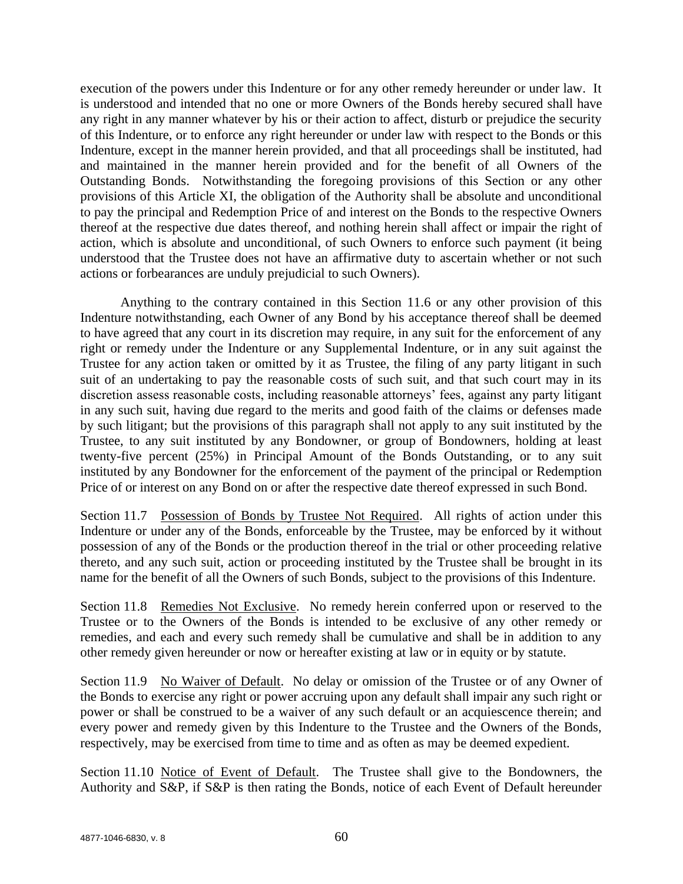execution of the powers under this Indenture or for any other remedy hereunder or under law. It is understood and intended that no one or more Owners of the Bonds hereby secured shall have any right in any manner whatever by his or their action to affect, disturb or prejudice the security of this Indenture, or to enforce any right hereunder or under law with respect to the Bonds or this Indenture, except in the manner herein provided, and that all proceedings shall be instituted, had and maintained in the manner herein provided and for the benefit of all Owners of the Outstanding Bonds. Notwithstanding the foregoing provisions of this Section or any other provisions of this Article XI, the obligation of the Authority shall be absolute and unconditional to pay the principal and Redemption Price of and interest on the Bonds to the respective Owners thereof at the respective due dates thereof, and nothing herein shall affect or impair the right of action, which is absolute and unconditional, of such Owners to enforce such payment (it being understood that the Trustee does not have an affirmative duty to ascertain whether or not such actions or forbearances are unduly prejudicial to such Owners).

Anything to the contrary contained in this Section 11.6 or any other provision of this Indenture notwithstanding, each Owner of any Bond by his acceptance thereof shall be deemed to have agreed that any court in its discretion may require, in any suit for the enforcement of any right or remedy under the Indenture or any Supplemental Indenture, or in any suit against the Trustee for any action taken or omitted by it as Trustee, the filing of any party litigant in such suit of an undertaking to pay the reasonable costs of such suit, and that such court may in its discretion assess reasonable costs, including reasonable attorneys' fees, against any party litigant in any such suit, having due regard to the merits and good faith of the claims or defenses made by such litigant; but the provisions of this paragraph shall not apply to any suit instituted by the Trustee, to any suit instituted by any Bondowner, or group of Bondowners, holding at least twenty-five percent (25%) in Principal Amount of the Bonds Outstanding, or to any suit instituted by any Bondowner for the enforcement of the payment of the principal or Redemption Price of or interest on any Bond on or after the respective date thereof expressed in such Bond.

Section 11.7 Possession of Bonds by Trustee Not Required. All rights of action under this Indenture or under any of the Bonds, enforceable by the Trustee, may be enforced by it without possession of any of the Bonds or the production thereof in the trial or other proceeding relative thereto, and any such suit, action or proceeding instituted by the Trustee shall be brought in its name for the benefit of all the Owners of such Bonds, subject to the provisions of this Indenture.

Section 11.8 Remedies Not Exclusive. No remedy herein conferred upon or reserved to the Trustee or to the Owners of the Bonds is intended to be exclusive of any other remedy or remedies, and each and every such remedy shall be cumulative and shall be in addition to any other remedy given hereunder or now or hereafter existing at law or in equity or by statute.

Section 11.9 No Waiver of Default. No delay or omission of the Trustee or of any Owner of the Bonds to exercise any right or power accruing upon any default shall impair any such right or power or shall be construed to be a waiver of any such default or an acquiescence therein; and every power and remedy given by this Indenture to the Trustee and the Owners of the Bonds, respectively, may be exercised from time to time and as often as may be deemed expedient.

Section 11.10 Notice of Event of Default. The Trustee shall give to the Bondowners, the Authority and S&P, if S&P is then rating the Bonds, notice of each Event of Default hereunder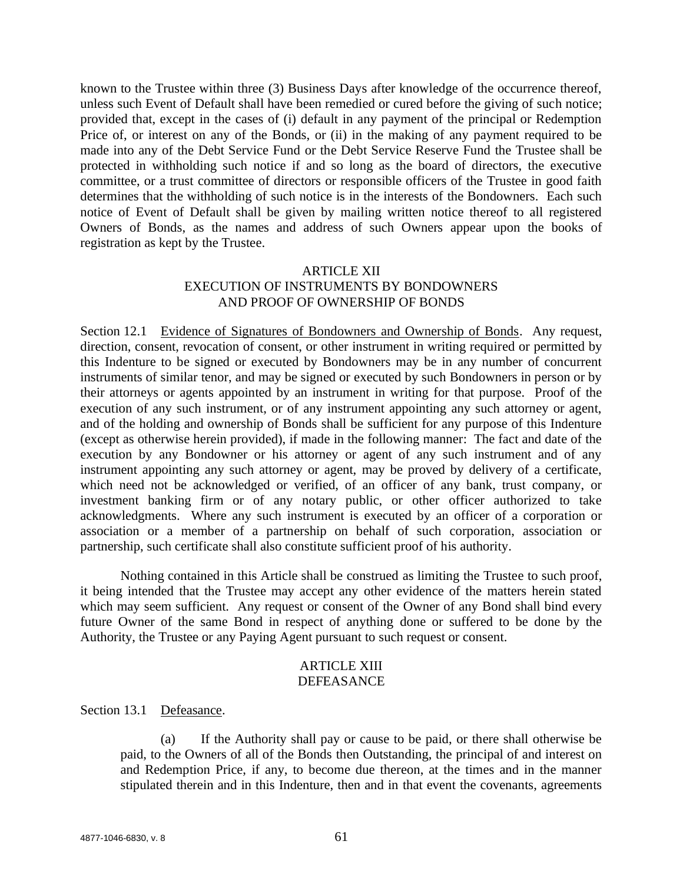known to the Trustee within three (3) Business Days after knowledge of the occurrence thereof, unless such Event of Default shall have been remedied or cured before the giving of such notice; provided that, except in the cases of (i) default in any payment of the principal or Redemption Price of, or interest on any of the Bonds, or (ii) in the making of any payment required to be made into any of the Debt Service Fund or the Debt Service Reserve Fund the Trustee shall be protected in withholding such notice if and so long as the board of directors, the executive committee, or a trust committee of directors or responsible officers of the Trustee in good faith determines that the withholding of such notice is in the interests of the Bondowners. Each such notice of Event of Default shall be given by mailing written notice thereof to all registered Owners of Bonds, as the names and address of such Owners appear upon the books of registration as kept by the Trustee.

# ARTICLE XII EXECUTION OF INSTRUMENTS BY BONDOWNERS AND PROOF OF OWNERSHIP OF BONDS

Section 12.1 Evidence of Signatures of Bondowners and Ownership of Bonds. Any request, direction, consent, revocation of consent, or other instrument in writing required or permitted by this Indenture to be signed or executed by Bondowners may be in any number of concurrent instruments of similar tenor, and may be signed or executed by such Bondowners in person or by their attorneys or agents appointed by an instrument in writing for that purpose. Proof of the execution of any such instrument, or of any instrument appointing any such attorney or agent, and of the holding and ownership of Bonds shall be sufficient for any purpose of this Indenture (except as otherwise herein provided), if made in the following manner: The fact and date of the execution by any Bondowner or his attorney or agent of any such instrument and of any instrument appointing any such attorney or agent, may be proved by delivery of a certificate, which need not be acknowledged or verified, of an officer of any bank, trust company, or investment banking firm or of any notary public, or other officer authorized to take acknowledgments. Where any such instrument is executed by an officer of a corporation or association or a member of a partnership on behalf of such corporation, association or partnership, such certificate shall also constitute sufficient proof of his authority.

Nothing contained in this Article shall be construed as limiting the Trustee to such proof, it being intended that the Trustee may accept any other evidence of the matters herein stated which may seem sufficient. Any request or consent of the Owner of any Bond shall bind every future Owner of the same Bond in respect of anything done or suffered to be done by the Authority, the Trustee or any Paying Agent pursuant to such request or consent.

### ARTICLE XIII **DEFEASANCE**

Section 13.1 Defeasance.

(a) If the Authority shall pay or cause to be paid, or there shall otherwise be paid, to the Owners of all of the Bonds then Outstanding, the principal of and interest on and Redemption Price, if any, to become due thereon, at the times and in the manner stipulated therein and in this Indenture, then and in that event the covenants, agreements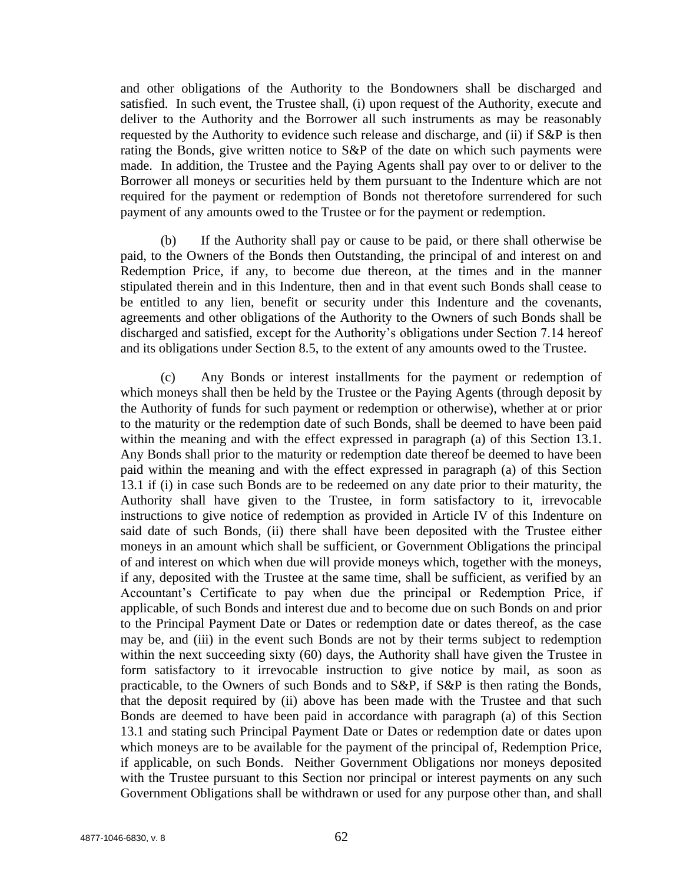and other obligations of the Authority to the Bondowners shall be discharged and satisfied. In such event, the Trustee shall, (i) upon request of the Authority, execute and deliver to the Authority and the Borrower all such instruments as may be reasonably requested by the Authority to evidence such release and discharge, and (ii) if S&P is then rating the Bonds, give written notice to S&P of the date on which such payments were made. In addition, the Trustee and the Paying Agents shall pay over to or deliver to the Borrower all moneys or securities held by them pursuant to the Indenture which are not required for the payment or redemption of Bonds not theretofore surrendered for such payment of any amounts owed to the Trustee or for the payment or redemption.

(b) If the Authority shall pay or cause to be paid, or there shall otherwise be paid, to the Owners of the Bonds then Outstanding, the principal of and interest on and Redemption Price, if any, to become due thereon, at the times and in the manner stipulated therein and in this Indenture, then and in that event such Bonds shall cease to be entitled to any lien, benefit or security under this Indenture and the covenants, agreements and other obligations of the Authority to the Owners of such Bonds shall be discharged and satisfied, except for the Authority's obligations under Section 7.14 hereof and its obligations under Section 8.5, to the extent of any amounts owed to the Trustee.

(c) Any Bonds or interest installments for the payment or redemption of which moneys shall then be held by the Trustee or the Paying Agents (through deposit by the Authority of funds for such payment or redemption or otherwise), whether at or prior to the maturity or the redemption date of such Bonds, shall be deemed to have been paid within the meaning and with the effect expressed in paragraph (a) of this Section 13.1. Any Bonds shall prior to the maturity or redemption date thereof be deemed to have been paid within the meaning and with the effect expressed in paragraph (a) of this Section 13.1 if (i) in case such Bonds are to be redeemed on any date prior to their maturity, the Authority shall have given to the Trustee, in form satisfactory to it, irrevocable instructions to give notice of redemption as provided in Article IV of this Indenture on said date of such Bonds, (ii) there shall have been deposited with the Trustee either moneys in an amount which shall be sufficient, or Government Obligations the principal of and interest on which when due will provide moneys which, together with the moneys, if any, deposited with the Trustee at the same time, shall be sufficient, as verified by an Accountant's Certificate to pay when due the principal or Redemption Price, if applicable, of such Bonds and interest due and to become due on such Bonds on and prior to the Principal Payment Date or Dates or redemption date or dates thereof, as the case may be, and (iii) in the event such Bonds are not by their terms subject to redemption within the next succeeding sixty (60) days, the Authority shall have given the Trustee in form satisfactory to it irrevocable instruction to give notice by mail, as soon as practicable, to the Owners of such Bonds and to S&P, if S&P is then rating the Bonds, that the deposit required by (ii) above has been made with the Trustee and that such Bonds are deemed to have been paid in accordance with paragraph (a) of this Section 13.1 and stating such Principal Payment Date or Dates or redemption date or dates upon which moneys are to be available for the payment of the principal of, Redemption Price, if applicable, on such Bonds. Neither Government Obligations nor moneys deposited with the Trustee pursuant to this Section nor principal or interest payments on any such Government Obligations shall be withdrawn or used for any purpose other than, and shall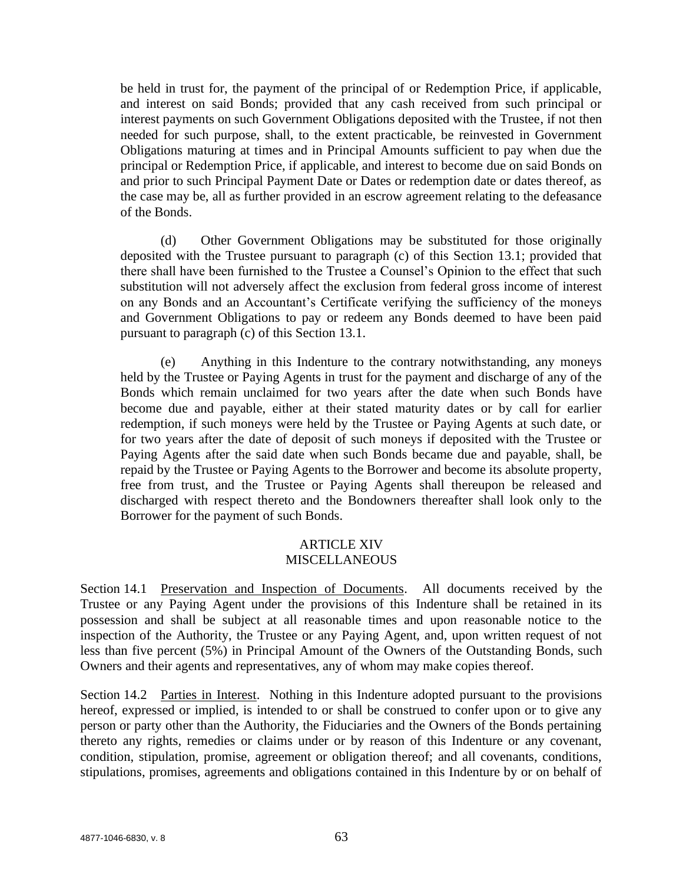be held in trust for, the payment of the principal of or Redemption Price, if applicable, and interest on said Bonds; provided that any cash received from such principal or interest payments on such Government Obligations deposited with the Trustee, if not then needed for such purpose, shall, to the extent practicable, be reinvested in Government Obligations maturing at times and in Principal Amounts sufficient to pay when due the principal or Redemption Price, if applicable, and interest to become due on said Bonds on and prior to such Principal Payment Date or Dates or redemption date or dates thereof, as the case may be, all as further provided in an escrow agreement relating to the defeasance of the Bonds.

(d) Other Government Obligations may be substituted for those originally deposited with the Trustee pursuant to paragraph (c) of this Section 13.1; provided that there shall have been furnished to the Trustee a Counsel's Opinion to the effect that such substitution will not adversely affect the exclusion from federal gross income of interest on any Bonds and an Accountant's Certificate verifying the sufficiency of the moneys and Government Obligations to pay or redeem any Bonds deemed to have been paid pursuant to paragraph (c) of this Section 13.1.

(e) Anything in this Indenture to the contrary notwithstanding, any moneys held by the Trustee or Paying Agents in trust for the payment and discharge of any of the Bonds which remain unclaimed for two years after the date when such Bonds have become due and payable, either at their stated maturity dates or by call for earlier redemption, if such moneys were held by the Trustee or Paying Agents at such date, or for two years after the date of deposit of such moneys if deposited with the Trustee or Paying Agents after the said date when such Bonds became due and payable, shall, be repaid by the Trustee or Paying Agents to the Borrower and become its absolute property, free from trust, and the Trustee or Paying Agents shall thereupon be released and discharged with respect thereto and the Bondowners thereafter shall look only to the Borrower for the payment of such Bonds.

### ARTICLE XIV **MISCELLANEOUS**

Section 14.1 Preservation and Inspection of Documents. All documents received by the Trustee or any Paying Agent under the provisions of this Indenture shall be retained in its possession and shall be subject at all reasonable times and upon reasonable notice to the inspection of the Authority, the Trustee or any Paying Agent, and, upon written request of not less than five percent (5%) in Principal Amount of the Owners of the Outstanding Bonds, such Owners and their agents and representatives, any of whom may make copies thereof.

Section 14.2 Parties in Interest. Nothing in this Indenture adopted pursuant to the provisions hereof, expressed or implied, is intended to or shall be construed to confer upon or to give any person or party other than the Authority, the Fiduciaries and the Owners of the Bonds pertaining thereto any rights, remedies or claims under or by reason of this Indenture or any covenant, condition, stipulation, promise, agreement or obligation thereof; and all covenants, conditions, stipulations, promises, agreements and obligations contained in this Indenture by or on behalf of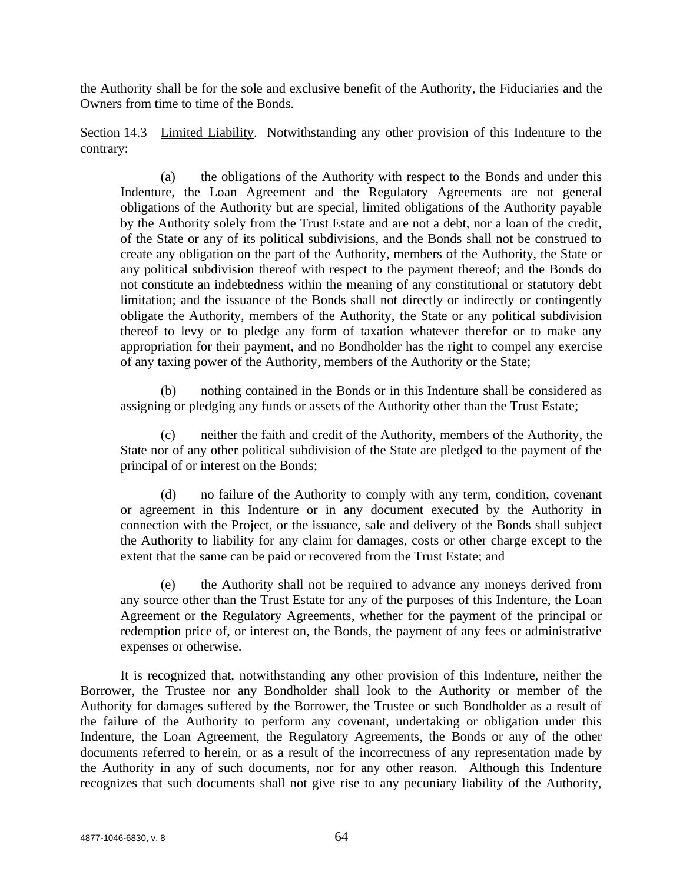the Authority shall be for the sole and exclusive benefit of the Authority, the Fiduciaries and the Owners from time to time of the Bonds.

Section 14.3 Limited Liability. Notwithstanding any other provision of this Indenture to the contrary:

(a) the obligations of the Authority with respect to the Bonds and under this Indenture, the Loan Agreement and the Regulatory Agreements are not general obligations of the Authority but are special, limited obligations of the Authority payable by the Authority solely from the Trust Estate and are not a debt, nor a loan of the credit, of the State or any of its political subdivisions, and the Bonds shall not be construed to create any obligation on the part of the Authority, members of the Authority, the State or any political subdivision thereof with respect to the payment thereof; and the Bonds do not constitute an indebtedness within the meaning of any constitutional or statutory debt limitation; and the issuance of the Bonds shall not directly or indirectly or contingently obligate the Authority, members of the Authority, the State or any political subdivision thereof to levy or to pledge any form of taxation whatever therefor or to make any appropriation for their payment, and no Bondholder has the right to compel any exercise of any taxing power of the Authority, members of the Authority or the State;

(b) nothing contained in the Bonds or in this Indenture shall be considered as assigning or pledging any funds or assets of the Authority other than the Trust Estate;

(c) neither the faith and credit of the Authority, members of the Authority, the State nor of any other political subdivision of the State are pledged to the payment of the principal of or interest on the Bonds;

(d) no failure of the Authority to comply with any term, condition, covenant or agreement in this Indenture or in any document executed by the Authority in connection with the Project, or the issuance, sale and delivery of the Bonds shall subject the Authority to liability for any claim for damages, costs or other charge except to the extent that the same can be paid or recovered from the Trust Estate; and

(e) the Authority shall not be required to advance any moneys derived from any source other than the Trust Estate for any of the purposes of this Indenture, the Loan Agreement or the Regulatory Agreements, whether for the payment of the principal or redemption price of, or interest on, the Bonds, the payment of any fees or administrative expenses or otherwise.

It is recognized that, notwithstanding any other provision of this Indenture, neither the Borrower, the Trustee nor any Bondholder shall look to the Authority or member of the Authority for damages suffered by the Borrower, the Trustee or such Bondholder as a result of the failure of the Authority to perform any covenant, undertaking or obligation under this Indenture, the Loan Agreement, the Regulatory Agreements, the Bonds or any of the other documents referred to herein, or as a result of the incorrectness of any representation made by the Authority in any of such documents, nor for any other reason. Although this Indenture recognizes that such documents shall not give rise to any pecuniary liability of the Authority,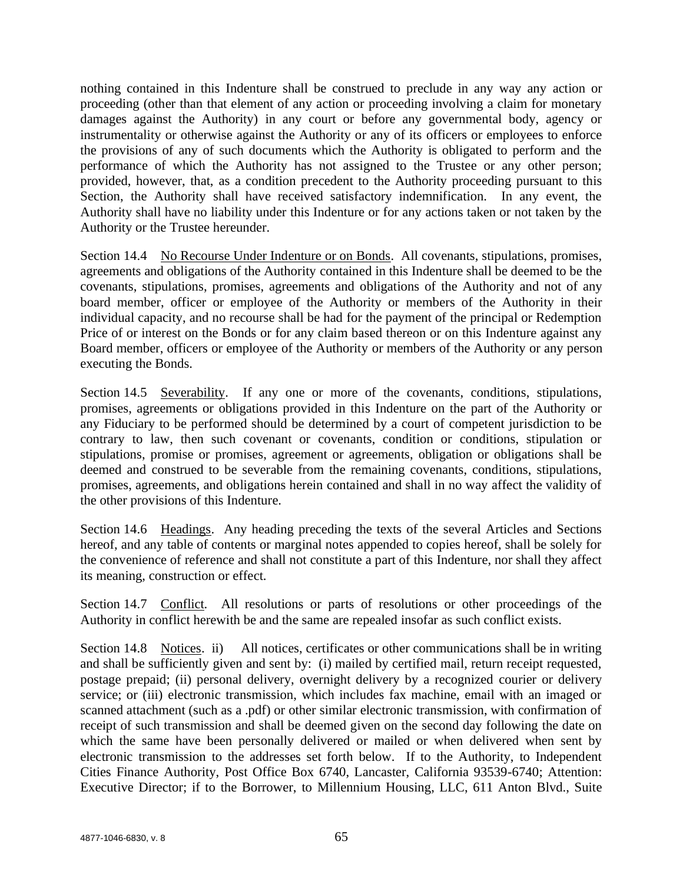nothing contained in this Indenture shall be construed to preclude in any way any action or proceeding (other than that element of any action or proceeding involving a claim for monetary damages against the Authority) in any court or before any governmental body, agency or instrumentality or otherwise against the Authority or any of its officers or employees to enforce the provisions of any of such documents which the Authority is obligated to perform and the performance of which the Authority has not assigned to the Trustee or any other person; provided, however, that, as a condition precedent to the Authority proceeding pursuant to this Section, the Authority shall have received satisfactory indemnification. In any event, the Authority shall have no liability under this Indenture or for any actions taken or not taken by the Authority or the Trustee hereunder.

Section 14.4 No Recourse Under Indenture or on Bonds. All covenants, stipulations, promises, agreements and obligations of the Authority contained in this Indenture shall be deemed to be the covenants, stipulations, promises, agreements and obligations of the Authority and not of any board member, officer or employee of the Authority or members of the Authority in their individual capacity, and no recourse shall be had for the payment of the principal or Redemption Price of or interest on the Bonds or for any claim based thereon or on this Indenture against any Board member, officers or employee of the Authority or members of the Authority or any person executing the Bonds.

Section 14.5 Severability. If any one or more of the covenants, conditions, stipulations, promises, agreements or obligations provided in this Indenture on the part of the Authority or any Fiduciary to be performed should be determined by a court of competent jurisdiction to be contrary to law, then such covenant or covenants, condition or conditions, stipulation or stipulations, promise or promises, agreement or agreements, obligation or obligations shall be deemed and construed to be severable from the remaining covenants, conditions, stipulations, promises, agreements, and obligations herein contained and shall in no way affect the validity of the other provisions of this Indenture.

Section 14.6 Headings. Any heading preceding the texts of the several Articles and Sections hereof, and any table of contents or marginal notes appended to copies hereof, shall be solely for the convenience of reference and shall not constitute a part of this Indenture, nor shall they affect its meaning, construction or effect.

Section 14.7 Conflict. All resolutions or parts of resolutions or other proceedings of the Authority in conflict herewith be and the same are repealed insofar as such conflict exists.

Section 14.8 Notices. ii) All notices, certificates or other communications shall be in writing and shall be sufficiently given and sent by: (i) mailed by certified mail, return receipt requested, postage prepaid; (ii) personal delivery, overnight delivery by a recognized courier or delivery service; or (iii) electronic transmission, which includes fax machine, email with an imaged or scanned attachment (such as a .pdf) or other similar electronic transmission, with confirmation of receipt of such transmission and shall be deemed given on the second day following the date on which the same have been personally delivered or mailed or when delivered when sent by electronic transmission to the addresses set forth below. If to the Authority, to Independent Cities Finance Authority, Post Office Box 6740, Lancaster, California 93539-6740; Attention: Executive Director; if to the Borrower, to Millennium Housing, LLC, 611 Anton Blvd., Suite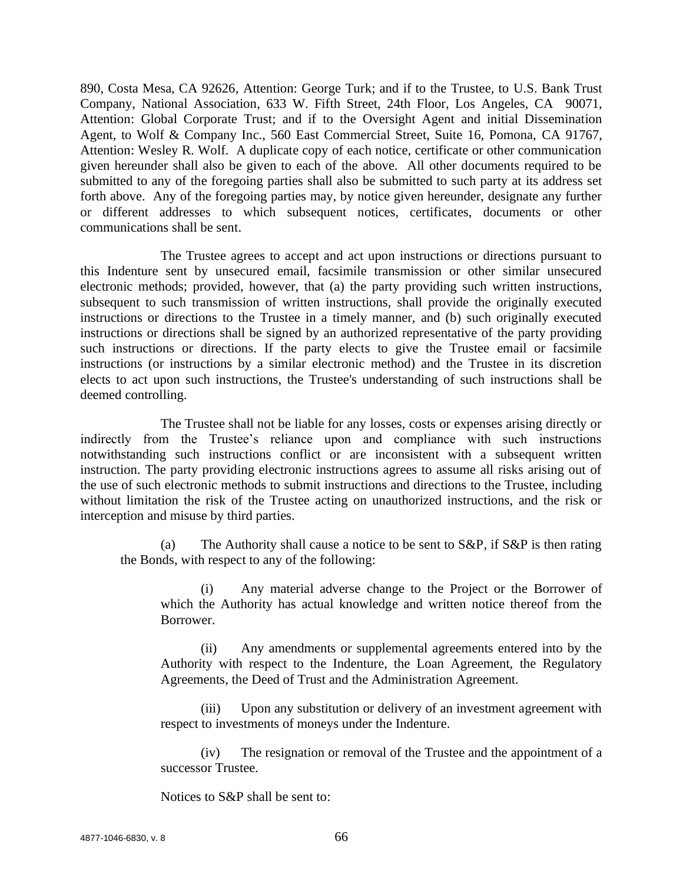890, Costa Mesa, CA 92626, Attention: George Turk; and if to the Trustee, to U.S. Bank Trust Company, National Association, 633 W. Fifth Street, 24th Floor, Los Angeles, CA 90071, Attention: Global Corporate Trust; and if to the Oversight Agent and initial Dissemination Agent, to Wolf & Company Inc., 560 East Commercial Street, Suite 16, Pomona, CA 91767, Attention: Wesley R. Wolf. A duplicate copy of each notice, certificate or other communication given hereunder shall also be given to each of the above. All other documents required to be submitted to any of the foregoing parties shall also be submitted to such party at its address set forth above. Any of the foregoing parties may, by notice given hereunder, designate any further or different addresses to which subsequent notices, certificates, documents or other communications shall be sent.

The Trustee agrees to accept and act upon instructions or directions pursuant to this Indenture sent by unsecured email, facsimile transmission or other similar unsecured electronic methods; provided, however, that (a) the party providing such written instructions, subsequent to such transmission of written instructions, shall provide the originally executed instructions or directions to the Trustee in a timely manner, and (b) such originally executed instructions or directions shall be signed by an authorized representative of the party providing such instructions or directions. If the party elects to give the Trustee email or facsimile instructions (or instructions by a similar electronic method) and the Trustee in its discretion elects to act upon such instructions, the Trustee's understanding of such instructions shall be deemed controlling.

The Trustee shall not be liable for any losses, costs or expenses arising directly or indirectly from the Trustee's reliance upon and compliance with such instructions notwithstanding such instructions conflict or are inconsistent with a subsequent written instruction. The party providing electronic instructions agrees to assume all risks arising out of the use of such electronic methods to submit instructions and directions to the Trustee, including without limitation the risk of the Trustee acting on unauthorized instructions, and the risk or interception and misuse by third parties.

(a) The Authority shall cause a notice to be sent to S&P, if S&P is then rating the Bonds, with respect to any of the following:

(i) Any material adverse change to the Project or the Borrower of which the Authority has actual knowledge and written notice thereof from the Borrower.

(ii) Any amendments or supplemental agreements entered into by the Authority with respect to the Indenture, the Loan Agreement, the Regulatory Agreements, the Deed of Trust and the Administration Agreement.

(iii) Upon any substitution or delivery of an investment agreement with respect to investments of moneys under the Indenture.

(iv) The resignation or removal of the Trustee and the appointment of a successor Trustee.

Notices to S&P shall be sent to: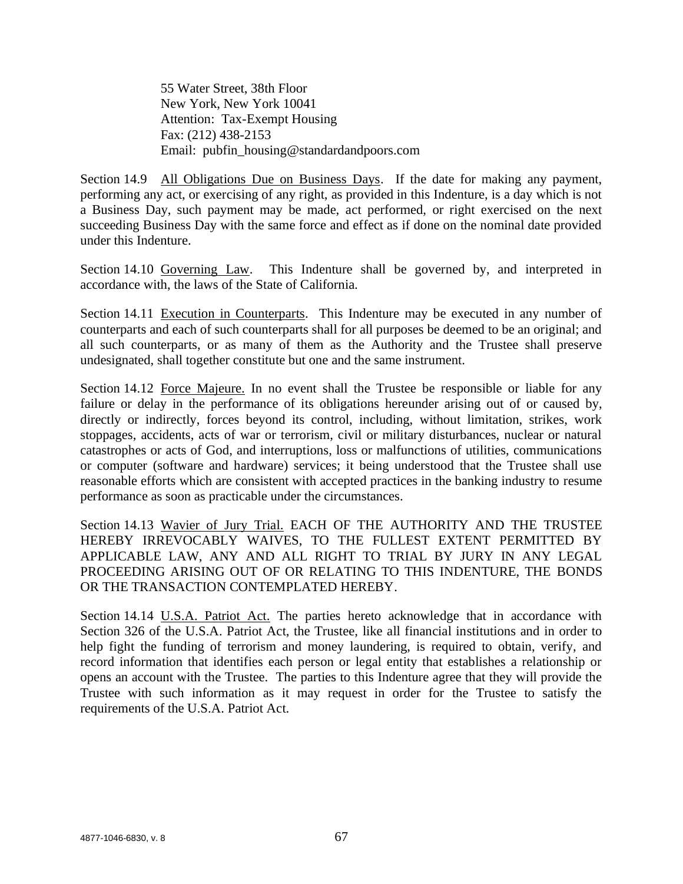55 Water Street, 38th Floor New York, New York 10041 Attention: Tax-Exempt Housing Fax: (212) 438-2153 Email: pubfin\_housing@standardandpoors.com

Section 14.9 All Obligations Due on Business Days. If the date for making any payment, performing any act, or exercising of any right, as provided in this Indenture, is a day which is not a Business Day, such payment may be made, act performed, or right exercised on the next succeeding Business Day with the same force and effect as if done on the nominal date provided under this Indenture.

Section 14.10 Governing Law. This Indenture shall be governed by, and interpreted in accordance with, the laws of the State of California.

Section 14.11 Execution in Counterparts. This Indenture may be executed in any number of counterparts and each of such counterparts shall for all purposes be deemed to be an original; and all such counterparts, or as many of them as the Authority and the Trustee shall preserve undesignated, shall together constitute but one and the same instrument.

Section 14.12 Force Majeure. In no event shall the Trustee be responsible or liable for any failure or delay in the performance of its obligations hereunder arising out of or caused by, directly or indirectly, forces beyond its control, including, without limitation, strikes, work stoppages, accidents, acts of war or terrorism, civil or military disturbances, nuclear or natural catastrophes or acts of God, and interruptions, loss or malfunctions of utilities, communications or computer (software and hardware) services; it being understood that the Trustee shall use reasonable efforts which are consistent with accepted practices in the banking industry to resume performance as soon as practicable under the circumstances.

Section 14.13 Wavier of Jury Trial. EACH OF THE AUTHORITY AND THE TRUSTEE HEREBY IRREVOCABLY WAIVES, TO THE FULLEST EXTENT PERMITTED BY APPLICABLE LAW, ANY AND ALL RIGHT TO TRIAL BY JURY IN ANY LEGAL PROCEEDING ARISING OUT OF OR RELATING TO THIS INDENTURE, THE BONDS OR THE TRANSACTION CONTEMPLATED HEREBY.

Section 14.14 U.S.A. Patriot Act. The parties hereto acknowledge that in accordance with Section 326 of the U.S.A. Patriot Act, the Trustee, like all financial institutions and in order to help fight the funding of terrorism and money laundering, is required to obtain, verify, and record information that identifies each person or legal entity that establishes a relationship or opens an account with the Trustee. The parties to this Indenture agree that they will provide the Trustee with such information as it may request in order for the Trustee to satisfy the requirements of the U.S.A. Patriot Act.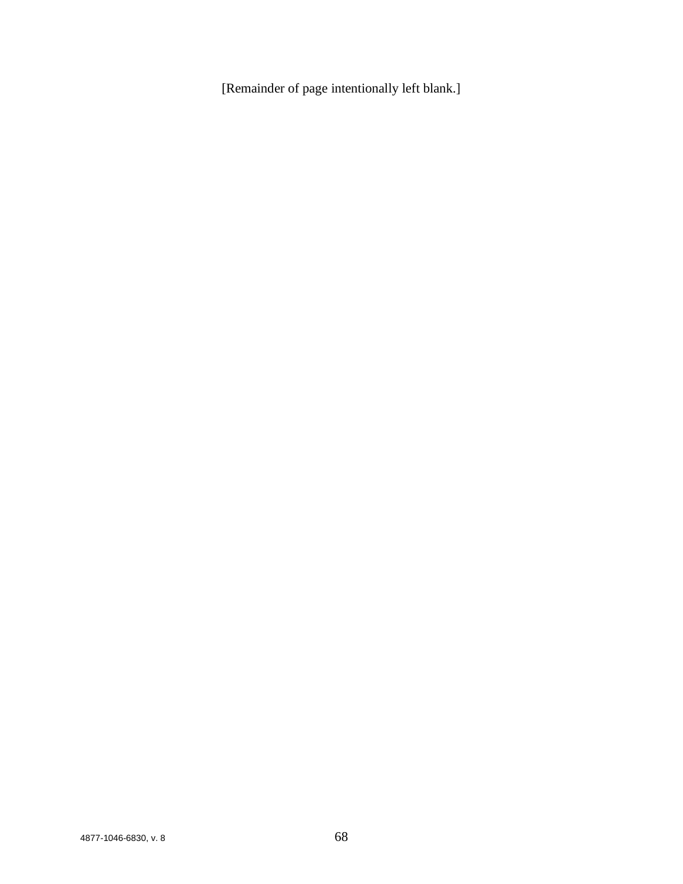[Remainder of page intentionally left blank.]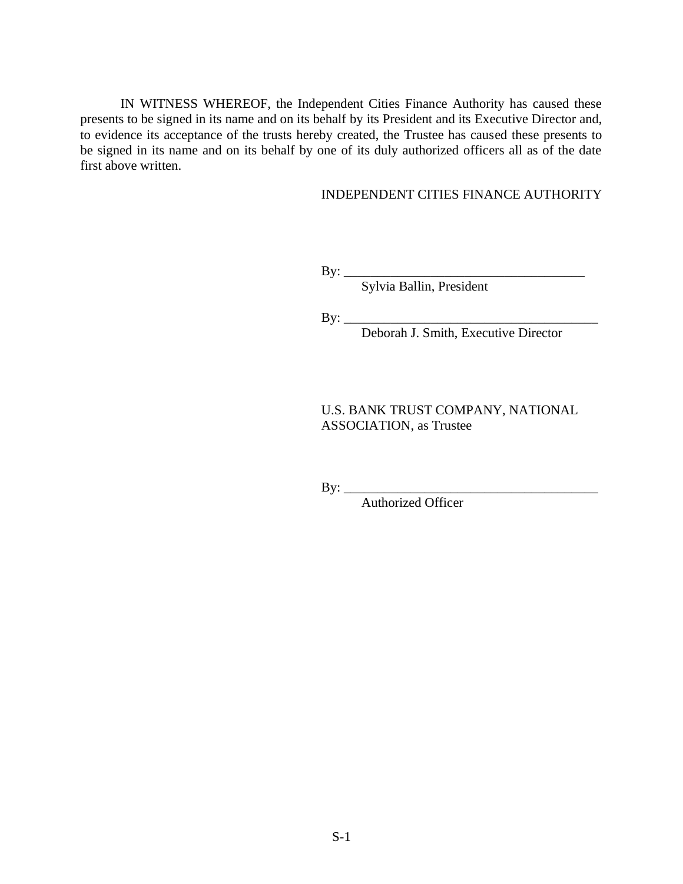IN WITNESS WHEREOF, the Independent Cities Finance Authority has caused these presents to be signed in its name and on its behalf by its President and its Executive Director and, to evidence its acceptance of the trusts hereby created, the Trustee has caused these presents to be signed in its name and on its behalf by one of its duly authorized officers all as of the date first above written.

### INDEPENDENT CITIES FINANCE AUTHORITY

By: \_\_\_\_\_\_\_\_\_\_\_\_\_\_\_\_\_\_\_\_\_\_\_\_\_\_\_\_\_\_\_\_\_\_\_\_

Sylvia Ballin, President

By: \_\_\_\_\_\_\_\_\_\_\_\_\_\_\_\_\_\_\_\_\_\_\_\_\_\_\_\_\_\_\_\_\_\_\_\_\_\_

Deborah J. Smith, Executive Director

U.S. BANK TRUST COMPANY, NATIONAL ASSOCIATION, as Trustee

By: \_\_\_\_\_\_\_\_\_\_\_\_\_\_\_\_\_\_\_\_\_\_\_\_\_\_\_\_\_\_\_\_\_\_\_\_\_\_

Authorized Officer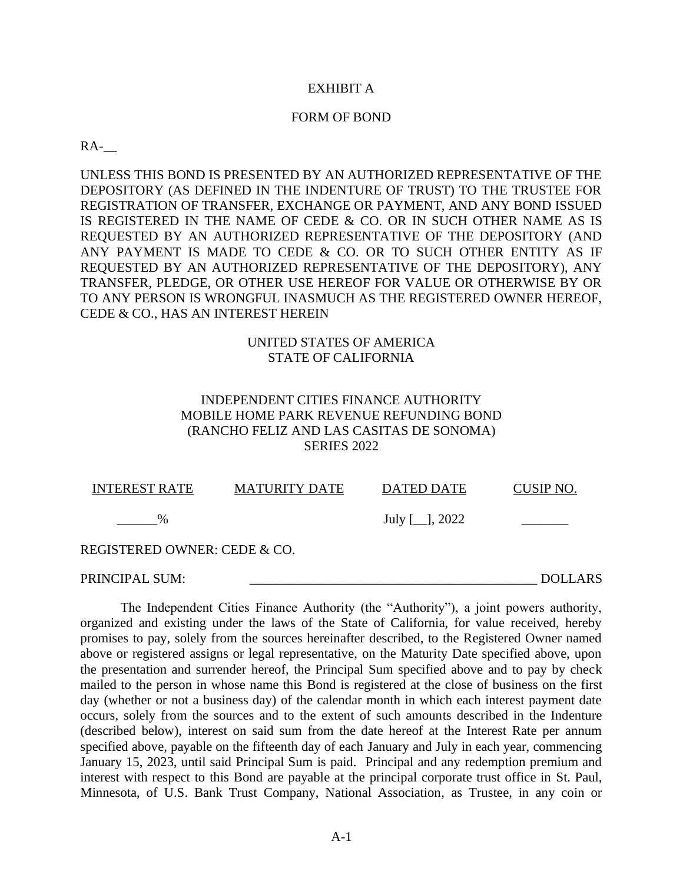#### EXHIBIT A

#### FORM OF BOND

## $RA$ -

UNLESS THIS BOND IS PRESENTED BY AN AUTHORIZED REPRESENTATIVE OF THE DEPOSITORY (AS DEFINED IN THE INDENTURE OF TRUST) TO THE TRUSTEE FOR REGISTRATION OF TRANSFER, EXCHANGE OR PAYMENT, AND ANY BOND ISSUED IS REGISTERED IN THE NAME OF CEDE & CO. OR IN SUCH OTHER NAME AS IS REQUESTED BY AN AUTHORIZED REPRESENTATIVE OF THE DEPOSITORY (AND ANY PAYMENT IS MADE TO CEDE & CO. OR TO SUCH OTHER ENTITY AS IF REQUESTED BY AN AUTHORIZED REPRESENTATIVE OF THE DEPOSITORY), ANY TRANSFER, PLEDGE, OR OTHER USE HEREOF FOR VALUE OR OTHERWISE BY OR TO ANY PERSON IS WRONGFUL INASMUCH AS THE REGISTERED OWNER HEREOF, CEDE & CO., HAS AN INTEREST HEREIN

# UNITED STATES OF AMERICA STATE OF CALIFORNIA

## INDEPENDENT CITIES FINANCE AUTHORITY MOBILE HOME PARK REVENUE REFUNDING BOND (RANCHO FELIZ AND LAS CASITAS DE SONOMA) SERIES 2022

| <b>INTEREST RATE</b>         | MATURITY DATE | DATED DATE         | CUSIP NO. |
|------------------------------|---------------|--------------------|-----------|
| $\frac{9}{1}$                |               | July $[\_$ ], 2022 |           |
| REGISTERED OWNER: CEDE & CO. |               |                    |           |

#### PRINCIPAL SUM: \_\_\_\_\_\_\_\_\_\_\_\_\_\_\_\_\_\_\_\_\_\_\_\_\_\_\_\_\_\_\_\_\_\_\_\_\_\_\_\_\_\_\_ DOLLARS

The Independent Cities Finance Authority (the "Authority"), a joint powers authority, organized and existing under the laws of the State of California, for value received, hereby promises to pay, solely from the sources hereinafter described, to the Registered Owner named above or registered assigns or legal representative, on the Maturity Date specified above, upon the presentation and surrender hereof, the Principal Sum specified above and to pay by check mailed to the person in whose name this Bond is registered at the close of business on the first day (whether or not a business day) of the calendar month in which each interest payment date occurs, solely from the sources and to the extent of such amounts described in the Indenture (described below), interest on said sum from the date hereof at the Interest Rate per annum specified above, payable on the fifteenth day of each January and July in each year, commencing January 15, 2023, until said Principal Sum is paid. Principal and any redemption premium and interest with respect to this Bond are payable at the principal corporate trust office in St. Paul, Minnesota, of U.S. Bank Trust Company, National Association, as Trustee, in any coin or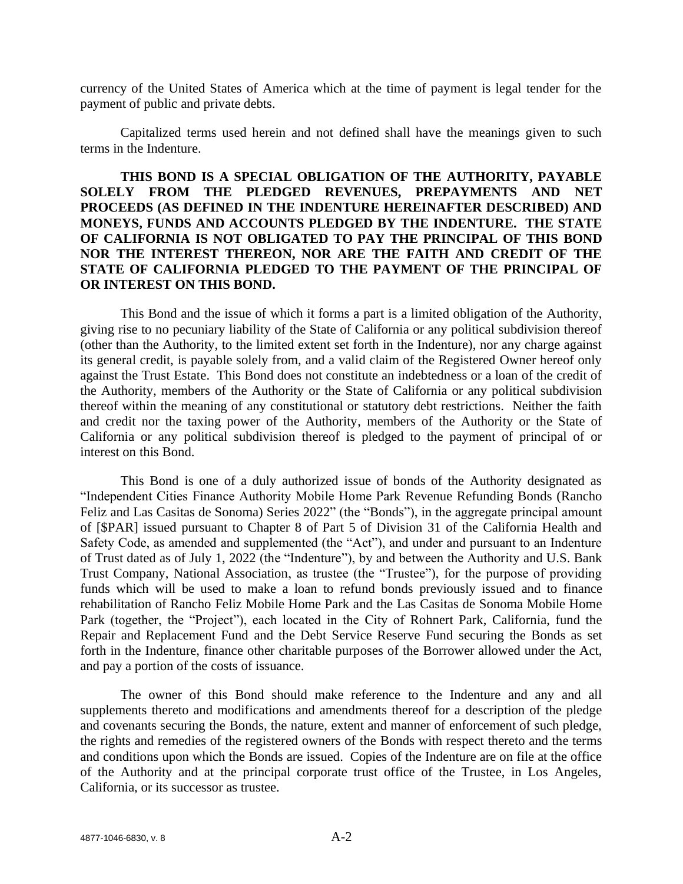currency of the United States of America which at the time of payment is legal tender for the payment of public and private debts.

Capitalized terms used herein and not defined shall have the meanings given to such terms in the Indenture.

# **THIS BOND IS A SPECIAL OBLIGATION OF THE AUTHORITY, PAYABLE SOLELY FROM THE PLEDGED REVENUES, PREPAYMENTS AND NET PROCEEDS (AS DEFINED IN THE INDENTURE HEREINAFTER DESCRIBED) AND MONEYS, FUNDS AND ACCOUNTS PLEDGED BY THE INDENTURE. THE STATE OF CALIFORNIA IS NOT OBLIGATED TO PAY THE PRINCIPAL OF THIS BOND NOR THE INTEREST THEREON, NOR ARE THE FAITH AND CREDIT OF THE STATE OF CALIFORNIA PLEDGED TO THE PAYMENT OF THE PRINCIPAL OF OR INTEREST ON THIS BOND.**

This Bond and the issue of which it forms a part is a limited obligation of the Authority, giving rise to no pecuniary liability of the State of California or any political subdivision thereof (other than the Authority, to the limited extent set forth in the Indenture), nor any charge against its general credit, is payable solely from, and a valid claim of the Registered Owner hereof only against the Trust Estate. This Bond does not constitute an indebtedness or a loan of the credit of the Authority, members of the Authority or the State of California or any political subdivision thereof within the meaning of any constitutional or statutory debt restrictions. Neither the faith and credit nor the taxing power of the Authority, members of the Authority or the State of California or any political subdivision thereof is pledged to the payment of principal of or interest on this Bond.

This Bond is one of a duly authorized issue of bonds of the Authority designated as "Independent Cities Finance Authority Mobile Home Park Revenue Refunding Bonds (Rancho Feliz and Las Casitas de Sonoma) Series 2022" (the "Bonds"), in the aggregate principal amount of [\$PAR] issued pursuant to Chapter 8 of Part 5 of Division 31 of the California Health and Safety Code, as amended and supplemented (the "Act"), and under and pursuant to an Indenture of Trust dated as of July 1, 2022 (the "Indenture"), by and between the Authority and U.S. Bank Trust Company, National Association, as trustee (the "Trustee"), for the purpose of providing funds which will be used to make a loan to refund bonds previously issued and to finance rehabilitation of Rancho Feliz Mobile Home Park and the Las Casitas de Sonoma Mobile Home Park (together, the "Project"), each located in the City of Rohnert Park, California, fund the Repair and Replacement Fund and the Debt Service Reserve Fund securing the Bonds as set forth in the Indenture, finance other charitable purposes of the Borrower allowed under the Act, and pay a portion of the costs of issuance.

The owner of this Bond should make reference to the Indenture and any and all supplements thereto and modifications and amendments thereof for a description of the pledge and covenants securing the Bonds, the nature, extent and manner of enforcement of such pledge, the rights and remedies of the registered owners of the Bonds with respect thereto and the terms and conditions upon which the Bonds are issued. Copies of the Indenture are on file at the office of the Authority and at the principal corporate trust office of the Trustee, in Los Angeles, California, or its successor as trustee.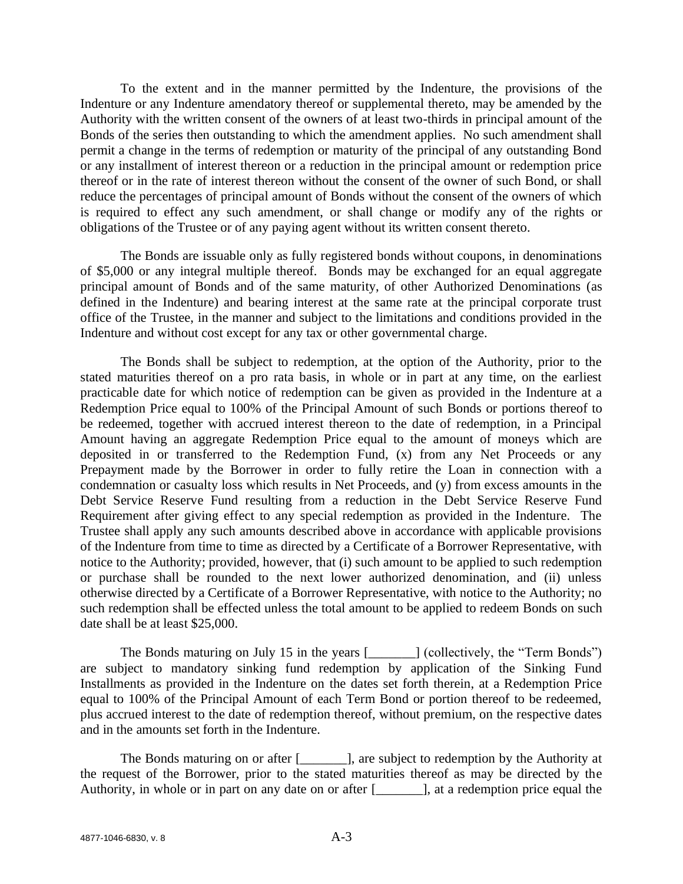To the extent and in the manner permitted by the Indenture, the provisions of the Indenture or any Indenture amendatory thereof or supplemental thereto, may be amended by the Authority with the written consent of the owners of at least two-thirds in principal amount of the Bonds of the series then outstanding to which the amendment applies. No such amendment shall permit a change in the terms of redemption or maturity of the principal of any outstanding Bond or any installment of interest thereon or a reduction in the principal amount or redemption price thereof or in the rate of interest thereon without the consent of the owner of such Bond, or shall reduce the percentages of principal amount of Bonds without the consent of the owners of which is required to effect any such amendment, or shall change or modify any of the rights or obligations of the Trustee or of any paying agent without its written consent thereto.

The Bonds are issuable only as fully registered bonds without coupons, in denominations of \$5,000 or any integral multiple thereof. Bonds may be exchanged for an equal aggregate principal amount of Bonds and of the same maturity, of other Authorized Denominations (as defined in the Indenture) and bearing interest at the same rate at the principal corporate trust office of the Trustee, in the manner and subject to the limitations and conditions provided in the Indenture and without cost except for any tax or other governmental charge.

The Bonds shall be subject to redemption, at the option of the Authority, prior to the stated maturities thereof on a pro rata basis, in whole or in part at any time, on the earliest practicable date for which notice of redemption can be given as provided in the Indenture at a Redemption Price equal to 100% of the Principal Amount of such Bonds or portions thereof to be redeemed, together with accrued interest thereon to the date of redemption, in a Principal Amount having an aggregate Redemption Price equal to the amount of moneys which are deposited in or transferred to the Redemption Fund, (x) from any Net Proceeds or any Prepayment made by the Borrower in order to fully retire the Loan in connection with a condemnation or casualty loss which results in Net Proceeds, and (y) from excess amounts in the Debt Service Reserve Fund resulting from a reduction in the Debt Service Reserve Fund Requirement after giving effect to any special redemption as provided in the Indenture. The Trustee shall apply any such amounts described above in accordance with applicable provisions of the Indenture from time to time as directed by a Certificate of a Borrower Representative, with notice to the Authority; provided, however, that (i) such amount to be applied to such redemption or purchase shall be rounded to the next lower authorized denomination, and (ii) unless otherwise directed by a Certificate of a Borrower Representative, with notice to the Authority; no such redemption shall be effected unless the total amount to be applied to redeem Bonds on such date shall be at least \$25,000.

The Bonds maturing on July 15 in the years [\_\_\_\_\_\_] (collectively, the "Term Bonds") are subject to mandatory sinking fund redemption by application of the Sinking Fund Installments as provided in the Indenture on the dates set forth therein, at a Redemption Price equal to 100% of the Principal Amount of each Term Bond or portion thereof to be redeemed, plus accrued interest to the date of redemption thereof, without premium, on the respective dates and in the amounts set forth in the Indenture.

The Bonds maturing on or after [\_\_\_\_\_\_\_\_], are subject to redemption by the Authority at the request of the Borrower, prior to the stated maturities thereof as may be directed by the Authority, in whole or in part on any date on or after [\_\_\_\_\_\_\_], at a redemption price equal the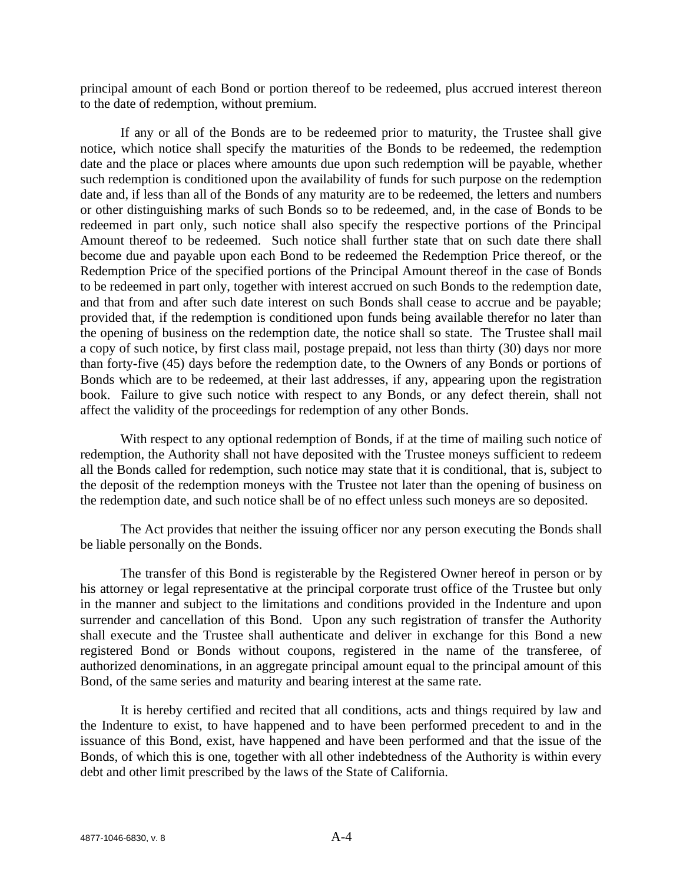principal amount of each Bond or portion thereof to be redeemed, plus accrued interest thereon to the date of redemption, without premium.

If any or all of the Bonds are to be redeemed prior to maturity, the Trustee shall give notice, which notice shall specify the maturities of the Bonds to be redeemed, the redemption date and the place or places where amounts due upon such redemption will be payable, whether such redemption is conditioned upon the availability of funds for such purpose on the redemption date and, if less than all of the Bonds of any maturity are to be redeemed, the letters and numbers or other distinguishing marks of such Bonds so to be redeemed, and, in the case of Bonds to be redeemed in part only, such notice shall also specify the respective portions of the Principal Amount thereof to be redeemed. Such notice shall further state that on such date there shall become due and payable upon each Bond to be redeemed the Redemption Price thereof, or the Redemption Price of the specified portions of the Principal Amount thereof in the case of Bonds to be redeemed in part only, together with interest accrued on such Bonds to the redemption date, and that from and after such date interest on such Bonds shall cease to accrue and be payable; provided that, if the redemption is conditioned upon funds being available therefor no later than the opening of business on the redemption date, the notice shall so state. The Trustee shall mail a copy of such notice, by first class mail, postage prepaid, not less than thirty (30) days nor more than forty-five (45) days before the redemption date, to the Owners of any Bonds or portions of Bonds which are to be redeemed, at their last addresses, if any, appearing upon the registration book. Failure to give such notice with respect to any Bonds, or any defect therein, shall not affect the validity of the proceedings for redemption of any other Bonds.

With respect to any optional redemption of Bonds, if at the time of mailing such notice of redemption, the Authority shall not have deposited with the Trustee moneys sufficient to redeem all the Bonds called for redemption, such notice may state that it is conditional, that is, subject to the deposit of the redemption moneys with the Trustee not later than the opening of business on the redemption date, and such notice shall be of no effect unless such moneys are so deposited.

The Act provides that neither the issuing officer nor any person executing the Bonds shall be liable personally on the Bonds.

The transfer of this Bond is registerable by the Registered Owner hereof in person or by his attorney or legal representative at the principal corporate trust office of the Trustee but only in the manner and subject to the limitations and conditions provided in the Indenture and upon surrender and cancellation of this Bond. Upon any such registration of transfer the Authority shall execute and the Trustee shall authenticate and deliver in exchange for this Bond a new registered Bond or Bonds without coupons, registered in the name of the transferee, of authorized denominations, in an aggregate principal amount equal to the principal amount of this Bond, of the same series and maturity and bearing interest at the same rate.

It is hereby certified and recited that all conditions, acts and things required by law and the Indenture to exist, to have happened and to have been performed precedent to and in the issuance of this Bond, exist, have happened and have been performed and that the issue of the Bonds, of which this is one, together with all other indebtedness of the Authority is within every debt and other limit prescribed by the laws of the State of California.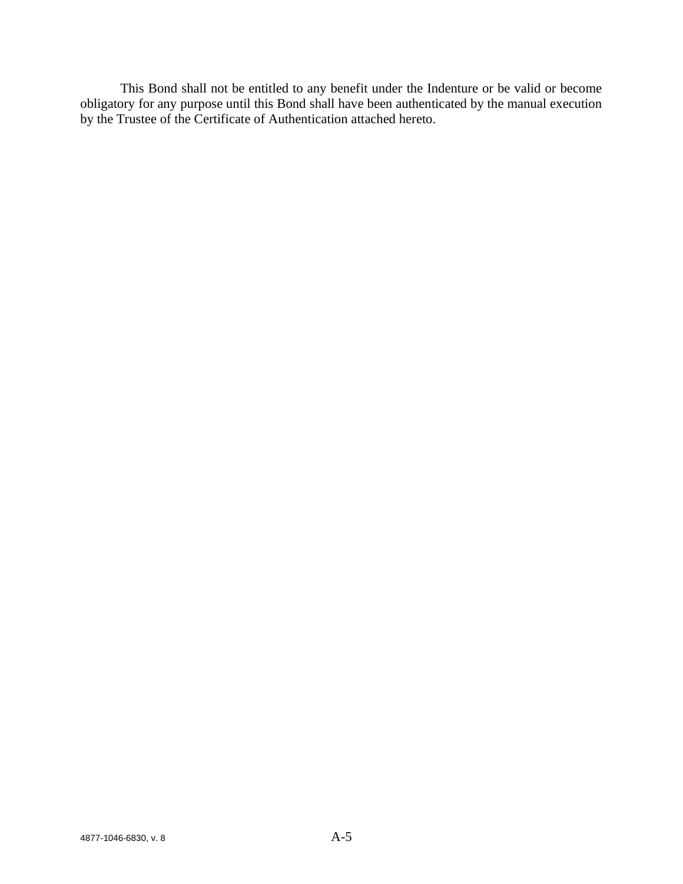This Bond shall not be entitled to any benefit under the Indenture or be valid or become obligatory for any purpose until this Bond shall have been authenticated by the manual execution by the Trustee of the Certificate of Authentication attached hereto.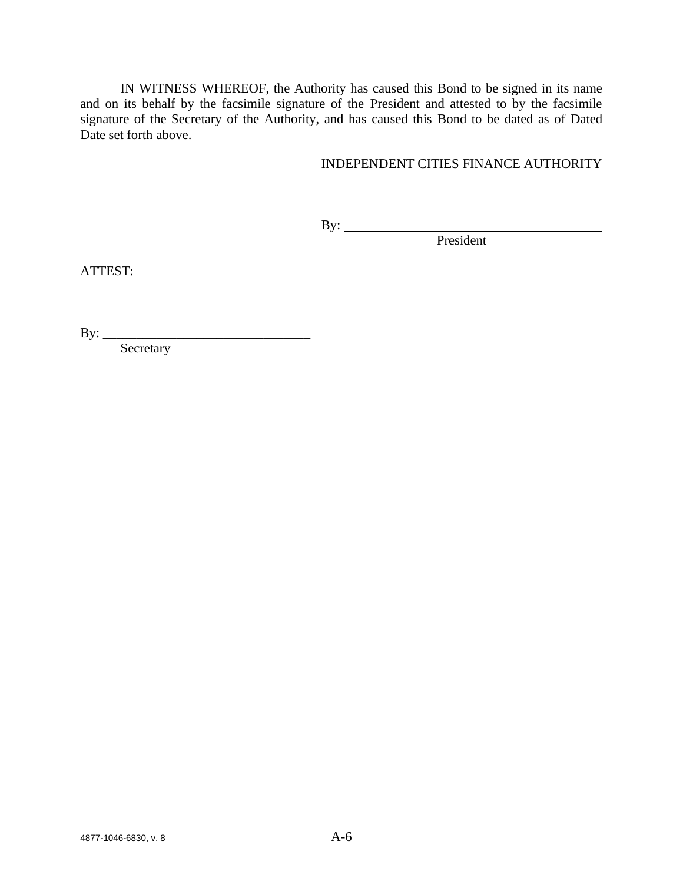IN WITNESS WHEREOF, the Authority has caused this Bond to be signed in its name and on its behalf by the facsimile signature of the President and attested to by the facsimile signature of the Secretary of the Authority, and has caused this Bond to be dated as of Dated Date set forth above.

## INDEPENDENT CITIES FINANCE AUTHORITY

By:

President

ATTEST:

By: \_\_\_\_\_\_\_\_\_\_\_\_\_\_\_\_\_\_\_\_\_\_\_\_\_\_\_\_\_\_\_

Secretary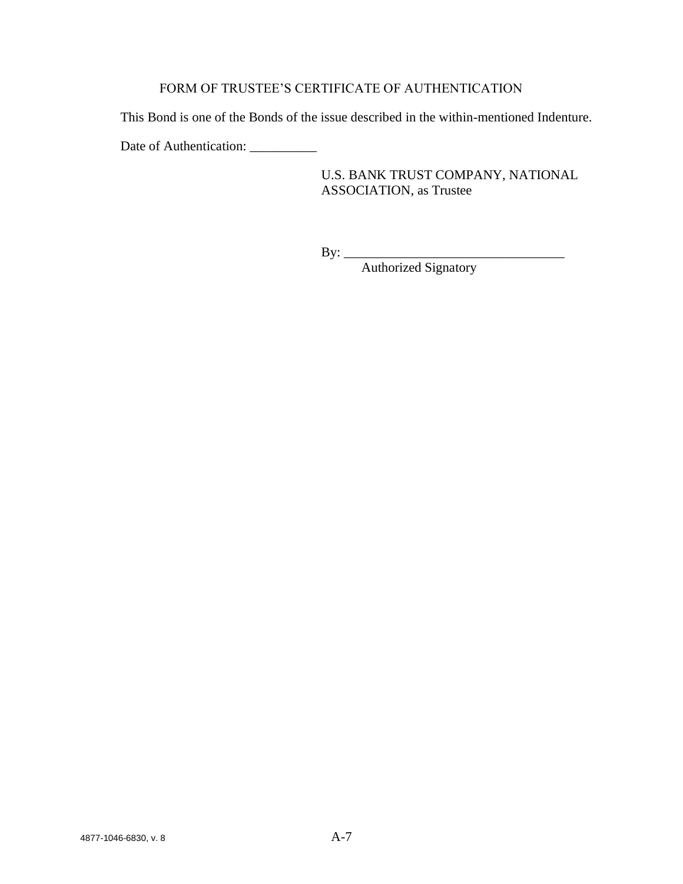# FORM OF TRUSTEE'S CERTIFICATE OF AUTHENTICATION

This Bond is one of the Bonds of the issue described in the within-mentioned Indenture.

Date of Authentication: \_\_\_\_\_\_\_\_\_\_\_

U.S. BANK TRUST COMPANY, NATIONAL ASSOCIATION, as Trustee

By: \_\_\_\_\_\_\_\_\_\_\_\_\_\_\_\_\_\_\_\_\_\_\_\_\_\_\_\_\_\_\_\_\_

Authorized Signatory